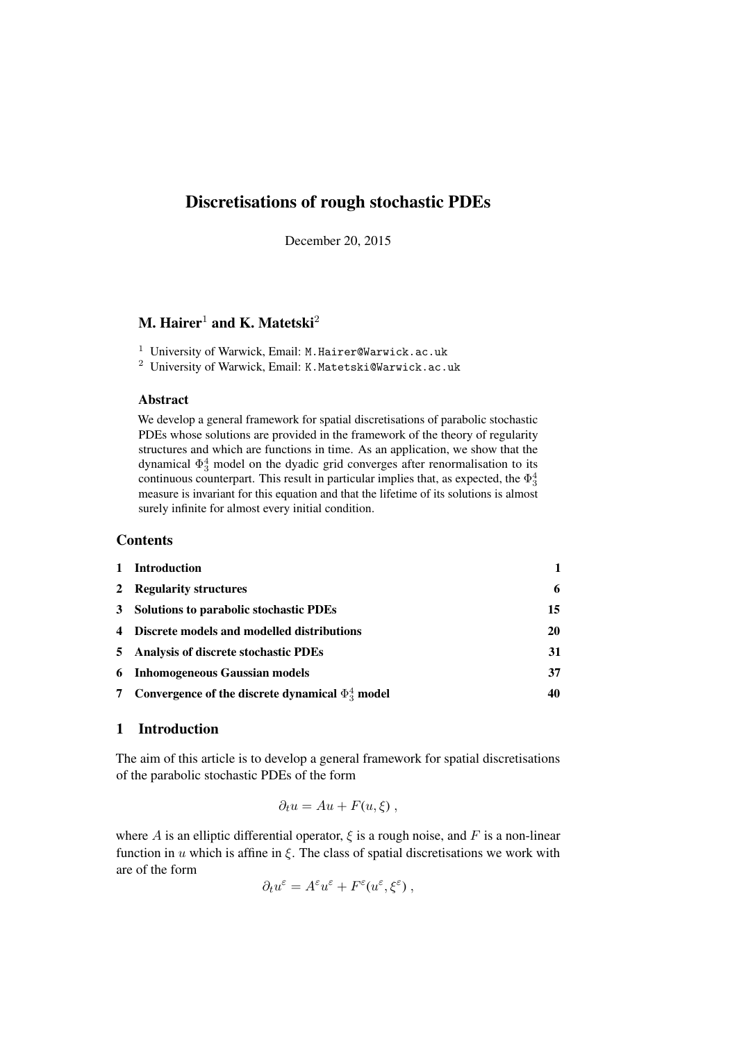# Discretisations of rough stochastic PDEs

December 20, 2015

# M. Hairer<sup>1</sup> and K. Matetski<sup>2</sup>

<sup>1</sup> University of Warwick, Email: M.Hairer@Warwick.ac.uk

<sup>2</sup> University of Warwick, Email: K.Matetski@Warwick.ac.uk

## Abstract

We develop a general framework for spatial discretisations of parabolic stochastic PDEs whose solutions are provided in the framework of the theory of regularity structures and which are functions in time. As an application, we show that the dynamical  $\Phi_3^4$  model on the dyadic grid converges after renormalisation to its continuous counterpart. This result in particular implies that, as expected, the  $\Phi_3^4$ measure is invariant for this equation and that the lifetime of its solutions is almost surely infinite for almost every initial condition.

## **Contents**

| $\mathbf{1}$ | <b>Introduction</b>                                    |    |
|--------------|--------------------------------------------------------|----|
|              | 2 Regularity structures                                | 6  |
|              | 3 Solutions to parabolic stochastic PDEs               | 15 |
|              | 4 Discrete models and modelled distributions           | 20 |
|              | 5 Analysis of discrete stochastic PDEs                 | 31 |
|              | <b>6</b> Inhomogeneous Gaussian models                 | 37 |
| 7            | Convergence of the discrete dynamical $\Phi_3^4$ model | 40 |

## <span id="page-0-0"></span>1 Introduction

The aim of this article is to develop a general framework for spatial discretisations of the parabolic stochastic PDEs of the form

$$
\partial_t u = Au + F(u,\xi) ,
$$

where A is an elliptic differential operator,  $\xi$  is a rough noise, and F is a non-linear function in  $u$  which is affine in  $\xi$ . The class of spatial discretisations we work with are of the form

$$
\partial_t u^{\varepsilon} = A^{\varepsilon} u^{\varepsilon} + F^{\varepsilon}(u^{\varepsilon}, \xi^{\varepsilon}),
$$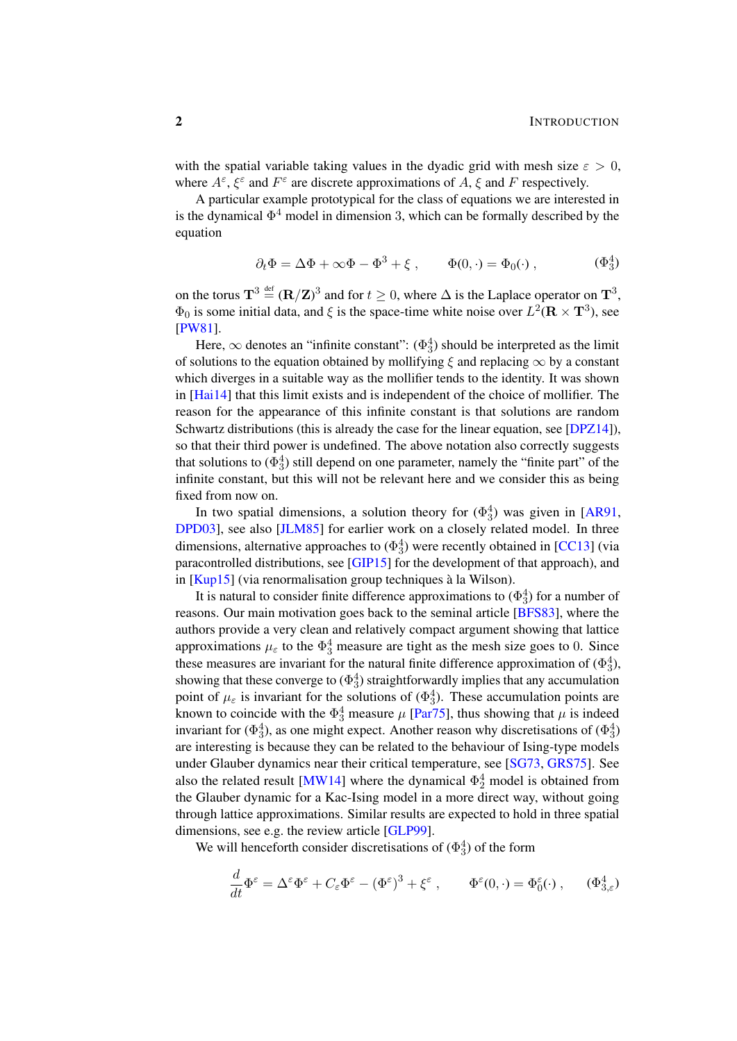with the spatial variable taking values in the dyadic grid with mesh size  $\varepsilon > 0$ , where  $A^{\varepsilon}$ ,  $\xi^{\varepsilon}$  and  $F^{\varepsilon}$  are discrete approximations of A,  $\xi$  and F respectively.

A particular example prototypical for the class of equations we are interested in is the dynamical  $\Phi^4$  model in dimension 3, which can be formally described by the equation

$$
\partial_t \Phi = \Delta \Phi + \infty \Phi - \Phi^3 + \xi , \qquad \Phi(0, \cdot) = \Phi_0(\cdot) , \qquad (\Phi_3^4)
$$

on the torus  $\mathbf{T}^3 \stackrel{\text{def}}{=} (\mathbf{R}/\mathbf{Z})^3$  and for  $t \geq 0$ , where  $\Delta$  is the Laplace operator on  $\mathbf{T}^3$ ,  $\Phi_0$  is some initial data, and  $\xi$  is the space-time white noise over  $L^2(\mathbf{R} \times \mathbf{T}^3)$ , see [\[PW81\]](#page-48-0).

Here,  $\infty$  denotes an "infinite constant":  $(\Phi_3^4)$  should be interpreted as the limit of solutions to the equation obtained by mollifying  $\xi$  and replacing  $\infty$  by a constant which diverges in a suitable way as the mollifier tends to the identity. It was shown in [\[Hai14\]](#page-47-0) that this limit exists and is independent of the choice of mollifier. The reason for the appearance of this infinite constant is that solutions are random Schwartz distributions (this is already the case for the linear equation, see [\[DPZ14\]](#page-47-1)). so that their third power is undefined. The above notation also correctly suggests that solutions to  $(\Phi_3^4)$  still depend on one parameter, namely the "finite part" of the infinite constant, but this will not be relevant here and we consider this as being fixed from now on.

In two spatial dimensions, a solution theory for  $(\Phi_3^4)$  was given in [\[AR91,](#page-46-0) [DPD03\]](#page-47-2), see also [\[JLM85\]](#page-48-1) for earlier work on a closely related model. In three dimensions, alternative approaches to  $(\Phi_3^4)$  were recently obtained in [\[CC13\]](#page-47-3) (via paracontrolled distributions, see [\[GIP15\]](#page-47-4) for the development of that approach), and in  $[Kup15]$  (via renormalisation group techniques à la Wilson).

It is natural to consider finite difference approximations to  $(\Phi_3^4)$  for a number of reasons. Our main motivation goes back to the seminal article [\[BFS83\]](#page-46-1), where the authors provide a very clean and relatively compact argument showing that lattice approximations  $\mu_{\varepsilon}$  to the  $\Phi_3^4$  measure are tight as the mesh size goes to 0. Since these measures are invariant for the natural finite difference approximation of  $(\Phi_3^4)$ , showing that these converge to  $(\Phi_3^4)$  straightforwardly implies that any accumulation point of  $\mu_{\varepsilon}$  is invariant for the solutions of  $(\Phi_3^4)$ . These accumulation points are known to coincide with the  $\Phi_3^4$  measure  $\mu$  [\[Par75\]](#page-48-3), thus showing that  $\mu$  is indeed invariant for ( $\Phi_3^4$ ), as one might expect. Another reason why discretisations of ( $\Phi_3^4$ ) are interesting is because they can be related to the behaviour of Ising-type models under Glauber dynamics near their critical temperature, see [\[SG73,](#page-48-4) [GRS75\]](#page-47-5). See also the related result [\[MW14\]](#page-48-5) where the dynamical  $\Phi_2^4$  model is obtained from the Glauber dynamic for a Kac-Ising model in a more direct way, without going through lattice approximations. Similar results are expected to hold in three spatial dimensions, see e.g. the review article [\[GLP99\]](#page-47-6).

We will henceforth consider discretisations of  $(\Phi_3^4)$  of the form

$$
\frac{d}{dt}\Phi^{\varepsilon} = \Delta^{\varepsilon}\Phi^{\varepsilon} + C_{\varepsilon}\Phi^{\varepsilon} - (\Phi^{\varepsilon})^3 + \xi^{\varepsilon} , \qquad \Phi^{\varepsilon}(0, \cdot) = \Phi^{\varepsilon}_0(\cdot) , \qquad (\Phi^4_{3,\varepsilon})
$$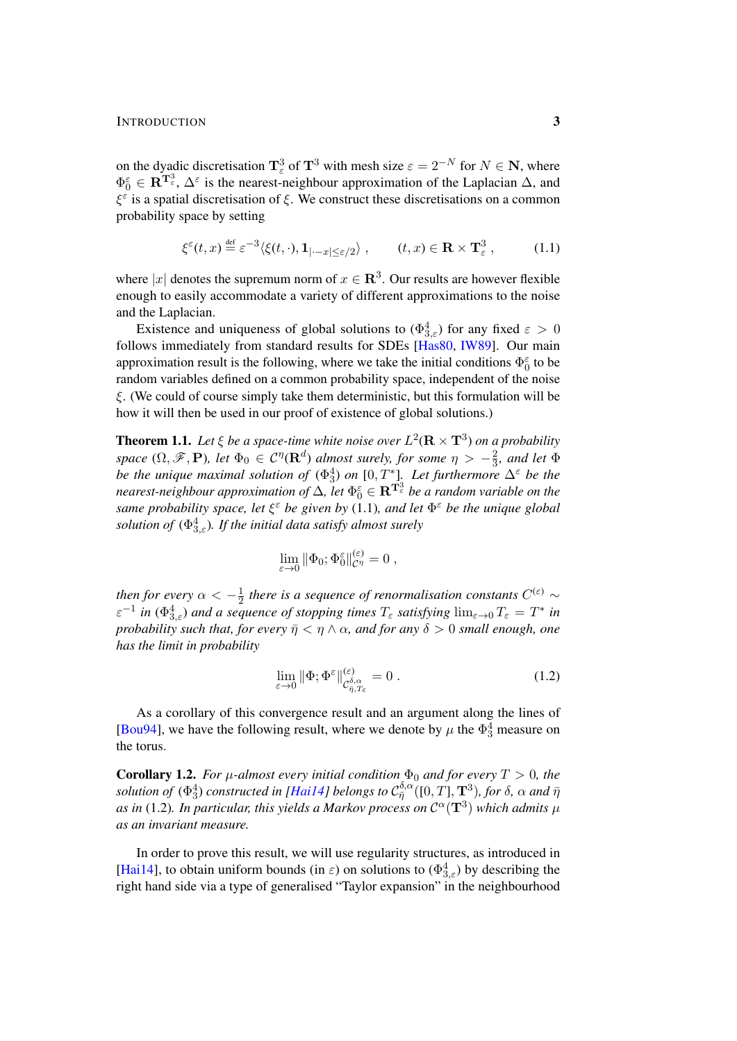## INTRODUCTION 3

on the dyadic discretisation  $\mathbf{T}_{\varepsilon}^{3}$  of  $\mathbf{T}^{3}$  with mesh size  $\varepsilon = 2^{-N}$  for  $N \in \mathbf{N}$ , where  $\Phi_0^{\varepsilon} \in \mathbb{R}^{\mathbb{T}^3_{\varepsilon}}, \Delta^{\varepsilon}$  is the nearest-neighbour approximation of the Laplacian  $\Delta$ , and  $\xi^{\epsilon}$  is a spatial discretisation of  $\xi$ . We construct these discretisations on a common probability space by setting

<span id="page-2-0"></span>
$$
\xi^{\varepsilon}(t,x) \stackrel{\text{def}}{=} \varepsilon^{-3} \langle \xi(t,\cdot), \mathbf{1}_{|\cdot-x| \le \varepsilon/2} \rangle , \qquad (t,x) \in \mathbf{R} \times \mathbf{T}_{\varepsilon}^{3} , \tag{1.1}
$$

where |x| denotes the supremum norm of  $x \in \mathbb{R}^3$ . Our results are however flexible enough to easily accommodate a variety of different approximations to the noise and the Laplacian.

Existence and uniqueness of global solutions to  $(\Phi_{3,\varepsilon}^4)$  for any fixed  $\varepsilon > 0$ follows immediately from standard results for SDEs [\[Has80,](#page-48-6) [IW89\]](#page-48-7). Our main approximation result is the following, where we take the initial conditions  $\Phi_0^{\varepsilon}$  to be random variables defined on a common probability space, independent of the noise  $\xi$ . (We could of course simply take them deterministic, but this formulation will be how it will then be used in our proof of existence of global solutions.)

<span id="page-2-2"></span>**Theorem 1.1.** Let  $\xi$  be a space-time white noise over  $L^2(\mathbf{R} \times \mathbf{T}^3)$  on a probability *space*  $(\Omega, \mathscr{F}, \mathbf{P})$ *, let*  $\Phi_0 \in C^{\eta}(\mathbf{R}^d)$  *almost surely, for some*  $\eta > -\frac{2}{3}$  $\frac{2}{3}$ *, and let*  $\Phi$ *be the unique maximal solution of*  $(\Phi_3^4)$  *on*  $[0, T^*]$ *. Let furthermore*  $\Delta^{\varepsilon}$  *be the* nearest-neighbour approximation of  $\Delta$ , let  $\Phi_0^\varepsilon \in \mathbf{R}^{\mathbf{T}^3_\varepsilon}$  be a random variable on the *same probability space, let* ξ <sup>ε</sup> *be given by* [\(1.1\)](#page-2-0)*, and let* Φ <sup>ε</sup> *be the unique global solution of* ([Φ](#page-0-0) 4 <sup>3</sup>,ε)*. If the initial data satisfy almost surely*

$$
\lim_{\varepsilon \to 0} \|\Phi_0; \Phi_0^{\varepsilon}\|_{\mathcal{C}^{\eta}}^{(\varepsilon)} = 0 ,
$$

*then for every*  $\alpha < -\frac{1}{2}$  $\frac{1}{2}$  there is a sequence of renormalisation constants  $C^{(\varepsilon)}$  ∼  $\varepsilon^{-1}$  in  $(\Phi_{3,\varepsilon}^4)$  and a sequence of stopping times  $T_\varepsilon$  satisfying  $\lim_{\varepsilon\to 0}T_\varepsilon=T^*$  in *probability such that, for every*  $\bar{\eta} < \eta \wedge \alpha$ *, and for any*  $\delta > 0$  *small enough, one has the limit in probability*

<span id="page-2-1"></span>
$$
\lim_{\varepsilon \to 0} \|\Phi; \Phi^{\varepsilon}\|_{\mathcal{C}^{\delta,\alpha}_{\bar{\eta},T_{\varepsilon}}}^{(\varepsilon)} = 0.
$$
\n(1.2)

As a corollary of this convergence result and an argument along the lines of [\[Bou94\]](#page-47-7), we have the following result, where we denote by  $\mu$  the  $\Phi_3^4$  measure on the torus.

<span id="page-2-3"></span>**Corollary 1.2.** *For*  $\mu$ *-almost every initial condition*  $\Phi_0$  *and for every*  $T > 0$ *, the*  $s$ olution of  $(\Phi_3^4)$  constructed in [\[Hai14\]](#page-47-0) belongs to  $\mathcal{C}_{\bar{\eta}}^{\delta,\alpha}([0,T],\mathbf{T}^3)$ , for  $\delta$ ,  $\alpha$  and  $\bar{\eta}$ as in [\(1.2\)](#page-2-1). In particular, this yields a Markov process on  $\mathcal{C}^{\alpha}(\mathbf{T}^3)$  which admits  $\mu$ *as an invariant measure.*

In order to prove this result, we will use regularity structures, as introduced in [\[Hai14\]](#page-47-0), to obtain uniform bounds (in  $\varepsilon$ ) on solutions to  $(\Phi_{3,\varepsilon}^4)$  by describing the right hand side via a type of generalised "Taylor expansion" in the neighbourhood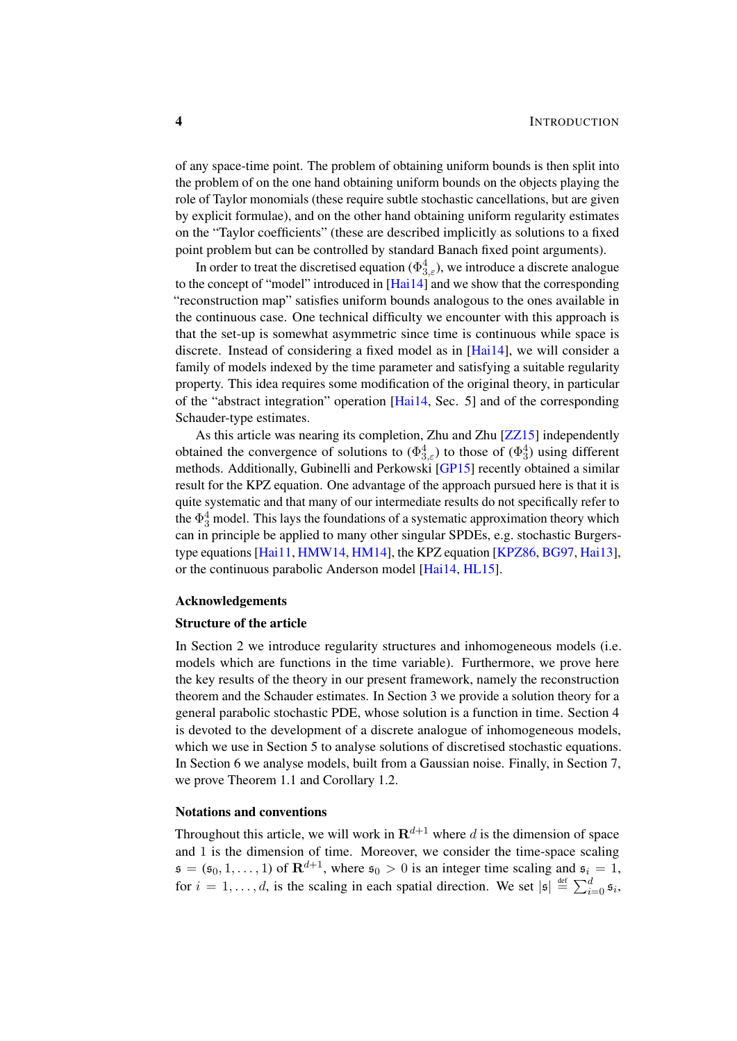of any space-time point. The problem of obtaining uniform bounds is then split into the problem of on the one hand obtaining uniform bounds on the objects playing the role of Taylor monomials (these require subtle stochastic cancellations, but are given by explicit formulae), and on the other hand obtaining uniform regularity estimates on the "Taylor coefficients" (these are described implicitly as solutions to a fixed point problem but can be controlled by standard Banach fixed point arguments).

In order to treat the discretised equation ( $\Phi_{3,\varepsilon}^4$ ), we introduce a discrete analogue to the concept of "model" introduced in [\[Hai14\]](#page-47-0) and we show that the corresponding "reconstruction map" satisfies uniform bounds analogous to the ones available in the continuous case. One technical difficulty we encounter with this approach is that the set-up is somewhat asymmetric since time is continuous while space is discrete. Instead of considering a fixed model as in [\[Hai14\]](#page-47-0), we will consider a family of models indexed by the time parameter and satisfying a suitable regularity property. This idea requires some modification of the original theory, in particular of the "abstract integration" operation [\[Hai14,](#page-47-0) Sec. 5] and of the corresponding Schauder-type estimates.

As this article was nearing its completion, Zhu and Zhu [\[ZZ15\]](#page-48-8) independently obtained the convergence of solutions to  $(\Phi_{3,\varepsilon}^4)$  to those of  $(\Phi_3^4)$  using different methods. Additionally, Gubinelli and Perkowski [\[GP15\]](#page-47-8) recently obtained a similar result for the KPZ equation. One advantage of the approach pursued here is that it is quite systematic and that many of our intermediate results do not specifically refer to the  $\Phi_3^4$  model. This lays the foundations of a systematic approximation theory which can in principle be applied to many other singular SPDEs, e.g. stochastic Burgerstype equations [\[Hai11,](#page-47-9) [HMW14,](#page-48-9) [HM14\]](#page-48-10), the KPZ equation [\[KPZ86,](#page-48-11) [BG97,](#page-46-2) [Hai13\]](#page-47-10), or the continuous parabolic Anderson model [\[Hai14,](#page-47-0) [HL15\]](#page-48-12).

## Acknowledgements

#### Structure of the article

In Section [2](#page-5-0) we introduce regularity structures and inhomogeneous models (i.e. models which are functions in the time variable). Furthermore, we prove here the key results of the theory in our present framework, namely the reconstruction theorem and the Schauder estimates. In Section [3](#page-14-0) we provide a solution theory for a general parabolic stochastic PDE, whose solution is a function in time. Section [4](#page-19-0) is devoted to the development of a discrete analogue of inhomogeneous models, which we use in Section [5](#page-30-0) to analyse solutions of discretised stochastic equations. In Section [6](#page-36-0) we analyse models, built from a Gaussian noise. Finally, in Section [7,](#page-39-0) we prove Theorem [1.1](#page-2-2) and Corollary [1.2.](#page-2-3)

## Notations and conventions

Throughout this article, we will work in  $\mathbb{R}^{d+1}$  where d is the dimension of space and 1 is the dimension of time. Moreover, we consider the time-space scaling  $\mathfrak{s} = (\mathfrak{s}_0, 1, \ldots, 1)$  of  $\mathbf{R}^{d+1}$ , where  $\mathfrak{s}_0 > 0$  is an integer time scaling and  $\mathfrak{s}_i = 1$ , for  $i = 1, \ldots, d$ , is the scaling in each spatial direction. We set  $|\mathfrak{s}| \stackrel{\text{def}}{=} \sum_{i=0}^{d} \mathfrak{s}_i$ ,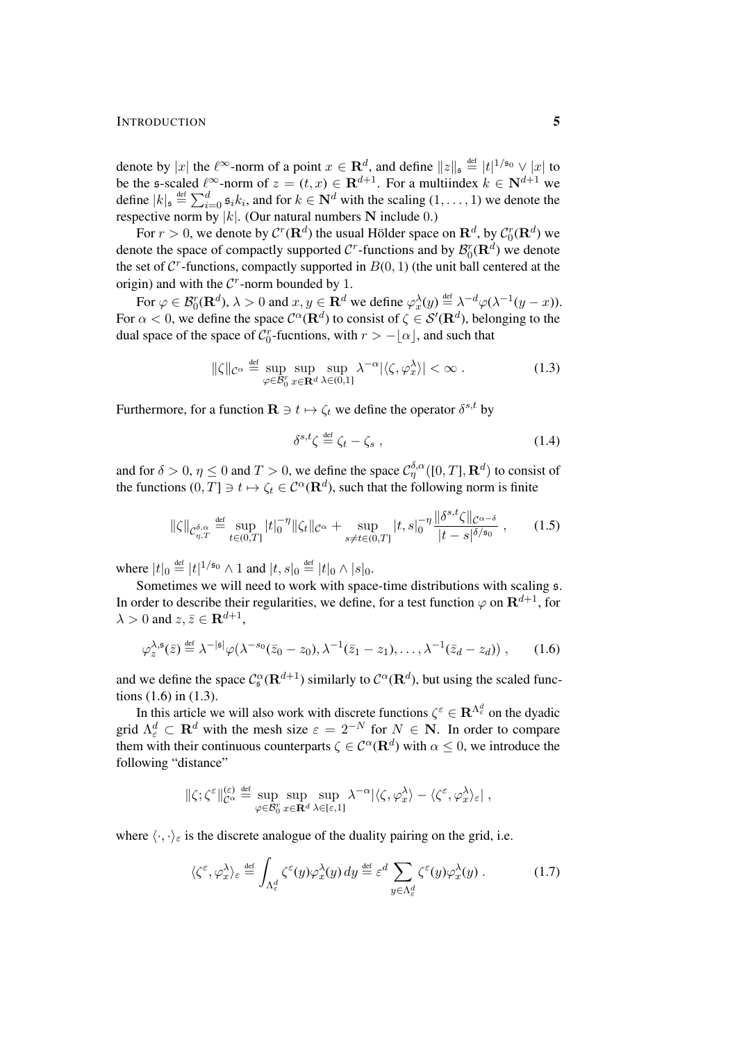### INTRODUCTION 5

denote by |x| the  $\ell^{\infty}$ -norm of a point  $x \in \mathbf{R}^d$ , and define  $||z||_{\mathfrak{s}} \stackrel{\text{def}}{=} |t|^{1/\mathfrak{s}_0} \vee |x|$  to be the s-scaled  $\ell^{\infty}$ -norm of  $z = (t, x) \in \mathbf{R}^{d+1}$ . For a multiindex  $k \in \mathbf{N}^{d+1}$  we define  $|k|_{\mathfrak{s}} \stackrel{\text{def}}{=} \sum_{i=0}^{d} \mathfrak{s}_i k_i$ , and for  $k \in \mathbf{N}^d$  with the scaling  $(1, \ldots, 1)$  we denote the respective norm by  $|k|$ . (Our natural numbers N include 0.)

For  $r > 0$ , we denote by  $\mathcal{C}^r(\mathbf{R}^d)$  the usual Hölder space on  $\mathbf{R}^d$ , by  $\mathcal{C}_0^r(\mathbf{R}^d)$  we denote the space of compactly supported  $\mathcal{C}^r$ -functions and by  $\mathcal{B}_0^r(\mathbf{R}^d)$  we denote the set of  $C^r$ -functions, compactly supported in  $B(0, 1)$  (the unit ball centered at the origin) and with the  $C<sup>r</sup>$ -norm bounded by 1.

For  $\varphi \in \mathcal{B}_0^r(\mathbf{R}^d)$ ,  $\lambda > 0$  and  $x, y \in \mathbf{R}^d$  we define  $\varphi_x^{\lambda}(y) \stackrel{\text{def}}{=} \lambda^{-d} \varphi(\lambda^{-1}(y-x))$ . For  $\alpha < 0$ , we define the space  $\mathcal{C}^{\alpha}(\mathbf{R}^d)$  to consist of  $\zeta \in \mathcal{S}'(\mathbf{R}^d)$ , belonging to the dual space of the space of  $\mathcal{C}_0^r$ -fucntions, with  $r > -\lfloor \alpha \rfloor$ , and such that

$$
\|\zeta\|_{\mathcal{C}^{\alpha}} \stackrel{\text{def}}{=} \sup_{\varphi \in \mathcal{B}_0^r} \sup_{x \in \mathbf{R}^d} \sup_{\lambda \in (0,1]} \lambda^{-\alpha} |\langle \zeta, \varphi_x^{\lambda} \rangle| < \infty \,. \tag{1.3}
$$

Furthermore, for a function  $\mathbf{R} \ni t \mapsto \zeta_t$  we define the operator  $\delta^{s,t}$  by

<span id="page-4-4"></span><span id="page-4-2"></span><span id="page-4-1"></span><span id="page-4-0"></span>
$$
\delta^{s,t}\zeta \stackrel{\text{def}}{=} \zeta_t - \zeta_s \;, \tag{1.4}
$$

and for  $\delta > 0$ ,  $\eta \le 0$  and  $T > 0$ , we define the space  $\mathcal{C}^{\delta,\alpha}_{\eta}([0,T],\mathbf{R}^d)$  to consist of the functions  $(0, T] \ni t \mapsto \zeta_t \in C^{\alpha}(\mathbf{R}^d)$ , such that the following norm is finite

$$
\|\zeta\|_{\mathcal{C}_{\eta,T}^{\delta,\alpha}} \stackrel{\text{def}}{=} \sup_{t \in (0,T]} |t|_0^{-\eta} \|\zeta_t\|_{\mathcal{C}^{\alpha}} + \sup_{s \neq t \in (0,T]} |t,s|_0^{-\eta} \frac{\|\delta^{s,t}\zeta\|_{\mathcal{C}^{\alpha-\delta}}}{|t-s|^{\delta/s_0}},\tag{1.5}
$$

where  $|t|_0 \stackrel{\text{def}}{=} |t|^{1/\mathfrak{s}_0} \wedge 1$  and  $|t, s|_0 \stackrel{\text{def}}{=} |t|_0 \wedge |s|_0$ .

Sometimes we will need to work with space-time distributions with scaling s. In order to describe their regularities, we define, for a test function  $\varphi$  on  $\mathbf{R}^{d+1}$ , for  $\lambda > 0$  and  $z, \bar{z} \in \mathbf{R}^{d+1}$ ,

$$
\varphi_z^{\lambda,\mathfrak{s}}(\bar{z}) \stackrel{\text{def}}{=} \lambda^{-|\mathfrak{s}|} \varphi(\lambda^{-s_0}(\bar{z}_0 - z_0), \lambda^{-1}(\bar{z}_1 - z_1), \dots, \lambda^{-1}(\bar{z}_d - z_d)), \qquad (1.6)
$$

and we define the space  $C_5^{\alpha}(\mathbf{R}^{d+1})$  similarly to  $C^{\alpha}(\mathbf{R}^d)$ , but using the scaled functions [\(1.6\)](#page-4-0) in [\(1.3\)](#page-4-1).

In this article we will also work with discrete functions  $\zeta^{\epsilon} \in \mathbf{R}^{\Lambda_{\epsilon}^{d}}$  on the dyadic grid  $\Lambda_{\varepsilon}^d \subset \mathbf{R}^d$  with the mesh size  $\varepsilon = 2^{-N}$  for  $N \in \mathbf{N}$ . In order to compare them with their continuous counterparts  $\zeta \in C^{\alpha}(\mathbf{R}^d)$  with  $\alpha \leq 0$ , we introduce the following "distance"

$$
\|\zeta;\zeta^{\varepsilon}\|_{\mathcal{C}^{\alpha}}^{(\varepsilon)} \stackrel{\text{def}}{=} \sup_{\varphi \in \mathcal{B}_{0}^{r}} \sup_{x \in \mathbf{R}^{d}} \sup_{\lambda \in [\varepsilon,1]} \lambda^{-\alpha} |\langle \zeta, \varphi_{x}^{\lambda} \rangle - \langle \zeta^{\varepsilon}, \varphi_{x}^{\lambda} \rangle_{\varepsilon}|,
$$

where  $\langle \cdot, \cdot \rangle_{\varepsilon}$  is the discrete analogue of the duality pairing on the grid, i.e.

<span id="page-4-3"></span>
$$
\langle \zeta^{\varepsilon}, \varphi_x^{\lambda} \rangle_{\varepsilon} \stackrel{\text{def}}{=} \int_{\Lambda_{\varepsilon}^d} \zeta^{\varepsilon}(y) \varphi_x^{\lambda}(y) \, dy \stackrel{\text{def}}{=} \varepsilon^d \sum_{y \in \Lambda_{\varepsilon}^d} \zeta^{\varepsilon}(y) \varphi_x^{\lambda}(y) \,. \tag{1.7}
$$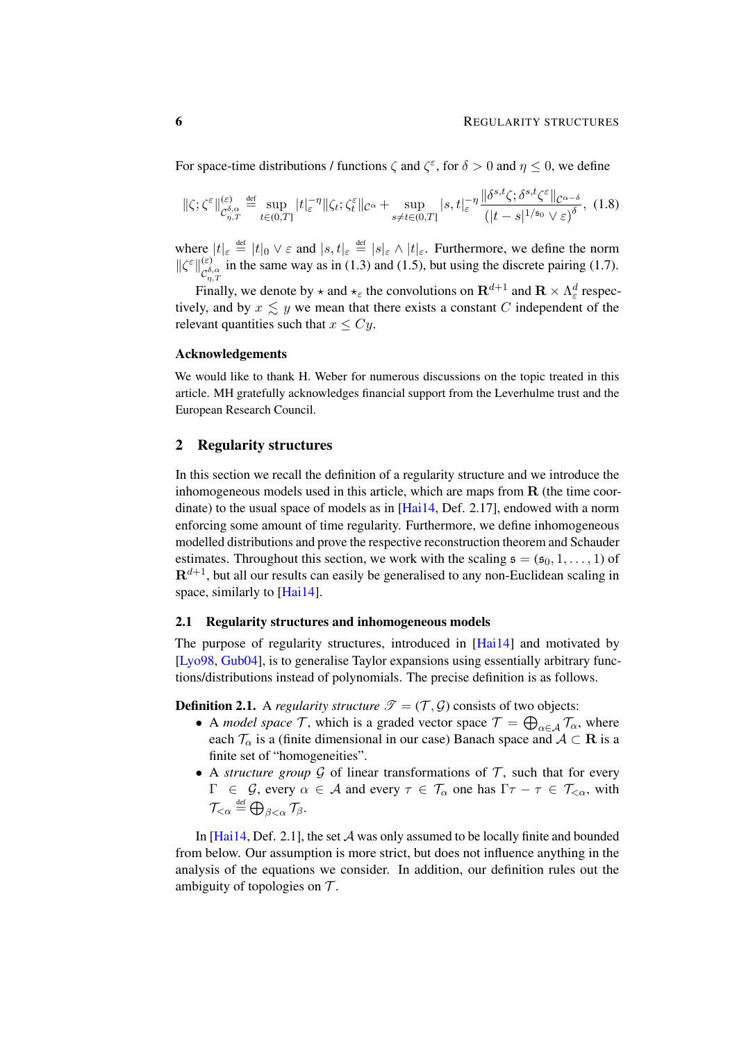For space-time distributions / functions  $\zeta$  and  $\zeta^{\epsilon}$ , for  $\delta > 0$  and  $\eta \leq 0$ , we define

<span id="page-5-2"></span>
$$
\|\zeta;\zeta^{\varepsilon}\|_{\mathcal{C}_{\eta,T}^{\delta,\alpha}}^{(\varepsilon)} \stackrel{\text{def}}{=} \sup_{t\in(0,T]}|t|_{\varepsilon}^{-\eta}\|\zeta_{t};\zeta_{t}^{\varepsilon}\|_{\mathcal{C}^{\alpha}} + \sup_{s\neq t\in(0,T]}|s,t|_{\varepsilon}^{-\eta}\frac{\|\delta^{s,t}\zeta;\delta^{s,t}\zeta^{\varepsilon}\|_{\mathcal{C}^{\alpha-\delta}}}{(|t-s|^{1/s_{0}}\vee\varepsilon)^{\delta}},\tag{1.8}
$$

where  $|t|_{\varepsilon} \stackrel{\text{def}}{=} |t|_0 \vee \varepsilon$  and  $|s, t|_{\varepsilon} \stackrel{\text{def}}{=} |s|_{\varepsilon} \wedge |t|_{\varepsilon}$ . Furthermore, we define the norm  $\|\zeta^{\varepsilon}\|_{\sigma\delta}^{(\varepsilon)}$ (ε) in the same way as in [\(1.3\)](#page-4-1) and [\(1.5\)](#page-4-2), but using the discrete pairing [\(1.7\)](#page-4-3).

Finally, we denote by  $\star$  and  $\star_{\varepsilon}$  the convolutions on  $\mathbf{R}^{d+1}$  and  $\mathbf{R} \times \Lambda_{\varepsilon}^d$  respectively, and by  $x \leq y$  we mean that there exists a constant C independent of the relevant quantities such that  $x \le Cy$ .

#### Acknowledgements

We would like to thank H. Weber for numerous discussions on the topic treated in this article. MH gratefully acknowledges financial support from the Leverhulme trust and the European Research Council.

## <span id="page-5-0"></span>2 Regularity structures

In this section we recall the definition of a regularity structure and we introduce the inhomogeneous models used in this article, which are maps from  **(the time coor**dinate) to the usual space of models as in  $[Hai14, Def. 2.17]$  $[Hai14, Def. 2.17]$ , endowed with a norm enforcing some amount of time regularity. Furthermore, we define inhomogeneous modelled distributions and prove the respective reconstruction theorem and Schauder estimates. Throughout this section, we work with the scaling  $\mathfrak{s} = (\mathfrak{s}_0, 1, \ldots, 1)$  of  $\mathbf{R}^{d+1}$ , but all our results can easily be generalised to any non-Euclidean scaling in space, similarly to [\[Hai14\]](#page-47-0).

## <span id="page-5-1"></span>2.1 Regularity structures and inhomogeneous models

The purpose of regularity structures, introduced in [\[Hai14\]](#page-47-0) and motivated by [\[Lyo98,](#page-48-13) [Gub04\]](#page-47-11), is to generalise Taylor expansions using essentially arbitrary functions/distributions instead of polynomials. The precise definition is as follows.

**Definition 2.1.** A *regularity structure*  $\mathcal{T} = (\mathcal{T}, \mathcal{G})$  consists of two objects:

- A *model space*  $\mathcal{T}$ , which is a graded vector space  $\mathcal{T} = \bigoplus_{\alpha \in \mathcal{A}} \mathcal{T}_{\alpha}$ , where each  $\mathcal{T}_{\alpha}$  is a (finite dimensional in our case) Banach space and  $\mathcal{A} \subset \mathbf{R}$  is a finite set of "homogeneities".
- A *structure group*  $\mathcal G$  of linear transformations of  $\mathcal T$ , such that for every  $\Gamma \in \mathcal{G}$ , every  $\alpha \in \mathcal{A}$  and every  $\tau \in \mathcal{T}_{\alpha}$  one has  $\Gamma \tau - \tau \in \mathcal{T}_{\leq \alpha}$ , with  $\mathcal{T}_{<\alpha} \stackrel{\text{\tiny def}}{=} \bigoplus_{\beta<\alpha} \mathcal{T}_{\beta}.$

In  $[Hai14, Def. 2.1]$  $[Hai14, Def. 2.1]$ , the set A was only assumed to be locally finite and bounded from below. Our assumption is more strict, but does not influence anything in the analysis of the equations we consider. In addition, our definition rules out the ambiguity of topologies on  $\mathcal T$ .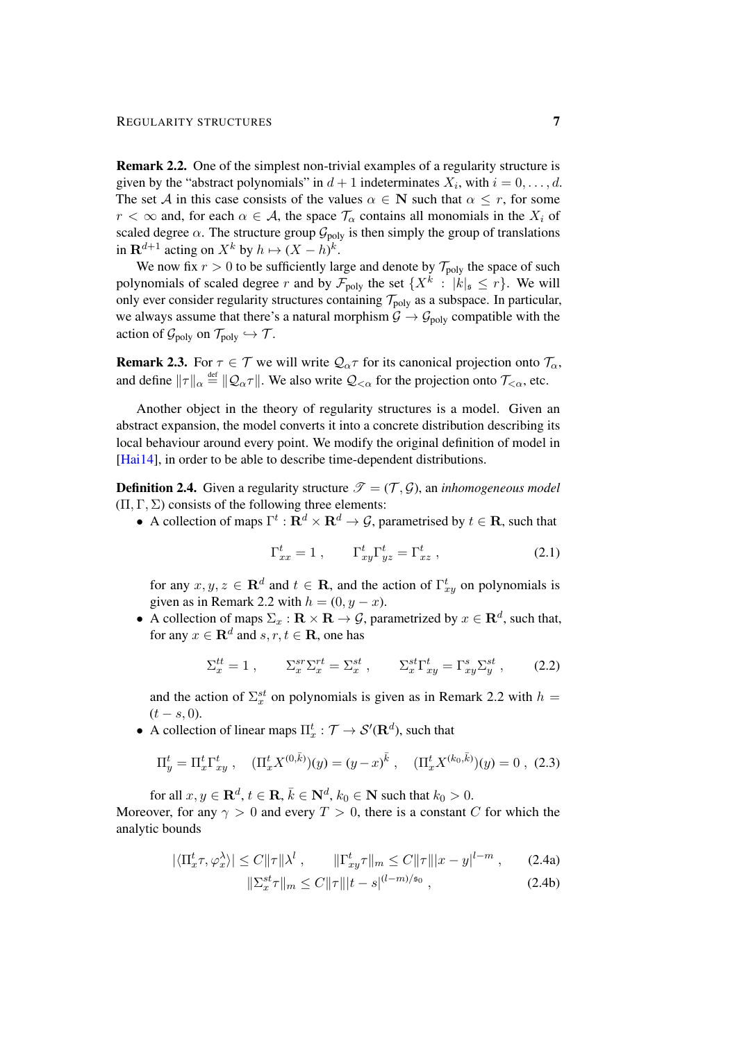<span id="page-6-0"></span>Remark 2.2. One of the simplest non-trivial examples of a regularity structure is given by the "abstract polynomials" in  $d+1$  indeterminates  $X_i$ , with  $i = 0, \ldots, d$ . The set A in this case consists of the values  $\alpha \in \mathbb{N}$  such that  $\alpha \leq r$ , for some  $r < \infty$  and, for each  $\alpha \in A$ , the space  $\mathcal{T}_{\alpha}$  contains all monomials in the  $X_i$  of scaled degree  $\alpha$ . The structure group  $\mathcal{G}_{poly}$  is then simply the group of translations in  $\mathbf{R}^{d+1}$  acting on  $X^k$  by  $h \mapsto (X - h)^k$ .

We now fix  $r > 0$  to be sufficiently large and denote by  $\mathcal{T}_{poly}$  the space of such polynomials of scaled degree r and by  $\mathcal{F}_{poly}$  the set  $\{X^k : |k|_{\mathfrak{s}} \le r\}$ . We will only ever consider regularity structures containing  $\mathcal{T}_{poly}$  as a subspace. In particular, we always assume that there's a natural morphism  $\mathcal{G} \to \mathcal{G}_{poly}$  compatible with the action of  $\mathcal{G}_{poly}$  on  $\mathcal{T}_{poly} \hookrightarrow \mathcal{T}$ .

**Remark 2.3.** For  $\tau \in \mathcal{T}$  we will write  $\mathcal{Q}_{\alpha}\tau$  for its canonical projection onto  $\mathcal{T}_{\alpha}$ , and define  $\|\tau\|_{\alpha} \stackrel{\text{def}}{=} \|\mathcal{Q}_{\alpha}\tau\|$ . We also write  $\mathcal{Q}_{<\alpha}$  for the projection onto  $\mathcal{T}_{<\alpha}$ , etc.

Another object in the theory of regularity structures is a model. Given an abstract expansion, the model converts it into a concrete distribution describing its local behaviour around every point. We modify the original definition of model in [\[Hai14\]](#page-47-0), in order to be able to describe time-dependent distributions.

<span id="page-6-2"></span>**Definition 2.4.** Given a regularity structure  $\mathcal{T} = (\mathcal{T}, \mathcal{G})$ , an *inhomogeneous model*  $(\Pi, \Gamma, \Sigma)$  consists of the following three elements:

• A collection of maps  $\Gamma^t : \mathbf{R}^d \times \mathbf{R}^d \to \mathcal{G}$ , parametrised by  $t \in \mathbf{R}$ , such that

<span id="page-6-3"></span>
$$
\Gamma_{xx}^t = 1 \;, \qquad \Gamma_{xy}^t \Gamma_{yz}^t = \Gamma_{xz}^t \;, \tag{2.1}
$$

for any  $x, y, z \in \mathbf{R}^d$  and  $t \in \mathbf{R}$ , and the action of  $\Gamma_{xy}^t$  on polynomials is given as in Remark [2.2](#page-6-0) with  $h = (0, y - x)$ .

• A collection of maps  $\Sigma_x : \mathbf{R} \times \mathbf{R} \to \mathcal{G}$ , parametrized by  $x \in \mathbf{R}^d$ , such that, for any  $x \in \mathbf{R}^d$  and  $s, r, t \in \mathbf{R}$ , one has

$$
\Sigma_x^{tt} = 1 \;, \qquad \Sigma_x^{sr} \Sigma_x^{rt} = \Sigma_x^{st} \;, \qquad \Sigma_x^{st} \Gamma_{xy}^t = \Gamma_{xy}^s \Sigma_y^{st} \;, \tag{2.2}
$$

and the action of  $\Sigma_x^{st}$  on polynomials is given as in Remark [2.2](#page-6-0) with  $h =$  $(t - s, 0).$ 

• A collection of linear maps  $\Pi_x^t : \mathcal{T} \to \mathcal{S}'(\mathbf{R}^d)$ , such that

$$
\Pi_y^t = \Pi_x^t \Gamma_{xy}^t , \quad (\Pi_x^t X^{(0,\bar{k})})(y) = (y-x)^{\bar{k}} , \quad (\Pi_x^t X^{(k_0,\bar{k})})(y) = 0 , \tag{2.3}
$$

for all  $x, y \in \mathbf{R}^d, t \in \mathbf{R}, \bar{k} \in \mathbf{N}^d, k_0 \in \mathbf{N}$  such that  $k_0 > 0$ .

Moreover, for any  $\gamma > 0$  and every  $T > 0$ , there is a constant C for which the analytic bounds

<span id="page-6-1"></span>
$$
|\langle \Pi_x^t \tau, \varphi_x^{\lambda} \rangle| \le C \|\tau\| \lambda^l \;, \qquad \|\Gamma_{xy}^t \tau\|_m \le C \|\tau\| |x - y|^{l - m} \;, \qquad (2.4a)
$$

<span id="page-6-4"></span>
$$
\|\Sigma_x^{st}\tau\|_m \le C\|\tau\||t-s|^{(l-m)/\mathfrak{s}_0},\tag{2.4b}
$$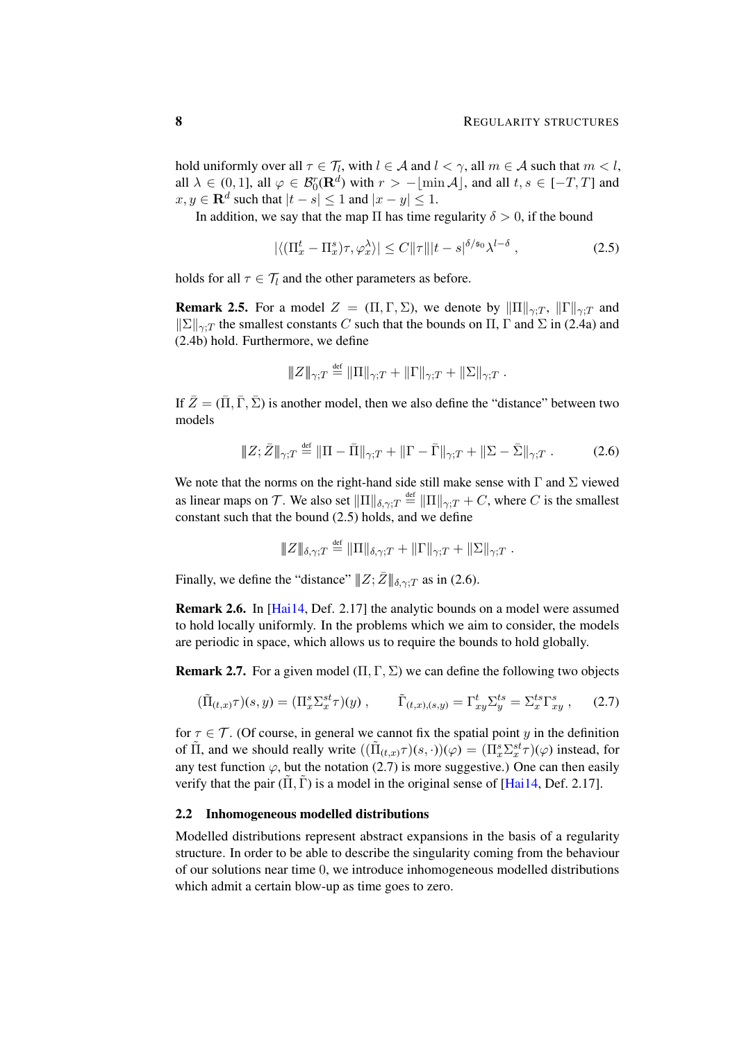hold uniformly over all  $\tau \in \mathcal{T}_l$ , with  $l \in \mathcal{A}$  and  $l < \gamma$ , all  $m \in \mathcal{A}$  such that  $m < l$ , all  $\lambda \in (0, 1]$ , all  $\varphi \in \mathcal{B}_0^r(\mathbf{R}^d)$  with  $r > -\lfloor \min \mathcal{A} \rfloor$ , and all  $t, s \in [-T, T]$  and  $x, y \in \mathbf{R}^d$  such that  $|t - s| \leq 1$  and  $|x - y| \leq 1$ .

In addition, we say that the map  $\Pi$  has time regularity  $\delta > 0$ , if the bound

<span id="page-7-0"></span>
$$
|\langle (\Pi_x^t - \Pi_x^s)\tau, \varphi_x^{\lambda} \rangle| \le C \|\tau\| |t - s|^{\delta/\mathfrak{s}_0} \lambda^{l - \delta} , \qquad (2.5)
$$

holds for all  $\tau \in \mathcal{T}_l$  and the other parameters as before.

<span id="page-7-5"></span>**Remark 2.5.** For a model  $Z = (\Pi, \Gamma, \Sigma)$ , we denote by  $\|\Pi\|_{\gamma:T}$ ,  $\|\Gamma\|_{\gamma:T}$  and  $||\Sigma||_{\gamma:T}$  the smallest constants C such that the bounds on  $\Pi$ ,  $\Gamma$  and  $\Sigma$  in [\(2.4a\)](#page-6-1) and [\(2.4b\)](#page-6-1) hold. Furthermore, we define

<span id="page-7-1"></span>
$$
||Z||_{\gamma;T} \stackrel{\text{def}}{=} ||\Pi||_{\gamma;T} + ||\Gamma||_{\gamma;T} + ||\Sigma||_{\gamma;T}.
$$

If  $\bar{Z} = (\bar{\Pi}, \bar{\Gamma}, \bar{\Sigma})$  is another model, then we also define the "distance" between two models

$$
\|Z;\bar{Z}\|_{\gamma;T} \stackrel{\text{def}}{=} \|\Pi - \bar{\Pi}\|_{\gamma;T} + \|\Gamma - \bar{\Gamma}\|_{\gamma;T} + \|\Sigma - \bar{\Sigma}\|_{\gamma;T} . \tag{2.6}
$$

We note that the norms on the right-hand side still make sense with  $\Gamma$  and  $\Sigma$  viewed as linear maps on T. We also set  $\|\Pi\|_{\delta,\gamma;T} \stackrel{\text{def}}{=} \|\Pi\|_{\gamma;T} + C$ , where C is the smallest constant such that the bound [\(2.5\)](#page-7-0) holds, and we define

<span id="page-7-2"></span>
$$
||Z||_{\delta,\gamma;T} \stackrel{\text{def}}{=} ||\Pi||_{\delta,\gamma;T} + ||\Gamma||_{\gamma;T} + ||\Sigma||_{\gamma;T}.
$$

Finally, we define the "distance"  $||Z;\bar{Z}||_{\delta,\gamma:T}$  as in [\(2.6\)](#page-7-1).

Remark 2.6. In [\[Hai14,](#page-47-0) Def. 2.17] the analytic bounds on a model were assumed to hold locally uniformly. In the problems which we aim to consider, the models are periodic in space, which allows us to require the bounds to hold globally.

<span id="page-7-3"></span>**Remark 2.7.** For a given model  $(\Pi, \Gamma, \Sigma)$  we can define the following two objects

$$
(\tilde{\Pi}_{(t,x)}\tau)(s,y) = (\Pi_x^s \Sigma_x^{st}\tau)(y) , \qquad \tilde{\Gamma}_{(t,x),(s,y)} = \Gamma_{xy}^t \Sigma_y^{ts} = \Sigma_x^{ts} \Gamma_{xy}^s , \qquad (2.7)
$$

for  $\tau \in \mathcal{T}$ . (Of course, in general we cannot fix the spatial point y in the definition of  $\tilde{\Pi}$ , and we should really write  $((\tilde{\Pi}_{(t,x)}\tau)(s,\cdot))(\varphi) = (\Pi_x^s \Sigma_x^{st}\tau)(\varphi)$  instead, for any test function  $\varphi$ , but the notation [\(2.7\)](#page-7-2) is more suggestive.) One can then easily verify that the pair  $(\Pi, \Gamma)$  is a model in the original sense of [\[Hai14,](#page-47-0) Def. 2.17].

#### <span id="page-7-4"></span>2.2 Inhomogeneous modelled distributions

Modelled distributions represent abstract expansions in the basis of a regularity structure. In order to be able to describe the singularity coming from the behaviour of our solutions near time 0, we introduce inhomogeneous modelled distributions which admit a certain blow-up as time goes to zero.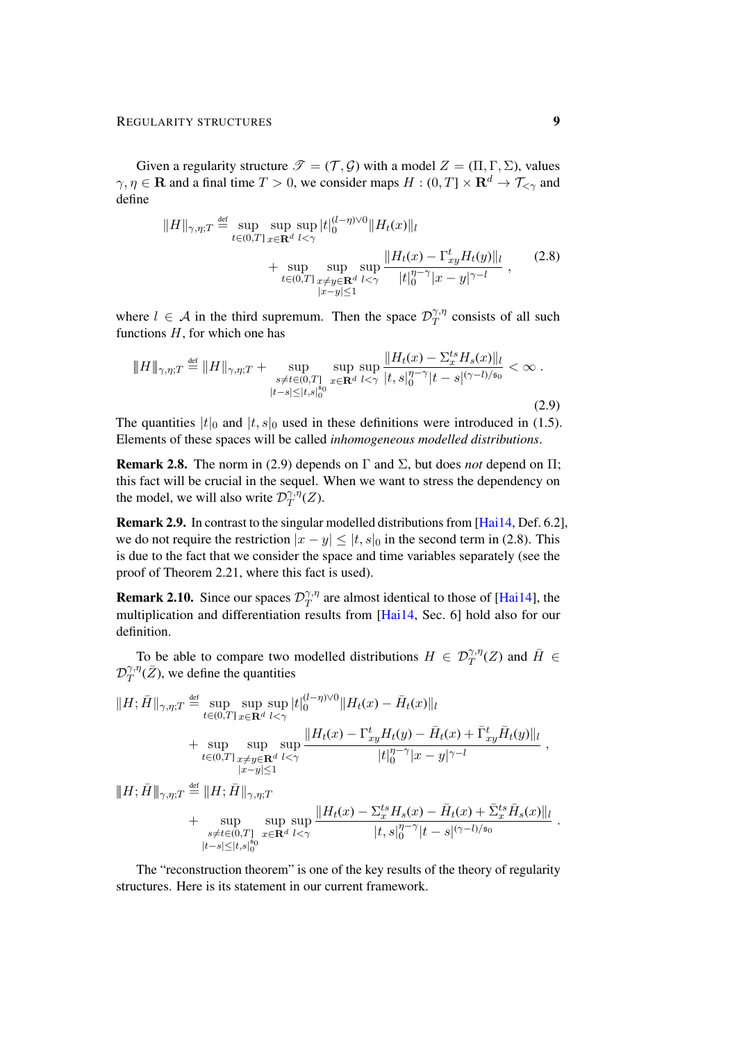Given a regularity structure  $\mathcal{T} = (\mathcal{T}, \mathcal{G})$  with a model  $Z = (\Pi, \Gamma, \Sigma)$ , values  $\gamma, \eta \in \mathbf{R}$  and a final time  $T > 0$ , we consider maps  $H : (0, T] \times \mathbf{R}^d \to \mathcal{T}_{\leq \gamma}$  and define

<span id="page-8-1"></span>
$$
||H||_{\gamma,\eta;T} \stackrel{\text{def}}{=} \sup_{t \in (0,T]} \sup_{x \in \mathbf{R}^d} \sup_{l < \gamma} |t|_0^{(l-\eta)\vee 0} ||H_t(x)||_l
$$
\n
$$
+ \sup_{t \in (0,T]} \sup_{x \neq y \in \mathbf{R}^d} \sup_{l < \gamma} \frac{||H_t(x) - \Gamma_{xy}^t H_t(y)||_l}{|t|_0^{\eta-\gamma} |x - y|^{\gamma-l}}, \qquad (2.8)
$$

where  $l \in A$  in the third supremum. Then the space  $\mathcal{D}_T^{\gamma,\eta}$  $T^{(\gamma,\eta)}_T$  consists of all such functions  $H$ , for which one has

<span id="page-8-0"></span>
$$
\|H\|_{\gamma,\eta;T} \stackrel{\text{def}}{=} \|H\|_{\gamma,\eta;T} + \sup_{\substack{s \neq t \in (0,T] \\ |t-s| \leq |t,s|_0^{s_0}}} \sup_{x \in \mathbf{R}^d} \sup_{l < \gamma} \frac{\|H_t(x) - \Sigma_x^{ts} H_s(x)\|_l}{|t,s|_0^{\eta-\gamma}|t-s|^{(\gamma-l)/s_0}} < \infty.
$$
\n(2.9)

The quantities  $|t|_0$  and  $|t, s|_0$  used in these definitions were introduced in [\(1.5\)](#page-4-2). Elements of these spaces will be called *inhomogeneous modelled distributions*.

**Remark 2.8.** The norm in [\(2.9\)](#page-8-0) depends on  $\Gamma$  and  $\Sigma$ , but does *not* depend on  $\Pi$ ; this fact will be crucial in the sequel. When we want to stress the dependency on the model, we will also write  $\mathcal{D}^{\gamma,\bar{\eta}}_{T}$  $T^{\gamma,\eta}(Z)$ .

<span id="page-8-2"></span>Remark 2.9. In contrast to the singular modelled distributions from [\[Hai14,](#page-47-0) Def. 6.2], we do not require the restriction  $|x - y| \le |t, s|_0$  in the second term in [\(2.8\)](#page-8-1). This is due to the fact that we consider the space and time variables separately (see the proof of Theorem [2.21,](#page-13-0) where this fact is used).

**Remark 2.10.** Since our spaces  $\mathcal{D}_T^{\gamma,\eta}$  $T^{\gamma,\eta}_{T}$  are almost identical to those of [\[Hai14\]](#page-47-0), the multiplication and differentiation results from [\[Hai14,](#page-47-0) Sec. 6] hold also for our definition.

<span id="page-8-3"></span>To be able to compare two modelled distributions  $H \in \mathcal{D}^{\gamma,\eta}_T(Z)$  and  $\bar{H} \in$  $\mathcal{D}^{\gamma,\eta}_T$  $T^{(\gamma,\eta)}_{T}(\bar{Z})$ , we define the quantities

$$
||H; \bar{H}||_{\gamma, \eta; T} \stackrel{\text{def}}{=} \sup_{t \in (0,T]} \sup_{x \in \mathbf{R}^d} \sup_{l < \gamma} |t|_0^{(l-\eta)\vee 0} ||H_t(x) - \bar{H}_t(x)||_l
$$
\n
$$
+ \sup_{t \in (0,T]} \sup_{x \neq y \in \mathbf{R}^d} \sup_{l < \gamma} \frac{||H_t(x) - \Gamma_{xy}^t H_t(y) - \bar{H}_t(x) + \bar{\Gamma}_{xy}^t \bar{H}_t(y)||_l}{|t|_0^{\eta - \gamma} |x - y|^{\gamma - l}},
$$
\n
$$
||H; \bar{H}||_{\gamma, \eta; T} \stackrel{\text{def}}{=} ||H; \bar{H}||_{\gamma, \eta; T}
$$
\n
$$
+ \sup_{s \neq t \in (0,T]} \sup_{x \in \mathbf{R}^d} \sup_{l < \gamma} \frac{||H_t(x) - \Sigma_x^{ts} H_s(x) - \bar{H}_t(x) + \bar{\Sigma}_x^{ts} \bar{H}_s(x)||_l}{|t, s|_0^{\eta - \gamma} |t - s|^{(\gamma - l)/s_0}}
$$

The "reconstruction theorem" is one of the key results of the theory of regularity structures. Here is its statement in our current framework.

 $|t-s| \leq |t,s|_0^{\frac{1}{9}0}$ 

.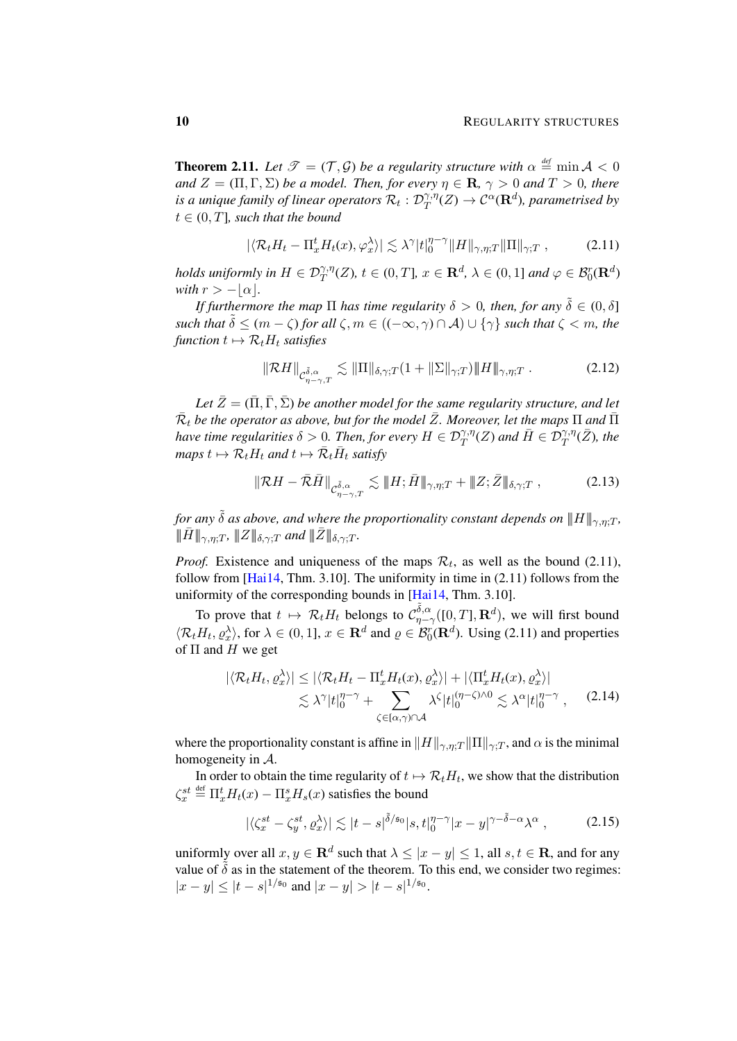<span id="page-9-4"></span>**Theorem 2.11.** Let  $\mathscr{T} = (\mathcal{T}, \mathcal{G})$  be a regularity structure with  $\alpha \stackrel{\text{def}}{=} \min \mathcal{A} < 0$ *and*  $Z = (\Pi, \Gamma, \Sigma)$  *be a model. Then, for every*  $\eta \in \mathbf{R}$ ,  $\gamma > 0$  *and*  $T > 0$ *, there* is a unique family of linear operators  $\mathcal{R}_t$  :  $\mathcal{D}^{\gamma,\eta}_T$  $\mathcal{T}^{\gamma,\eta}_T(Z)\rightarrow \mathcal{C}^{\alpha}(\mathbf{R}^d)$ , parametrised by  $t \in (0, T]$ *, such that the bound* 

<span id="page-9-0"></span>
$$
|\langle \mathcal{R}_t H_t - \Pi_x^t H_t(x), \varphi_x^{\lambda} \rangle| \lesssim \lambda^{\gamma} |t|_0^{\eta - \gamma} ||H||_{\gamma, \eta; T} ||\Pi||_{\gamma; T}, \tag{2.11}
$$

*holds uniformly in*  $H \in \mathcal{D}^{\gamma,\eta}_T(Z)$ ,  $t \in (0,T]$ ,  $x \in \mathbf{R}^d$ ,  $\lambda \in (0,1]$  and  $\varphi \in \mathcal{B}_0^r(\mathbf{R}^d)$ *with*  $r > -|\alpha|$ *.* 

*If furthermore the map*  $\Pi$  *has time regularity*  $\delta > 0$ , *then, for any*  $\tilde{\delta} \in (0, \delta]$ *such that*  $\tilde{\delta} \leq (m - \zeta)$  *for all*  $\zeta, m \in ((-\infty, \gamma) \cap A) \cup {\gamma}$  *such that*  $\zeta \leq m$ *, the function*  $t \mapsto \mathcal{R}_t H_t$  *satisfies* 

<span id="page-9-5"></span>
$$
\|\mathcal{R}H\|_{\mathcal{C}^{\tilde{\delta},\alpha}_{\eta-\gamma,T}} \lesssim \|\Pi\|_{\delta,\gamma,T} (1 + \|\Sigma\|_{\gamma,T}) \|H\|_{\gamma,\eta,T} . \tag{2.12}
$$

*Let*  $\bar{Z} = (\bar{\Pi}, \bar{\Gamma}, \bar{\Sigma})$  *be another model for the same regularity structure, and let*  $\bar{\mathcal{R}}_t$  be the operator as above, but for the model  $\bar{Z}$ *. Moreover, let the maps*  $\Pi$  and  $\bar{\Pi}$ *have time regularities*  $\delta > 0$ . Then, for every  $H \in \mathcal{D}^{\gamma,\eta}_T(Z)$  and  $\bar{H} \in \mathcal{D}^{\gamma,\eta}_T(\bar{Z})$ , the  $maps\ t \mapsto \mathcal{R}_t H_t$  and  $t \mapsto \bar{\mathcal{R}}_t \bar{H}_t$  satisfy

<span id="page-9-2"></span>
$$
\|\mathcal{R}H - \bar{\mathcal{R}}\bar{H}\|_{\mathcal{C}^{\tilde{\delta},\alpha}_{\eta-\gamma,T}} \lesssim \|H; \bar{H}\|_{\gamma,\eta;T} + \|Z; \bar{Z}\|_{\delta,\gamma;T}, \tag{2.13}
$$

*for any*  $\tilde{\delta}$  *as above, and where the proportionality constant depends on*  $||H||_{\gamma,n;T}$ *,*  $||\!\!\|\bar{H}\!\!\||_{\gamma,n;T}$ ,  $||\!\!\|Z\|\!\!\|_{\delta,\gamma;T}$  and  $||\!\!\|\bar{Z}\|\!\!\|_{\delta,\gamma;T}$ .

*Proof.* Existence and uniqueness of the maps  $\mathcal{R}_t$ , as well as the bound [\(2.11\)](#page-9-0), follow from  $[Hai14, Thm, 3.10]$  $[Hai14, Thm, 3.10]$ . The uniformity in time in  $(2.11)$  follows from the uniformity of the corresponding bounds in [\[Hai14,](#page-47-0) Thm. 3.10].

To prove that  $t \mapsto \mathcal{R}_t H_t$  belongs to  $\mathcal{C}_{\eta-\lambda}^{\tilde{\delta},\alpha}$  $\int_{\eta-\gamma}^{\delta,\alpha}([0,T],\mathbf{R}^d)$ , we will first bound  $\langle \mathcal{R}_t H_t, \varrho_x^{\lambda} \rangle$ , for  $\lambda \in (0, 1]$ ,  $x \in \mathbf{R}^d$  and  $\varrho \in \mathcal{B}_0^r(\mathbf{R}^d)$ . Using [\(2.11\)](#page-9-0) and properties of  $\Pi$  and  $H$  we get

<span id="page-9-3"></span>
$$
|\langle \mathcal{R}_t H_t, \varrho_x^{\lambda} \rangle| \leq |\langle \mathcal{R}_t H_t - \Pi_x^t H_t(x), \varrho_x^{\lambda} \rangle| + |\langle \Pi_x^t H_t(x), \varrho_x^{\lambda} \rangle|
$$
  
 
$$
\lesssim \lambda^{\gamma} |t|_0^{\eta - \gamma} + \sum_{\zeta \in [\alpha, \gamma] \cap \mathcal{A}} \lambda^{\zeta} |t|_0^{(\eta - \zeta) \wedge 0} \lesssim \lambda^{\alpha} |t|_0^{\eta - \gamma}, \qquad (2.14)
$$

where the proportionality constant is affine in  $\|H\|_{\gamma,\eta;T} \| \Pi\|_{\gamma;T}$ , and  $\alpha$  is the minimal homogeneity in A.

In order to obtain the time regularity of  $t \mapsto \mathcal{R}_t H_t$ , we show that the distribution  $\zeta_x^{st} \stackrel{\text{def}}{=} \Pi_x^t H_t(x) - \Pi_x^s H_s(x)$  satisfies the bound

<span id="page-9-1"></span>
$$
|\langle \zeta_x^{st} - \zeta_y^{st}, \varrho_x^{\lambda} \rangle| \lesssim |t - s|^{\tilde{\delta}/\mathfrak{s}_0} |s, t|_0^{\eta - \gamma} |x - y|^{\gamma - \tilde{\delta} - \alpha} \lambda^{\alpha} , \qquad (2.15)
$$

uniformly over all  $x, y \in \mathbf{R}^d$  such that  $\lambda \leq |x - y| \leq 1$ , all  $s, t \in \mathbf{R}$ , and for any value of  $\delta$  as in the statement of the theorem. To this end, we consider two regimes:  $|x-y| \le |t-s|^{1/50}$  and  $|x-y| > |t-s|^{1/50}$ .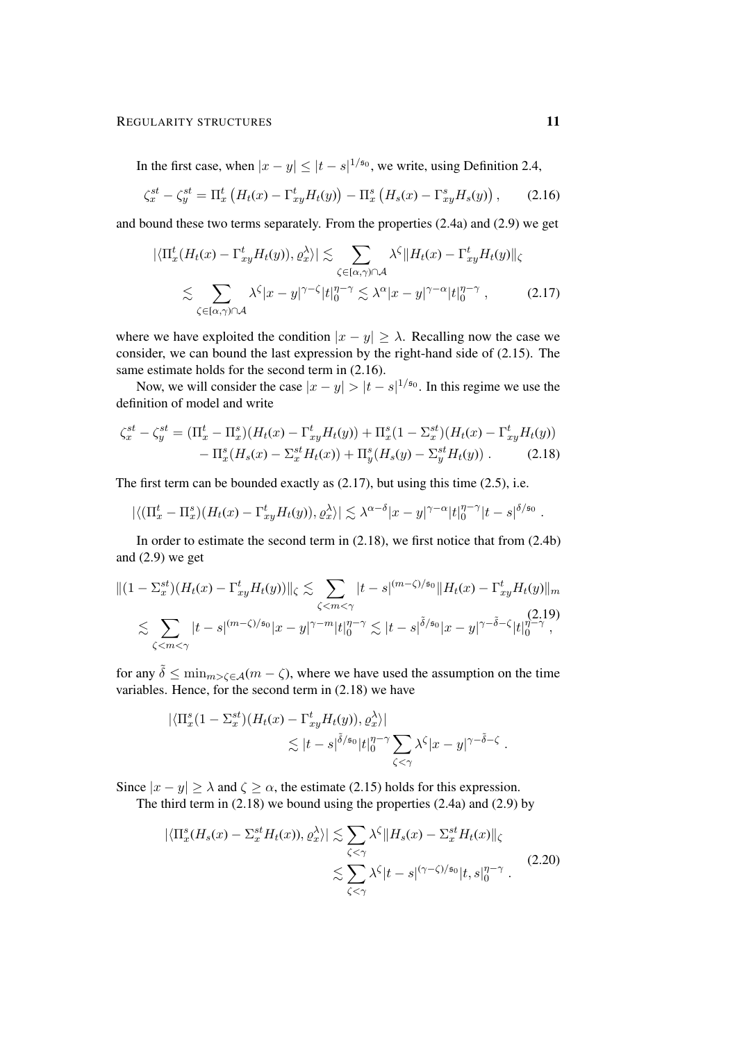In the first case, when  $|x-y| \le |t-s|^{1/50}$ , we write, using Definition [2.4,](#page-6-2)

$$
\zeta_x^{st} - \zeta_y^{st} = \Pi_x^t \left( H_t(x) - \Gamma_{xy}^t H_t(y) \right) - \Pi_x^s \left( H_s(x) - \Gamma_{xy}^s H_s(y) \right), \tag{2.16}
$$

and bound these two terms separately. From the properties [\(2.4a\)](#page-6-1) and [\(2.9\)](#page-8-0) we get

<span id="page-10-1"></span><span id="page-10-0"></span>
$$
\left| \langle \Pi_x^t (H_t(x) - \Gamma_{xy}^t H_t(y)), \varrho_x^{\lambda} \rangle \right| \lesssim \sum_{\zeta \in [\alpha, \gamma) \cap \mathcal{A}} \lambda^{\zeta} \| H_t(x) - \Gamma_{xy}^t H_t(y) \|_{\zeta}
$$
  

$$
\lesssim \sum_{\zeta \in [\alpha, \gamma) \cap \mathcal{A}} \lambda^{\zeta} |x - y|^{\gamma - \zeta} |t|_0^{\eta - \gamma} \lesssim \lambda^{\alpha} |x - y|^{\gamma - \alpha} |t|_0^{\eta - \gamma}, \tag{2.17}
$$

where we have exploited the condition  $|x - y| \ge \lambda$ . Recalling now the case we consider, we can bound the last expression by the right-hand side of [\(2.15\)](#page-9-1). The same estimate holds for the second term in [\(2.16\)](#page-10-0).

Now, we will consider the case  $|x-y| > |t-s|^{1/50}$ . In this regime we use the definition of model and write

$$
\zeta_x^{st} - \zeta_y^{st} = (\Pi_x^t - \Pi_x^s)(H_t(x) - \Gamma_{xy}^t H_t(y)) + \Pi_x^s (1 - \Sigma_x^{st})(H_t(x) - \Gamma_{xy}^t H_t(y)) - \Pi_x^s (H_s(x) - \Sigma_x^{st} H_t(x)) + \Pi_y^s (H_s(y) - \Sigma_y^{st} H_t(y)).
$$
 (2.18)

The first term can be bounded exactly as  $(2.17)$ , but using this time  $(2.5)$ , i.e.

<span id="page-10-2"></span>
$$
|\langle (\Pi_x^t - \Pi_x^s)(H_t(x) - \Gamma_{xy}^t H_t(y)), \varrho_x^{\lambda} \rangle| \lesssim \lambda^{\alpha-\delta} |x-y|^{\gamma-\alpha} |t|_0^{\eta-\gamma} |t-s|^{\delta/\mathfrak{s}_0}.
$$

In order to estimate the second term in [\(2.18\)](#page-10-2), we first notice that from [\(2.4b\)](#page-6-1) and  $(2.9)$  we get

$$
\|(1 - \Sigma_x^{st})(H_t(x) - \Gamma_{xy}^t H_t(y))\|_{\zeta} \lesssim \sum_{\zeta < m < \gamma} |t - s|^{(m - \zeta)/\mathfrak{s}_0} \|H_t(x) - \Gamma_{xy}^t H_t(y)\|_{m}
$$
\n
$$
\lesssim \sum_{\zeta < m < \gamma} |t - s|^{(m - \zeta)/\mathfrak{s}_0} |x - y|^{\gamma - m} |t|_0^{\eta - \gamma} \lesssim |t - s|^{\tilde{\delta}/\mathfrak{s}_0} |x - y|^{\gamma - \tilde{\delta} - \zeta} |t|_0^{\eta - \gamma},
$$
\n
$$
(2.19)
$$

for any  $\tilde{\delta} \leq \min_{m > \zeta \in \mathcal{A}} (m - \zeta)$ , where we have used the assumption on the time variables. Hence, for the second term in [\(2.18\)](#page-10-2) we have

<span id="page-10-4"></span>
$$
\begin{aligned} |\langle \Pi_x^s (1 - \Sigma_x^{st}) (H_t(x) - \Gamma_{xy}^t H_t(y)), \varrho_x^{\lambda} \rangle| \\ &\lesssim |t - s|^{\tilde{\delta}/\mathfrak{s}_0} |t|_0^{\eta - \gamma} \sum_{\zeta < \gamma} \lambda^{\zeta} |x - y|^{\gamma - \tilde{\delta} - \zeta} \; . \end{aligned}
$$

Since  $|x - y| \ge \lambda$  and  $\zeta \ge \alpha$ , the estimate [\(2.15\)](#page-9-1) holds for this expression.

The third term in [\(2.18\)](#page-10-2) we bound using the properties [\(2.4a\)](#page-6-1) and [\(2.9\)](#page-8-0) by

<span id="page-10-3"></span>
$$
\left| \langle \Pi_x^s(H_s(x) - \Sigma_x^{st} H_t(x)), \varrho_x^{\lambda} \rangle \right| \lesssim \sum_{\zeta < \gamma} \lambda^{\zeta} \| H_s(x) - \Sigma_x^{st} H_t(x) \|_{\zeta} \n\lesssim \sum_{\zeta < \gamma} \lambda^{\zeta} |t - s|^{(\gamma - \zeta)/s_0} |t, s|_0^{\eta - \gamma} . \tag{2.20}
$$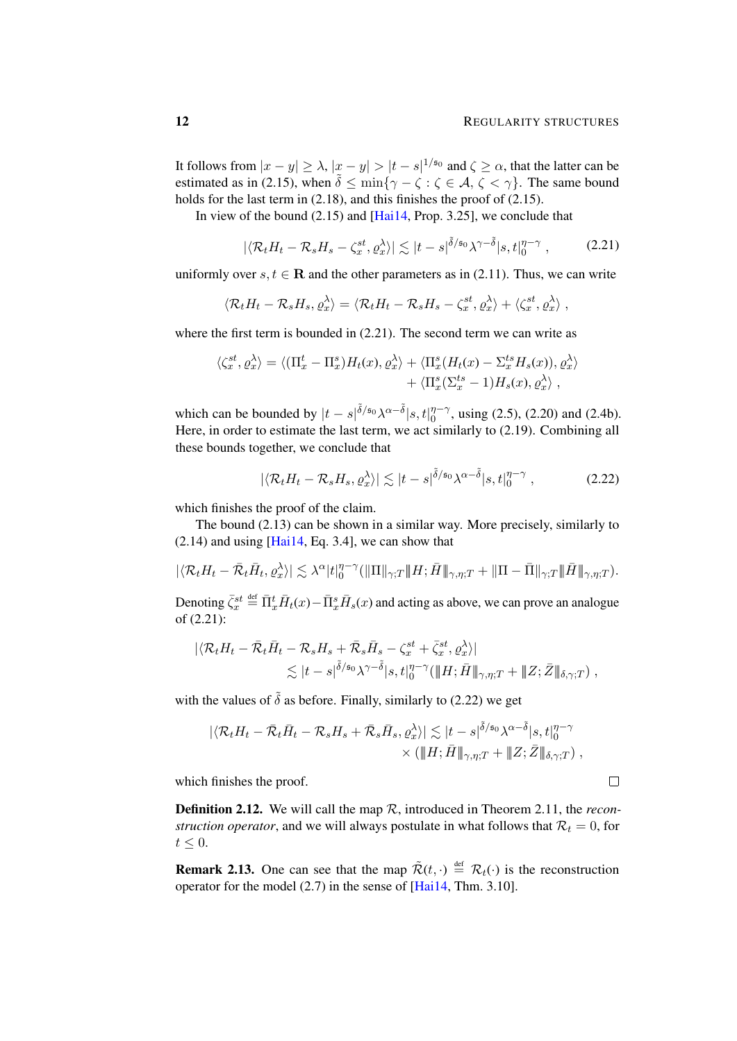It follows from  $|x-y| \ge \lambda$ ,  $|x-y| > |t-s|^{1/50}$  and  $\zeta \ge \alpha$ , that the latter can be estimated as in [\(2.15\)](#page-9-1), when  $\tilde{\delta} \le \min\{\gamma - \zeta : \zeta \in \mathcal{A}, \zeta < \gamma\}$ . The same bound holds for the last term in [\(2.18\)](#page-10-2), and this finishes the proof of [\(2.15\)](#page-9-1).

In view of the bound [\(2.15\)](#page-9-1) and [\[Hai14,](#page-47-0) Prop. 3.25], we conclude that

<span id="page-11-0"></span>
$$
|\langle \mathcal{R}_t H_t - \mathcal{R}_s H_s - \zeta_x^{st}, \varrho_x^{\lambda} \rangle| \lesssim |t - s|^{\tilde{\delta}/\mathfrak{s}_0} \lambda^{\gamma - \tilde{\delta}} |s, t|_0^{\eta - \gamma}, \tag{2.21}
$$

uniformly over  $s, t \in \mathbf{R}$  and the other parameters as in [\(2.11\)](#page-9-0). Thus, we can write

$$
\langle \mathcal{R}_t H_t - \mathcal{R}_s H_s, \varrho_x^{\lambda} \rangle = \langle \mathcal{R}_t H_t - \mathcal{R}_s H_s - \zeta_x^{st}, \varrho_x^{\lambda} \rangle + \langle \zeta_x^{st}, \varrho_x^{\lambda} \rangle,
$$

where the first term is bounded in  $(2.21)$ . The second term we can write as

$$
\langle \zeta_x^{st}, \varrho_x^{\lambda} \rangle = \langle (\Pi_x^t - \Pi_x^s) H_t(x), \varrho_x^{\lambda} \rangle + \langle \Pi_x^s (H_t(x) - \Sigma_x^{ts} H_s(x)), \varrho_x^{\lambda} \rangle + \langle \Pi_x^s (\Sigma_x^{ts} - 1) H_s(x), \varrho_x^{\lambda} \rangle,
$$

which can be bounded by  $|t-s|^{\tilde{\delta}/s_0} \lambda^{\alpha-\tilde{\delta}}|s,t|_0^{\eta-\gamma}$  $_{0}^{\eta-\gamma}$ , using [\(2.5\)](#page-7-0), [\(2.20\)](#page-10-3) and [\(2.4b\)](#page-6-1). Here, in order to estimate the last term, we act similarly to [\(2.19\)](#page-10-4). Combining all these bounds together, we conclude that

$$
|\langle \mathcal{R}_t H_t - \mathcal{R}_s H_s, \varrho_\alpha^\lambda \rangle| \lesssim |t - s|^{\tilde{\delta}/s_0} \lambda^{\alpha - \tilde{\delta}} |s, t|_0^{\eta - \gamma}, \tag{2.22}
$$

which finishes the proof of the claim.

The bound [\(2.13\)](#page-9-2) can be shown in a similar way. More precisely, similarly to  $(2.14)$  and using [\[Hai14,](#page-47-0) Eq. 3.4], we can show that

$$
|\langle \mathcal{R}_t H_t - \bar{\mathcal{R}}_t \bar{H}_t, \varrho_x^{\lambda} \rangle| \lesssim \lambda^{\alpha} |t|_0^{\eta-\gamma} (\|\Pi\|_{\gamma;T}\|H; \bar{H}\|_{\gamma,\eta;T} + \|\Pi - \bar{\Pi}\|_{\gamma;T}\|\bar{H}\|_{\gamma,\eta;T}).
$$

Denoting  $\bar{\zeta}_x^{st} \stackrel{\text{def}}{=} \bar{\Pi}_x^t \bar{H}_t(x) - \bar{\Pi}_x^s \bar{H}_s(x)$  and acting as above, we can prove an analogue of [\(2.21\)](#page-11-0):

$$
\begin{aligned} |\langle \mathcal{R}_t H_t - \bar{\mathcal{R}}_t \bar{H}_t - \mathcal{R}_s H_s + \bar{\mathcal{R}}_s \bar{H}_s - \zeta_x^{st} + \bar{\zeta}_x^{st}, \varrho_x^{\lambda} \rangle| \\ &\lesssim |t-s|^{\tilde{\delta}/\mathfrak{s}_0} \lambda^{\gamma - \tilde{\delta}} |s, t|_0^{\eta - \gamma} (\|H; \bar{H}\|_{\gamma, \eta; T} + \|Z; \bar{Z}\|_{\delta, \gamma; T}), \end{aligned}
$$

with the values of  $\tilde{\delta}$  as before. Finally, similarly to [\(2.22\)](#page-11-1) we get

$$
\begin{aligned} \|\langle \mathcal{R}_t H_t - \bar{\mathcal{R}}_t \bar{H}_t - \mathcal{R}_s H_s + \bar{\mathcal{R}}_s \bar{H}_s, \varrho_x^{\lambda} \rangle &\| \lesssim |t - s|^{\tilde{\delta}/\mathfrak{s}_0} \lambda^{\alpha - \tilde{\delta}} |s, t\|_0^{\eta - \gamma} \\ &\times (\|H; \bar{H}\|_{\gamma, \eta; T} + \|Z; \bar{Z}\|_{\delta, \gamma; T}), \end{aligned}
$$

which finishes the proof.

<span id="page-11-2"></span>Definition 2.12. We will call the map R, introduced in Theorem [2.11,](#page-9-4) the *reconstruction operator*, and we will always postulate in what follows that  $\mathcal{R}_t = 0$ , for  $t \leq 0$ .

<span id="page-11-3"></span>**Remark 2.13.** One can see that the map  $\tilde{\mathcal{R}}(t, \cdot) \stackrel{\text{def}}{=} \mathcal{R}_t(\cdot)$  is the reconstruction operator for the model [\(2.7\)](#page-7-2) in the sense of [\[Hai14,](#page-47-0) Thm. 3.10].

<span id="page-11-1"></span>
$$
\qquad \qquad \Box
$$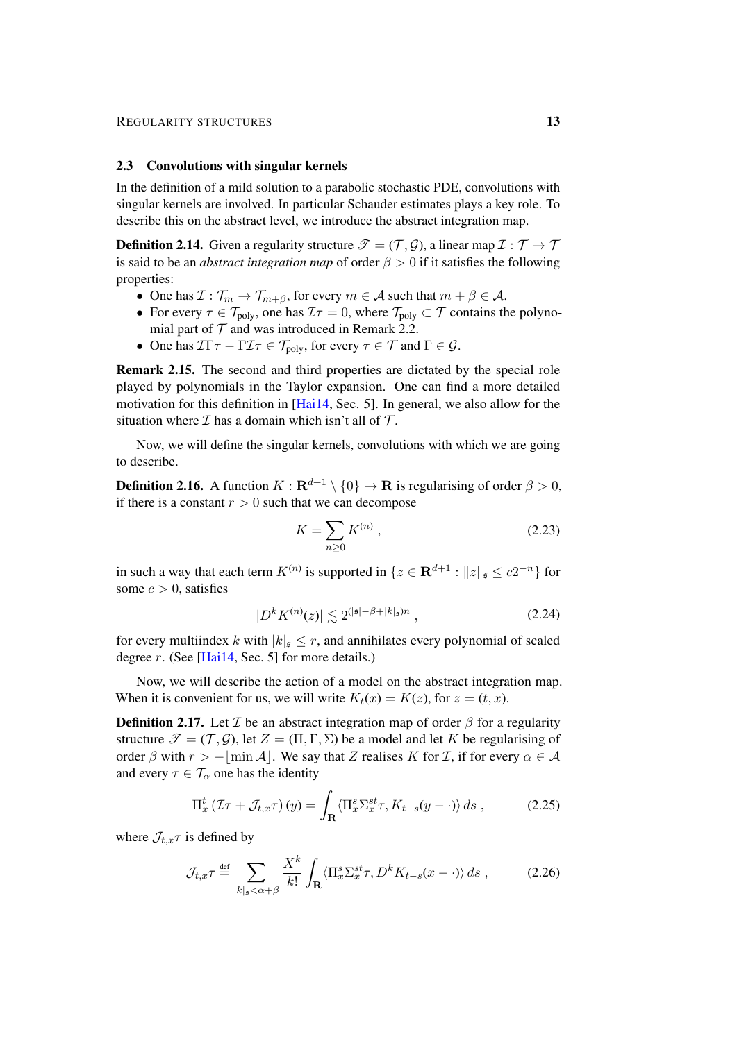#### 2.3 Convolutions with singular kernels

In the definition of a mild solution to a parabolic stochastic PDE, convolutions with singular kernels are involved. In particular Schauder estimates plays a key role. To describe this on the abstract level, we introduce the abstract integration map.

<span id="page-12-4"></span>**Definition 2.14.** Given a regularity structure  $\mathcal{T} = (\mathcal{T}, \mathcal{G})$ , a linear map  $\mathcal{I} : \mathcal{T} \to \mathcal{T}$ is said to be an *abstract integration map* of order  $\beta > 0$  if it satisfies the following properties:

- One has  $\mathcal{I}: \mathcal{T}_m \to \mathcal{T}_{m+\beta}$ , for every  $m \in \mathcal{A}$  such that  $m + \beta \in \mathcal{A}$ .
- For every  $\tau \in \mathcal{T}_{poly}$ , one has  $\mathcal{I}\tau = 0$ , where  $\mathcal{T}_{poly} \subset \mathcal{T}$  contains the polynomial part of  $T$  and was introduced in Remark [2.2.](#page-6-0)
- One has  $\mathcal{I}\Gamma\tau \Gamma\mathcal{I}\tau \in \mathcal{T}_{poly}$ , for every  $\tau \in \mathcal{T}$  and  $\Gamma \in \mathcal{G}$ .

Remark 2.15. The second and third properties are dictated by the special role played by polynomials in the Taylor expansion. One can find a more detailed motivation for this definition in [\[Hai14,](#page-47-0) Sec. 5]. In general, we also allow for the situation where  $\mathcal I$  has a domain which isn't all of  $\mathcal T$ .

Now, we will define the singular kernels, convolutions with which we are going to describe.

<span id="page-12-3"></span>**Definition 2.16.** A function  $K : \mathbf{R}^{d+1} \setminus \{0\} \to \mathbf{R}$  is regularising of order  $\beta > 0$ , if there is a constant  $r > 0$  such that we can decompose

<span id="page-12-5"></span><span id="page-12-2"></span>
$$
K = \sum_{n \ge 0} K^{(n)},
$$
\n(2.23)

in such a way that each term  $K^{(n)}$  is supported in  $\{z \in \mathbf{R}^{d+1} : ||z||_{\mathfrak{s}} \le c2^{-n}\}$  for some  $c > 0$ , satisfies

<span id="page-12-0"></span>
$$
|D^k K^{(n)}(z)| \lesssim 2^{(|\mathfrak{s}| - \beta + |k|_{\mathfrak{s}})n} , \qquad (2.24)
$$

for every multiindex k with  $|k|_{\mathfrak{s}} \leq r$ , and annihilates every polynomial of scaled degree r. (See [\[Hai14,](#page-47-0) Sec. 5] for more details.)

Now, we will describe the action of a model on the abstract integration map. When it is convenient for us, we will write  $K_t(x) = K(z)$ , for  $z = (t, x)$ .

**Definition 2.17.** Let  $\mathcal I$  be an abstract integration map of order  $\beta$  for a regularity structure  $\mathcal{T} = (\mathcal{T}, \mathcal{G})$ , let  $Z = (\Pi, \Gamma, \Sigma)$  be a model and let K be regularising of order  $\beta$  with  $r > -\vert \min A \vert$ . We say that Z realises K for I, if for every  $\alpha \in A$ and every  $\tau \in \mathcal{T}_{\alpha}$  one has the identity

<span id="page-12-1"></span>
$$
\Pi_x^t \left( \mathcal{I} \tau + \mathcal{J}_{t,x} \tau \right)(y) = \int_{\mathbf{R}} \langle \Pi_x^s \Sigma_x^{st} \tau, K_{t-s} (y - \cdot) \rangle ds , \qquad (2.25)
$$

where  $\mathcal{J}_{t,x} \tau$  is defined by

$$
\mathcal{J}_{t,x}\tau \stackrel{\text{def}}{=} \sum_{|k|_{\mathfrak{s}} < \alpha + \beta} \frac{X^k}{k!} \int_{\mathbf{R}} \langle \Pi_x^s \Sigma_x^{st} \tau, D^k K_{t-s}(x - \cdot) \rangle ds , \qquad (2.26)
$$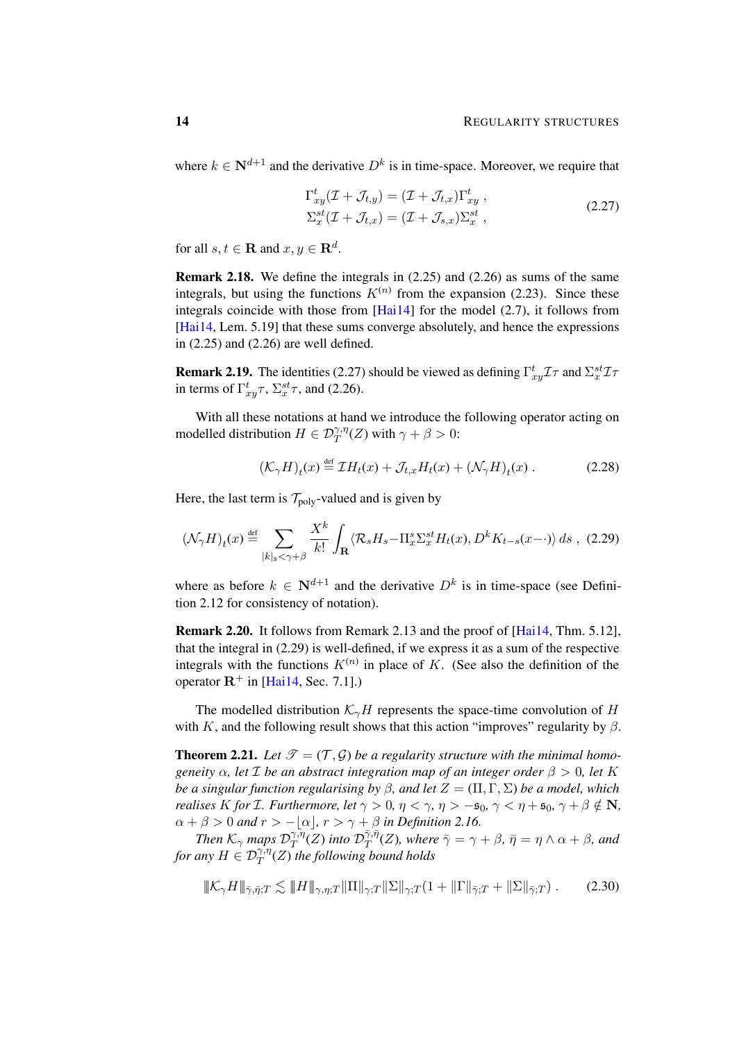where  $k \in \mathbb{N}^{d+1}$  and the derivative  $D^k$  is in time-space. Moreover, we require that

<span id="page-13-1"></span>
$$
\Gamma_{xy}^t(\mathcal{I} + \mathcal{J}_{t,y}) = (\mathcal{I} + \mathcal{J}_{t,x})\Gamma_{xy}^t ,
$$
  
\n
$$
\Sigma_x^{st}(\mathcal{I} + \mathcal{J}_{t,x}) = (\mathcal{I} + \mathcal{J}_{s,x})\Sigma_x^{st} ,
$$
\n(2.27)

for all  $s, t \in \mathbf{R}$  and  $x, y \in \mathbf{R}^d$ .

Remark 2.18. We define the integrals in [\(2.25\)](#page-12-0) and [\(2.26\)](#page-12-1) as sums of the same integrals, but using the functions  $K^{(n)}$  from the expansion [\(2.23\)](#page-12-2). Since these integrals coincide with those from [\[Hai14\]](#page-47-0) for the model [\(2.7\)](#page-7-2), it follows from [\[Hai14,](#page-47-0) Lem. 5.19] that these sums converge absolutely, and hence the expressions in [\(2.25\)](#page-12-0) and [\(2.26\)](#page-12-1) are well defined.

**Remark 2.19.** The identities [\(2.27\)](#page-13-1) should be viewed as defining  $\Gamma^t_{xy} \mathcal{I} \tau$  and  $\Sigma_x^{st} \mathcal{I} \tau$ in terms of  $\Gamma^t_{xy}\tau$ ,  $\Sigma^{st}_{x}\tau$ , and [\(2.26\)](#page-12-1).

With all these notations at hand we introduce the following operator acting on modelled distribution  $H \in \mathcal{D}^{\gamma,\eta}_T(Z)$  with  $\gamma + \beta > 0$ :

<span id="page-13-3"></span><span id="page-13-2"></span>
$$
(\mathcal{K}_{\gamma}H)_t(x) \stackrel{\text{def}}{=} \mathcal{I}H_t(x) + \mathcal{J}_{t,x}H_t(x) + (\mathcal{N}_{\gamma}H)_t(x) \,. \tag{2.28}
$$

Here, the last term is  $T_{\text{poly}}$ -valued and is given by

$$
(\mathcal{N}_{\gamma}H)_t(x) \stackrel{\text{def}}{=} \sum_{|k|_{s} < \gamma + \beta} \frac{X^k}{k!} \int_{\mathbf{R}} \langle \mathcal{R}_s H_s - \Pi_x^s \Sigma_x^{st} H_t(x), D^k K_{t-s}(x - \cdot) \rangle ds , (2.29)
$$

where as before  $k \in \mathbb{N}^{d+1}$  and the derivative  $D^k$  is in time-space (see Definition [2.12](#page-11-2) for consistency of notation).

Remark 2.20. It follows from Remark [2.13](#page-11-3) and the proof of [\[Hai14,](#page-47-0) Thm. 5.12], that the integral in [\(2.29\)](#page-13-2) is well-defined, if we express it as a sum of the respective integrals with the functions  $K^{(n)}$  in place of K. (See also the definition of the operator  $\mathbb{R}^+$  in [\[Hai14,](#page-47-0) Sec. 7.1].)

The modelled distribution  $K_{\gamma}H$  represents the space-time convolution of H with K, and the following result shows that this action "improves" regularity by  $\beta$ .

<span id="page-13-0"></span>**Theorem 2.21.** Let  $\mathcal{T} = (\mathcal{T}, \mathcal{G})$  be a regularity structure with the minimal homo*geneity*  $\alpha$ , *let*  $\mathcal{I}$  *be an abstract integration map of an integer order*  $\beta > 0$ , *let*  $K$ *be a singular function regularising by*  $\beta$ *, and let*  $Z = (\Pi, \Gamma, \Sigma)$  *be a model, which realises* K for *I*. Furthermore, let  $\gamma > 0$ ,  $\eta < \gamma$ ,  $\eta > -\epsilon_0$ ,  $\gamma < \eta + \epsilon_0$ ,  $\gamma + \beta \notin \mathbb{N}$ ,  $\alpha + \beta > 0$  *and*  $r > -|\alpha|$ ,  $r > \gamma + \beta$  *in Definition [2.16.](#page-12-3)* 

*Then*  $\mathcal{K}_{\gamma}$  *maps*  $\mathcal{D}_{T}^{\gamma,\eta}$  $\int_T^{\gamma,\bar{\eta}}(Z)$  into  $\mathcal{D}^{\bar{\gamma},\bar{\eta}}_T$  $T^{\gamma,\eta}_{T}(Z)$ *, where*  $\bar{\gamma} = \gamma + \beta$ *,*  $\bar{\eta} = \eta \wedge \alpha + \beta$ *, and* for any  $H \in \mathcal{D}^{\gamma,\eta}_T(Z)$  the following bound holds

<span id="page-13-4"></span>
$$
\|\mathcal{K}_{\gamma}H\|_{\bar{\gamma},\bar{\eta};T} \lesssim \|H\|_{\gamma,\eta;T} \|\Pi\|_{\gamma;T} \|\Sigma\|_{\gamma;T} (1 + \|\Gamma\|_{\bar{\gamma};T} + \|\Sigma\|_{\bar{\gamma};T}). \tag{2.30}
$$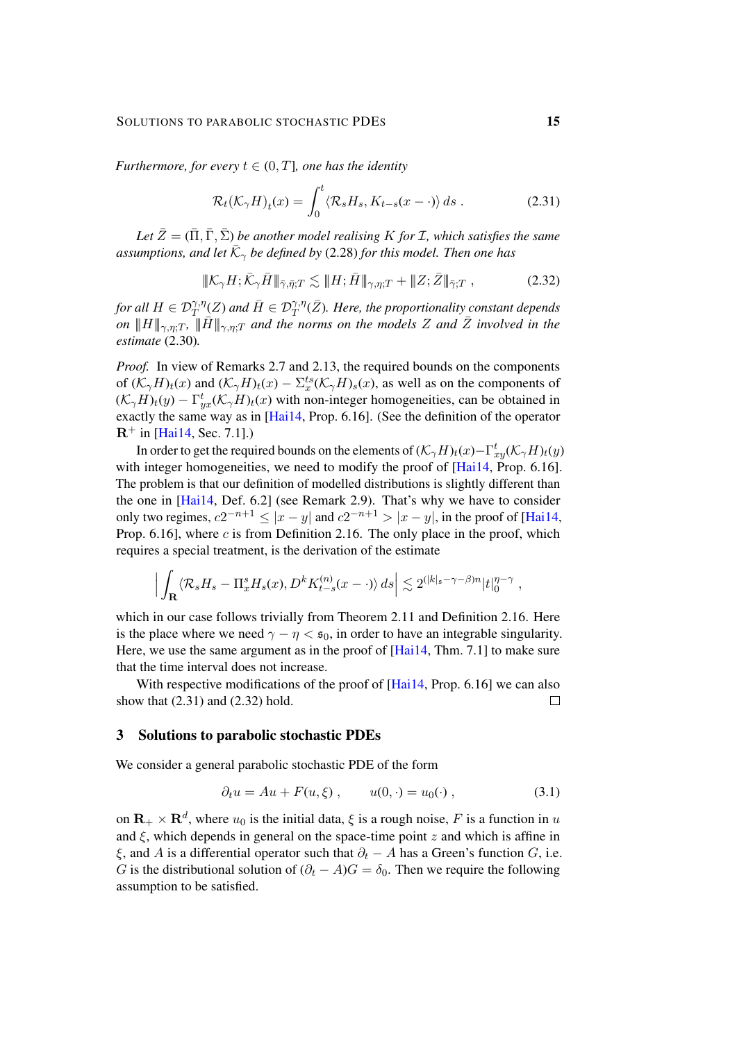*Furthermore, for every*  $t \in (0, T]$ *, one has the identity* 

<span id="page-14-2"></span><span id="page-14-1"></span>
$$
\mathcal{R}_t(\mathcal{K}_{\gamma}H)_t(x) = \int_0^t \langle \mathcal{R}_s H_s, K_{t-s}(x - \cdot) \rangle ds . \tag{2.31}
$$

*Let*  $\bar{Z} = (\bar{\Pi}, \bar{\Gamma}, \bar{\Sigma})$  *be another model realising* K *for I*, which satisfies the same assumptions, and let  $\bar{\mathcal{K}}_{\gamma}$  be defined by [\(2.28\)](#page-13-3) for this model. Then one has

$$
\|\mathcal{K}_{\gamma}H;\bar{\mathcal{K}}_{\gamma}\bar{H}\|_{\bar{\gamma},\bar{\eta};T} \lesssim \|\bar{H};\bar{H}\|_{\gamma,\eta;T} + \|Z;\bar{Z}\|_{\bar{\gamma};T}, \qquad (2.32)
$$

for all  $H\in\mathcal{D}^{\gamma,\eta}_{T} (Z)$  and  $\bar{H}\in\mathcal{D}^{\gamma,\eta}_{T} (\bar{Z}).$  Here, the proportionality constant depends *on*  $||H||_{\gamma,\eta;T}$ ,  $||\bar{H}||_{\gamma,\eta;T}$  *and the norms on the models* Z *and*  $\bar{Z}$  *involved in the estimate* [\(2.30\)](#page-13-4)*.*

*Proof.* In view of Remarks [2.7](#page-7-3) and [2.13,](#page-11-3) the required bounds on the components of  $(\mathcal{K}_{\gamma}H)_t(x)$  and  $(\mathcal{K}_{\gamma}H)_t(x) - \Sigma_x^{ts}(\mathcal{K}_{\gamma}H)_s(x)$ , as well as on the components of  $(\mathcal{K}_{\gamma}H)_t(y) - \Gamma^t_{yx}(\mathcal{K}_{\gamma}H)_t(x)$  with non-integer homogeneities, can be obtained in exactly the same way as in [\[Hai14,](#page-47-0) Prop. 6.16]. (See the definition of the operator  $R^{+}$  in [\[Hai14,](#page-47-0) Sec. 7.1].)

In order to get the required bounds on the elements of  $(\mathcal{K}_{\gamma}H)_t(x) - \Gamma^t_{xy}(\mathcal{K}_{\gamma}H)_t(y)$ with integer homogeneities, we need to modify the proof of  $[Hai14, Prop. 6.16]$  $[Hai14, Prop. 6.16]$ . The problem is that our definition of modelled distributions is slightly different than the one in [\[Hai14,](#page-47-0) Def. 6.2] (see Remark [2.9\)](#page-8-2). That's why we have to consider only two regimes,  $c2^{-n+1} \le |x-y|$  and  $c2^{-n+1} > |x-y|$ , in the proof of [\[Hai14,](#page-47-0) Prop.  $6.16$ ], where c is from Definition [2.16.](#page-12-3) The only place in the proof, which requires a special treatment, is the derivation of the estimate

$$
\Big|\int_{\mathbf{R}}\langle \mathcal{R}_s H_s - \Pi^s_x H_s(x), D^k K^{(n)}_{t-s}(x-\cdot)\rangle ds\Big| \lesssim 2^{(|k|_s - \gamma - \beta)n} |t|_0^{\eta - \gamma},
$$

which in our case follows trivially from Theorem [2.11](#page-9-4) and Definition [2.16.](#page-12-3) Here is the place where we need  $\gamma - \eta < \mathfrak{s}_0$ , in order to have an integrable singularity. Here, we use the same argument as in the proof of [\[Hai14,](#page-47-0) Thm. 7.1] to make sure that the time interval does not increase.

With respective modifications of the proof of [\[Hai14,](#page-47-0) Prop. 6.16] we can also show that [\(2.31\)](#page-14-1) and [\(2.32\)](#page-14-2) hold.  $\Box$ 

## <span id="page-14-0"></span>3 Solutions to parabolic stochastic PDEs

We consider a general parabolic stochastic PDE of the form

<span id="page-14-3"></span>
$$
\partial_t u = Au + F(u, \xi) , \qquad u(0, \cdot) = u_0(\cdot) , \qquad (3.1)
$$

on  $\mathbf{R}_{+} \times \mathbf{R}^{d}$ , where  $u_{0}$  is the initial data,  $\xi$  is a rough noise, F is a function in  $u$ and  $\xi$ , which depends in general on the space-time point z and which is affine in ξ, and A is a differential operator such that  $\partial_t - A$  has a Green's function G, i.e. G is the distributional solution of  $(\partial_t - A)G = \delta_0$ . Then we require the following assumption to be satisfied.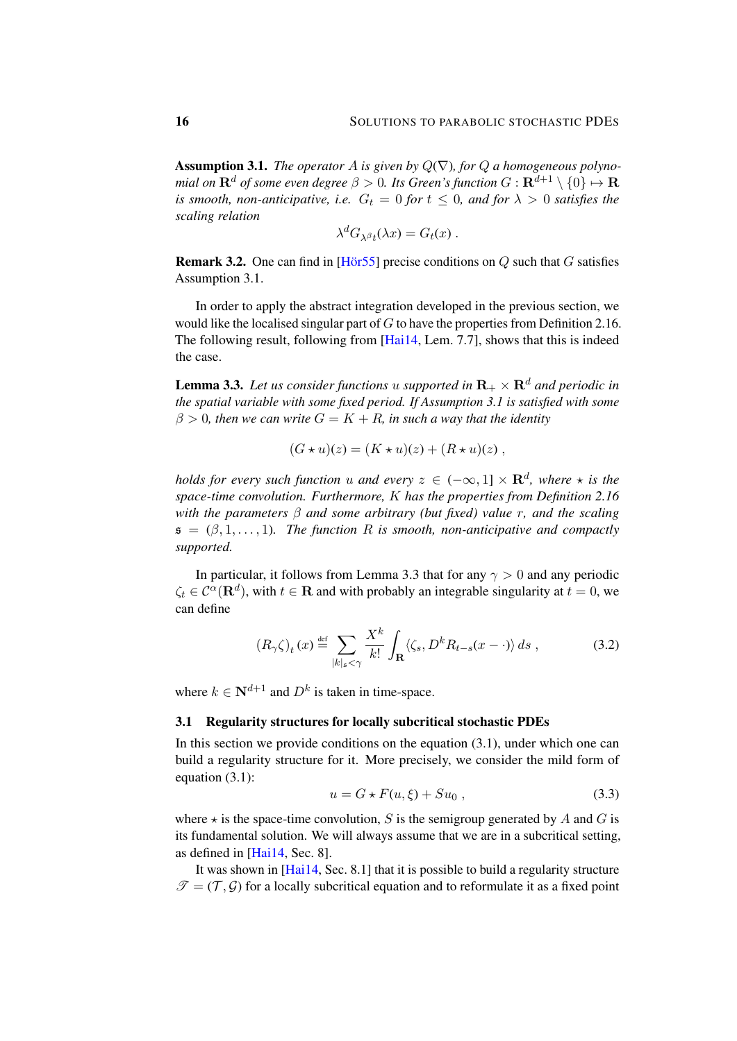<span id="page-15-0"></span>**Assumption 3.1.** *The operator A is given by*  $Q(\nabla)$ *, for*  $Q$  *a homogeneous polynomial on*  $\mathbf{R}^d$  *of some even degree*  $\beta > 0$ *. Its Green's function*  $G : \mathbf{R}^{d+1} \setminus \{0\} \mapsto \mathbf{R}$ *is smooth, non-anticipative, i.e.*  $G_t = 0$  *for*  $t \le 0$ *, and for*  $\lambda > 0$  *satisfies the scaling relation*

$$
\lambda^d G_{\lambda^\beta t}(\lambda x) = G_t(x) .
$$

**Remark 3.2.** One can find in [\[Hor55](#page-48-14)] precise conditions on  $Q$  such that  $G$  satisfies Assumption [3.1.](#page-15-0)

In order to apply the abstract integration developed in the previous section, we would like the localised singular part of  $G$  to have the properties from Definition [2.16.](#page-12-3) The following result, following from [\[Hai14,](#page-47-0) Lem. 7.7], shows that this is indeed the case.

<span id="page-15-1"></span>**Lemma 3.3.** Let us consider functions u supported in  $\mathbf{R}_{+} \times \mathbf{R}^{d}$  and periodic in *the spatial variable with some fixed period. If Assumption [3.1](#page-15-0) is satisfied with some*  $\beta > 0$ , then we can write  $G = K + R$ , in such a way that the identity

$$
(G \star u)(z) = (K \star u)(z) + (R \star u)(z) ,
$$

*holds for every such function u and every*  $z \in (-\infty, 1] \times \mathbf{R}^d$ , where  $\star$  is the *space-time convolution. Furthermore,* K *has the properties from Definition [2.16](#page-12-3) with the parameters* β *and some arbitrary (but fixed) value* r*, and the scaling*  $\mathfrak{s} = (\beta, 1, \ldots, 1)$ . The function R is smooth, non-anticipative and compactly *supported.*

In particular, it follows from Lemma [3.3](#page-15-1) that for any  $\gamma > 0$  and any periodic  $\zeta_t \in C^{\alpha}(\mathbf{R}^d)$ , with  $t \in \mathbf{R}$  and with probably an integrable singularity at  $t = 0$ , we can define

$$
(R_{\gamma}\zeta)_{t}(x) \stackrel{\text{def}}{=} \sum_{|k|_{\mathfrak{s}} < \gamma} \frac{X^{k}}{k!} \int_{\mathbf{R}} \langle \zeta_{s}, D^{k} R_{t-s}(x - \cdot) \rangle ds , \qquad (3.2)
$$

where  $k \in \mathbb{N}^{d+1}$  and  $D^k$  is taken in time-space.

## <span id="page-15-4"></span>3.1 Regularity structures for locally subcritical stochastic PDEs

In this section we provide conditions on the equation  $(3.1)$ , under which one can build a regularity structure for it. More precisely, we consider the mild form of equation [\(3.1\)](#page-14-3):

<span id="page-15-3"></span><span id="page-15-2"></span>
$$
u = G \star F(u, \xi) + Su_0 , \qquad (3.3)
$$

where  $\star$  is the space-time convolution, S is the semigroup generated by A and G is its fundamental solution. We will always assume that we are in a subcritical setting, as defined in [\[Hai14,](#page-47-0) Sec. 8].

It was shown in [\[Hai14,](#page-47-0) Sec. 8.1] that it is possible to build a regularity structure  $\mathcal{T} = (\mathcal{T}, \mathcal{G})$  for a locally subcritical equation and to reformulate it as a fixed point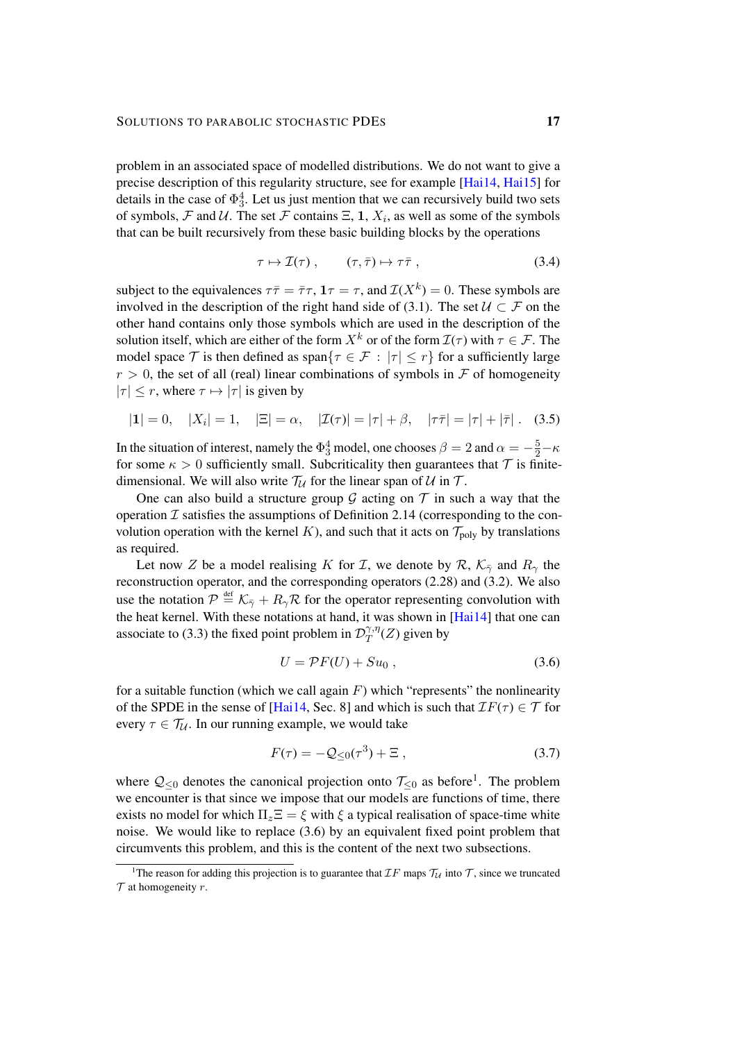problem in an associated space of modelled distributions. We do not want to give a precise description of this regularity structure, see for example [\[Hai14,](#page-47-0) [Hai15\]](#page-47-12) for details in the case of  $\Phi_3^4$ . Let us just mention that we can recursively build two sets of symbols, F and U. The set F contains  $\Xi$ , 1,  $X_i$ , as well as some of the symbols that can be built recursively from these basic building blocks by the operations

<span id="page-16-2"></span>
$$
\tau \mapsto \mathcal{I}(\tau) , \qquad (\tau, \bar{\tau}) \mapsto \tau \bar{\tau} , \qquad (3.4)
$$

subject to the equivalences  $\tau \bar{\tau} = \bar{\tau} \tau$ ,  $1\tau = \tau$ , and  $\mathcal{I}(X^k) = 0$ . These symbols are involved in the description of the right hand side of [\(3.1\)](#page-14-3). The set  $U \subset \mathcal{F}$  on the other hand contains only those symbols which are used in the description of the solution itself, which are either of the form  $X^k$  or of the form  $\mathcal{I}(\tau)$  with  $\tau \in \mathcal{F}$ . The model space T is then defined as span $\{\tau \in \mathcal{F} : |\tau| \leq r\}$  for a sufficiently large  $r > 0$ , the set of all (real) linear combinations of symbols in F of homogeneity  $|\tau| \leq r$ , where  $\tau \mapsto |\tau|$  is given by

$$
|1| = 0, \quad |X_i| = 1, \quad |\Xi| = \alpha, \quad |Z(\tau)| = |\tau| + \beta, \quad |\tau\bar{\tau}| = |\tau| + |\bar{\tau}|. \quad (3.5)
$$

In the situation of interest, namely the  $\Phi_3^4$  model, one chooses  $\beta = 2$  and  $\alpha = -\frac{5}{2} - \kappa$ for some  $\kappa > 0$  sufficiently small. Subcriticality then guarantees that  $\mathcal T$  is finitedimensional. We will also write  $T_U$  for the linear span of U in T.

One can also build a structure group  $G$  acting on  $T$  in such a way that the operation  $\mathcal I$  satisfies the assumptions of Definition [2.14](#page-12-4) (corresponding to the convolution operation with the kernel K), and such that it acts on  $\mathcal{T}_{poly}$  by translations as required.

Let now Z be a model realising K for I, we denote by R,  $K_{\bar{y}}$  and  $R_{\gamma}$  the reconstruction operator, and the corresponding operators [\(2.28\)](#page-13-3) and [\(3.2\)](#page-15-2). We also use the notation  $P \stackrel{\text{def}}{=} \mathcal{K}_{\bar{\gamma}} + R_{\gamma}\mathcal{R}$  for the operator representing convolution with the heat kernel. With these notations at hand, it was shown in [\[Hai14\]](#page-47-0) that one can associate to [\(3.3\)](#page-15-3) the fixed point problem in  $\mathcal{D}_T^{\gamma,\eta}$  $T^{^{\gamma,\eta}(Z)}$  given by

<span id="page-16-1"></span>
$$
U = \mathcal{P}F(U) + Su_0 , \qquad (3.6)
$$

for a suitable function (which we call again  $F$ ) which "represents" the nonlinearity of the SPDE in the sense of [\[Hai14,](#page-47-0) Sec. 8] and which is such that  $TF(\tau) \in \mathcal{T}$  for every  $\tau \in \mathcal{T}_{\mathcal{U}}$ . In our running example, we would take

<span id="page-16-3"></span>
$$
F(\tau) = -Q_{\leq 0}(\tau^3) + \Xi \,, \tag{3.7}
$$

where  $\mathcal{Q}_{\leq 0}$  denotes the canonical projection onto  $\mathcal{T}_{\leq 0}$  as before<sup>[1](#page-16-0)</sup>. The problem we encounter is that since we impose that our models are functions of time, there exists no model for which  $\Pi_z \Xi = \xi$  with  $\xi$  a typical realisation of space-time white noise. We would like to replace [\(3.6\)](#page-16-1) by an equivalent fixed point problem that circumvents this problem, and this is the content of the next two subsections.

<span id="page-16-0"></span><sup>&</sup>lt;sup>1</sup>The reason for adding this projection is to guarantee that  $IF$  maps  $T_U$  into T, since we truncated  $\mathcal T$  at homogeneity  $r$ .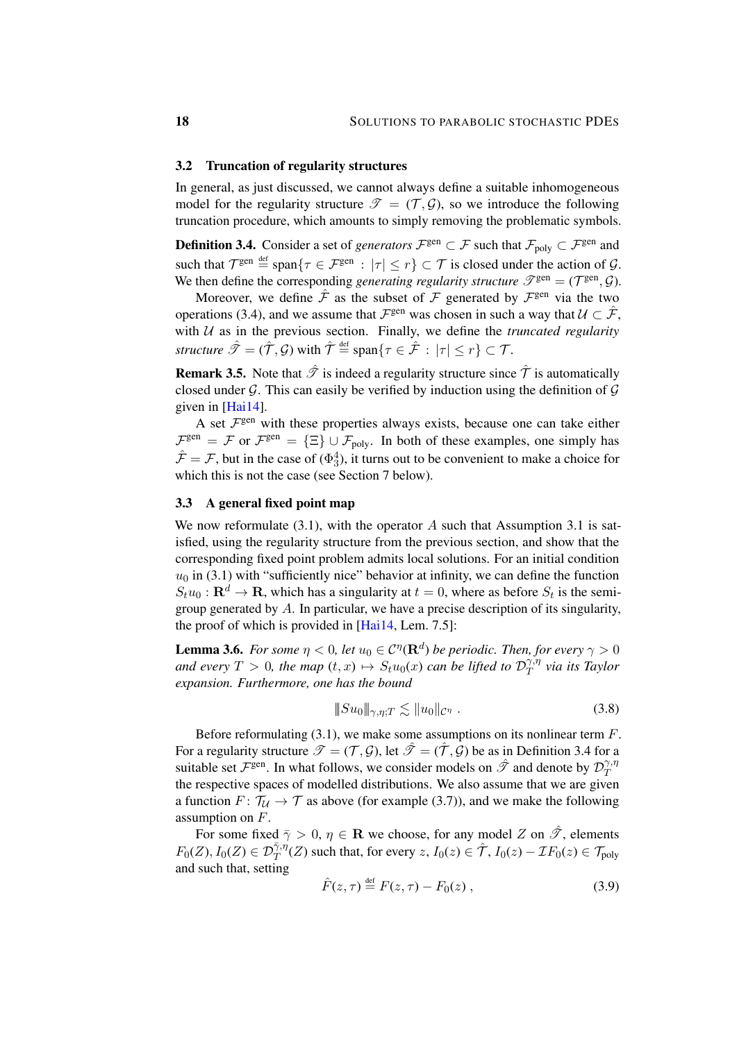#### <span id="page-17-3"></span>3.2 Truncation of regularity structures

In general, as just discussed, we cannot always define a suitable inhomogeneous model for the regularity structure  $\mathcal{T} = (\mathcal{T}, \mathcal{G})$ , so we introduce the following truncation procedure, which amounts to simply removing the problematic symbols.

<span id="page-17-0"></span>**Definition 3.4.** Consider a set of *generators*  $\mathcal{F}^{gen} \subset \mathcal{F}$  such that  $\mathcal{F}_{poly} \subset \mathcal{F}^{gen}$  and such that  $\mathcal{T}^{\text{gen}} \stackrel{\text{def}}{=} \text{span}\{\tau \in \mathcal{F}^{\text{gen}} : |\tau| \le r\} \subset \mathcal{T}$  is closed under the action of  $\mathcal{G}$ . We then define the corresponding *generating regularity structure*  $\mathscr{T}^{\text{gen}} = (\mathcal{T}^{\text{gen}}, \mathcal{G})$ .

Moreover, we define  $\hat{\mathcal{F}}$  as the subset of  $\mathcal F$  generated by  $\mathcal F^{\text{gen}}$  via the two operations [\(3.4\)](#page-16-2), and we assume that  $\mathcal{F}^{\text{gen}}$  was chosen in such a way that  $\mathcal{U} \subset \hat{\mathcal{F}}$ , with  $U$  as in the previous section. Finally, we define the *truncated regularity structure*  $\hat{\mathscr{T}} = (\hat{\mathcal{T}}, \mathcal{G})$  with  $\hat{\mathcal{T}} \stackrel{\text{def}}{=} \text{span}\{\tau \in \hat{\mathcal{F}} \, : \, |\tau| \leq r\} \subset \mathcal{T}$ .

**Remark 3.5.** Note that  $\hat{\mathcal{T}}$  is indeed a regularity structure since  $\hat{\mathcal{T}}$  is automatically closed under  $G$ . This can easily be verified by induction using the definition of  $G$ given in [\[Hai14\]](#page-47-0).

A set  $\mathcal{F}^{\text{gen}}$  with these properties always exists, because one can take either  $\mathcal{F}^{\text{gen}} = \mathcal{F}$  or  $\mathcal{F}^{\text{gen}} = {\Xi} \cup \mathcal{F}_{\text{poly}}$ . In both of these examples, one simply has  $\hat{\mathcal{F}} = \mathcal{F}$ , but in the case of  $(\Phi_3^4)$ , it turns out to be convenient to make a choice for which this is not the case (see Section [7](#page-39-0) below).

## 3.3 A general fixed point map

We now reformulate  $(3.1)$ , with the operator A such that Assumption [3.1](#page-15-0) is satisfied, using the regularity structure from the previous section, and show that the corresponding fixed point problem admits local solutions. For an initial condition  $u_0$  in [\(3.1\)](#page-14-3) with "sufficiently nice" behavior at infinity, we can define the function  $S_t u_0 : \mathbf{R}^d \to \mathbf{R}$ , which has a singularity at  $t = 0$ , where as before  $S_t$  is the semigroup generated by A. In particular, we have a precise description of its singularity, the proof of which is provided in [\[Hai14,](#page-47-0) Lem. 7.5]:

<span id="page-17-1"></span>**Lemma 3.6.** *For some*  $\eta < 0$ , let  $u_0 \in C^{\eta}(\mathbf{R}^d)$  be periodic. Then, for every  $\gamma > 0$ *and every*  $T > 0$ , the map  $(t, x) \mapsto S_t u_0(x)$  *can be lifted to*  $\mathcal{D}_T^{\gamma, \eta}$  $T^{ \gamma, \eta}_{T}$  via its Taylor *expansion. Furthermore, one has the bound*

$$
|\!|\!| Su_0|\!|\!|_{\gamma,\eta;T} \lesssim |\!|u_0|\!|\!|_{\mathcal{C}^\eta} \ . \tag{3.8}
$$

Before reformulating  $(3.1)$ , we make some assumptions on its nonlinear term  $F$ . For a regularity structure  $\mathcal{T} = (\mathcal{T}, \mathcal{G})$ , let  $\hat{\mathcal{T}} = (\hat{\mathcal{T}}, \mathcal{G})$  be as in Definition [3.4](#page-17-0) for a suitable set  $\mathcal{F}^{\text{gen}}$ . In what follows, we consider models on  $\hat{\mathcal{F}}$  and denote by  $\mathcal{D}_T^{\gamma,\eta}$ T the respective spaces of modelled distributions. We also assume that we are given a function  $F: \mathcal{T}_U \to \mathcal{T}$  as above (for example [\(3.7\)](#page-16-3)), and we make the following assumption on F.

For some fixed  $\bar{\gamma} > 0$ ,  $\eta \in \mathbb{R}$  we choose, for any model Z on  $\hat{\mathcal{T}}$ , elements  $F_0(Z), I_0(Z) \in \mathcal{D}_T^{\bar{\gamma},\bar{\eta}}(Z)$  such that, for every  $z, I_0(z) \in \hat{\mathcal{T}}, I_0(z) - \mathcal{I}F_0(z) \in \mathcal{T}_{poly}$ and such that, setting

<span id="page-17-2"></span>
$$
\hat{F}(z,\tau) \stackrel{\text{def}}{=} F(z,\tau) - F_0(z) , \qquad (3.9)
$$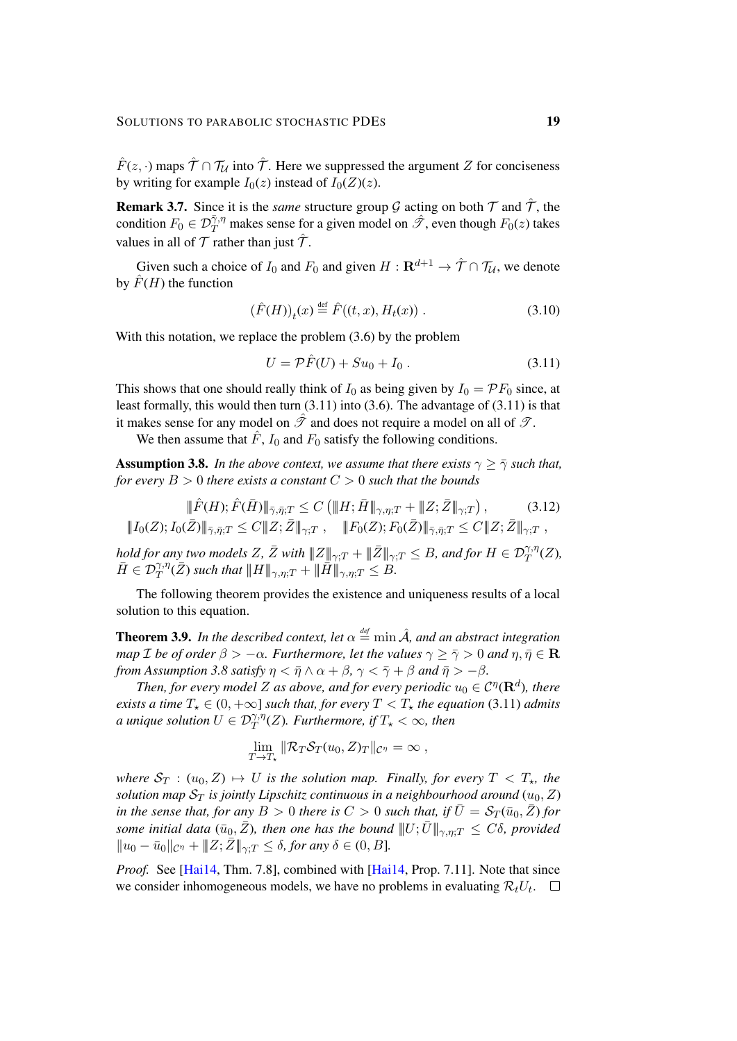$\hat{F}(z, \cdot)$  maps  $\hat{\mathcal{T}} \cap \mathcal{T}_\mathcal{U}$  into  $\hat{\mathcal{T}}$ . Here we suppressed the argument Z for conciseness by writing for example  $I_0(z)$  instead of  $I_0(Z)(z)$ .

**Remark 3.7.** Since it is the *same* structure group G acting on both  $\mathcal{T}$  and  $\hat{\mathcal{T}}$ , the condition  $F_0 \in \mathcal{D}^{\bar{\gamma},\eta}_T$  makes sense for a given model on  $\hat{\mathcal{F}}$ , even though  $F_0(z)$  takes values in all of  $\mathcal T$  rather than just  $\hat{\mathcal T}$ .

Given such a choice of  $I_0$  and  $F_0$  and given  $H: \mathbf{R}^{d+1} \to \hat{\mathcal{T}} \cap \mathcal{T}_\mathcal{U}$ , we denote by  $\hat{F}(H)$  the function

$$
(\hat{F}(H))_t(x) \stackrel{\text{def}}{=} \hat{F}((t,x), H_t(x)) . \tag{3.10}
$$

With this notation, we replace the problem  $(3.6)$  by the problem

<span id="page-18-4"></span><span id="page-18-3"></span><span id="page-18-0"></span>
$$
U = \mathcal{P}\hat{F}(U) + Su_0 + I_0.
$$
 (3.11)

This shows that one should really think of  $I_0$  as being given by  $I_0 = \mathcal{P}F_0$  since, at least formally, this would then turn [\(3.11\)](#page-18-0) into [\(3.6\)](#page-16-1). The advantage of [\(3.11\)](#page-18-0) is that it makes sense for any model on  $\hat{\mathcal{T}}$  and does not require a model on all of  $\mathcal{T}$ .

We then assume that  $\hat{F}$ ,  $I_0$  and  $F_0$  satisfy the following conditions.

<span id="page-18-1"></span>**Assumption 3.8.** *In the above context, we assume that there exists*  $\gamma \geq \overline{\gamma}$  *such that, for every*  $B > 0$  *there exists a constant*  $C > 0$  *such that the bounds* 

$$
\|\hat{F}(H); \hat{F}(\bar{H})\|_{\bar{\gamma},\bar{\eta};T} \le C \left(\|H; \bar{H}\|_{\gamma,\eta;T} + \|Z; \bar{Z}\|_{\gamma;T}\right),\tag{3.12}
$$
  

$$
\|I_0(Z); I_0(\bar{Z})\|_{\bar{\gamma},\bar{\eta};T} \le C \|Z; \bar{Z}\|_{\gamma;T}, \quad \|F_0(Z); F_0(\bar{Z})\|_{\bar{\gamma},\bar{\eta};T} \le C \|Z; \bar{Z}\|_{\gamma;T},
$$

*hold for any two models Z,*  $\bar{Z}$  *with*  $|\!|\!| Z |\!|\!|_{\gamma;T} + |\!|\!| \bar{Z} |\!|\!|_{\gamma;T} \leq B$ *, and for*  $H\in \mathcal{D}^{\gamma,\eta}_T(Z)$ *,*  $\bar{H}\in \mathcal{D}^{\gamma,\eta}_{T}(\bar{Z})$  such that  $|\!|\!| H |\!|\!|_{\gamma,\eta;T}+\|\bar{\bar{H}}\|\!|\!|_{\gamma,\eta;T}\leq B.$ 

The following theorem provides the existence and uniqueness results of a local solution to this equation.

<span id="page-18-2"></span>**Theorem 3.9.** In the described context, let  $\alpha \stackrel{\text{def}}{=} \min \hat{A}$ , and an abstract integration *map I be of order*  $\beta > -\alpha$ *. Furthermore, let the values*  $\gamma \geq \overline{\gamma} > 0$  *and*  $\eta, \overline{\eta} \in \mathbb{R}$ *from Assumption* [3.8](#page-18-1) *satisfy*  $\eta < \bar{\eta} \wedge \alpha + \beta$ ,  $\gamma < \bar{\gamma} + \beta$  *and*  $\bar{\eta} > -\beta$ *.* 

Then, for every model Z as above, and for every periodic  $u_0 \in C^{\eta}(\mathbf{R}^d)$ , there *exists a time*  $T_* \in (0, +\infty]$  *such that, for every*  $T < T_*$  *the equation* [\(3.11\)](#page-18-0) *admits a unique solution*  $U \in \mathcal{D}^{\gamma,\eta}_T(Z)$ *. Furthermore, if*  $T_\star < \infty$ *, then* 

$$
\lim_{T\to T_{\star}}\|\mathcal{R}_T\mathcal{S}_T(u_0,Z)_T\|_{\mathcal{C}^{\eta}}=\infty,
$$

*where*  $S_T$  :  $(u_0, Z) \mapsto U$  *is the solution map. Finally, for every*  $T < T_{\star}$ *, the solution map*  $S_T$  *is jointly Lipschitz continuous in a neighbourhood around*  $(u_0, Z)$ *in the sense that, for any*  $B > 0$  *there is*  $C > 0$  *such that, if*  $\overline{U} = \mathcal{S}_T(\overline{u}_0, \overline{Z})$  *for some initial data* ( $\bar{u}_0$ ,  $\bar{Z}$ )*, then one has the bound*  $||U;\bar{U}||_{\gamma,\eta;T} \leq C\delta$ *, provided*  $||u_0 - \bar{u}_0||_{\mathcal{C}^{\eta}} + ||Z; \bar{Z}||_{\gamma;T} \leq \delta$ , for any  $\delta \in (0, B]$ .

*Proof.* See [\[Hai14,](#page-47-0) Thm. 7.8], combined with [Hai14, Prop. 7.11]. Note that since we consider inhomogeneous models, we have no problems in evaluating  $\mathcal{R}_t U_t$ .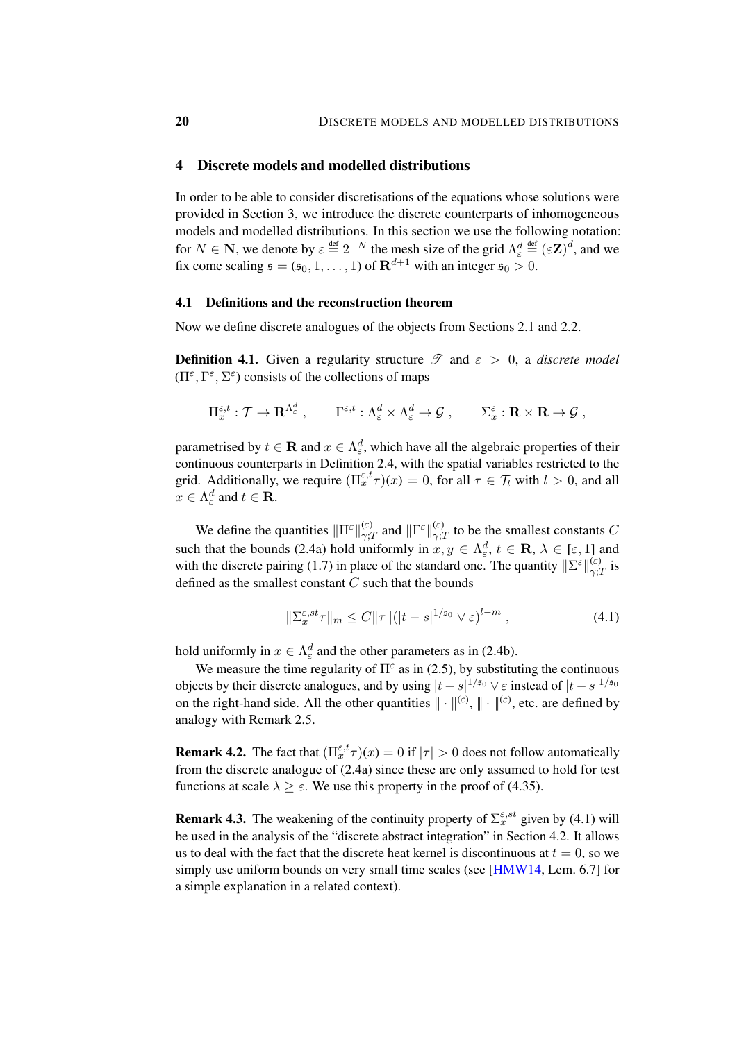## <span id="page-19-0"></span>4 Discrete models and modelled distributions

In order to be able to consider discretisations of the equations whose solutions were provided in Section [3,](#page-14-0) we introduce the discrete counterparts of inhomogeneous models and modelled distributions. In this section we use the following notation: for  $N \in \mathbf{N}$ , we denote by  $\varepsilon \stackrel{\text{def}}{=} 2^{-N}$  the mesh size of the grid  $\Lambda_{\varepsilon}^d \stackrel{\text{def}}{=} (\varepsilon \mathbf{Z})^d$ , and we fix come scaling  $\mathfrak{s} = (\mathfrak{s}_0, 1, \dots, 1)$  of  $\mathbf{R}^{d+1}$  with an integer  $\mathfrak{s}_0 > 0$ .

#### 4.1 Definitions and the reconstruction theorem

Now we define discrete analogues of the objects from Sections [2.1](#page-5-1) and [2.2.](#page-7-4)

<span id="page-19-2"></span>**Definition 4.1.** Given a regularity structure  $\mathscr{T}$  and  $\varepsilon > 0$ , a *discrete model*  $(\Pi^{\varepsilon}, \Gamma^{\varepsilon}, \Sigma^{\varepsilon})$  consists of the collections of maps

$$
\Pi^{\varepsilon,t}_x:\mathcal{T}\to{\mathbf R}^{\Lambda^d_\varepsilon}\ ,\qquad \Gamma^{\varepsilon,t}:\Lambda^d_\varepsilon\times\Lambda^d_\varepsilon\to\mathcal{G}\ ,\qquad \Sigma^{\varepsilon}_x:{\mathbf R}\times{\mathbf R}\to\mathcal{G}\ ,
$$

parametrised by  $t \in \mathbf{R}$  and  $x \in \Lambda_{\varepsilon}^d$ , which have all the algebraic properties of their continuous counterparts in Definition [2.4,](#page-6-2) with the spatial variables restricted to the grid. Additionally, we require  $(\Pi_x^{\varepsilon,t}\tau)(x) = 0$ , for all  $\tau \in \mathcal{T}_l$  with  $l > 0$ , and all  $x \in \Lambda_{\varepsilon}^d$  and  $t \in \mathbf{R}$ .

We define the quantities  $\|\Pi^{\varepsilon}\|_{\gamma}^{(\varepsilon)}$  $\frac{f(\varepsilon)}{\gamma;T}$  and  $\|\Gamma^{\varepsilon}\|_{\gamma;T}^{(\varepsilon)}$  $\chi^{(\varepsilon)}_{\gamma;T}$  to be the smallest constants C such that the bounds [\(2.4a\)](#page-6-1) hold uniformly in  $x, y \in \Lambda_{\varepsilon}^d$ ,  $t \in \mathbf{R}$ ,  $\lambda \in [\varepsilon, 1]$  and with the discrete pairing [\(1.7\)](#page-4-3) in place of the standard one. The quantity  $\|\Sigma^{\varepsilon}\|_{\infty}^{(\varepsilon)}$  $\int_{\gamma;T}^{\infty}$  is defined as the smallest constant  $C$  such that the bounds

<span id="page-19-1"></span>
$$
\|\Sigma_x^{\varepsilon, st}\tau\|_m \le C\|\tau\|(|t-s|^{1/\mathfrak{s}_0} \vee \varepsilon)^{l-m},\tag{4.1}
$$

hold uniformly in  $x \in \Lambda_{\varepsilon}^d$  and the other parameters as in [\(2.4b\)](#page-6-1).

We measure the time regularity of  $\Pi^{\epsilon}$  as in [\(2.5\)](#page-7-0), by substituting the continuous objects by their discrete analogues, and by using  $|t-s|^{1/\mathfrak{s}_0} \vee \varepsilon$  instead of  $|t-s|^{1/\mathfrak{s}_0}$ on the right-hand side. All the other quantities  $\|\cdot\|^{(\varepsilon)}, \|\cdot\|^{(\varepsilon)}$ , etc. are defined by analogy with Remark [2.5.](#page-7-5)

**Remark 4.2.** The fact that  $(\Pi_x^{\varepsilon,t}\tau)(x) = 0$  if  $|\tau| > 0$  does not follow automatically from the discrete analogue of [\(2.4a\)](#page-6-1) since these are only assumed to hold for test functions at scale  $\lambda \geq \varepsilon$ . We use this property in the proof of [\(4.35\)](#page-29-0).

**Remark 4.3.** The weakening of the continuity property of  $\Sigma_x^{\varepsilon, st}$  given by [\(4.1\)](#page-19-1) will be used in the analysis of the "discrete abstract integration" in Section [4.2.](#page-25-0) It allows us to deal with the fact that the discrete heat kernel is discontinuous at  $t = 0$ , so we simply use uniform bounds on very small time scales (see [\[HMW14,](#page-48-9) Lem. 6.7] for a simple explanation in a related context).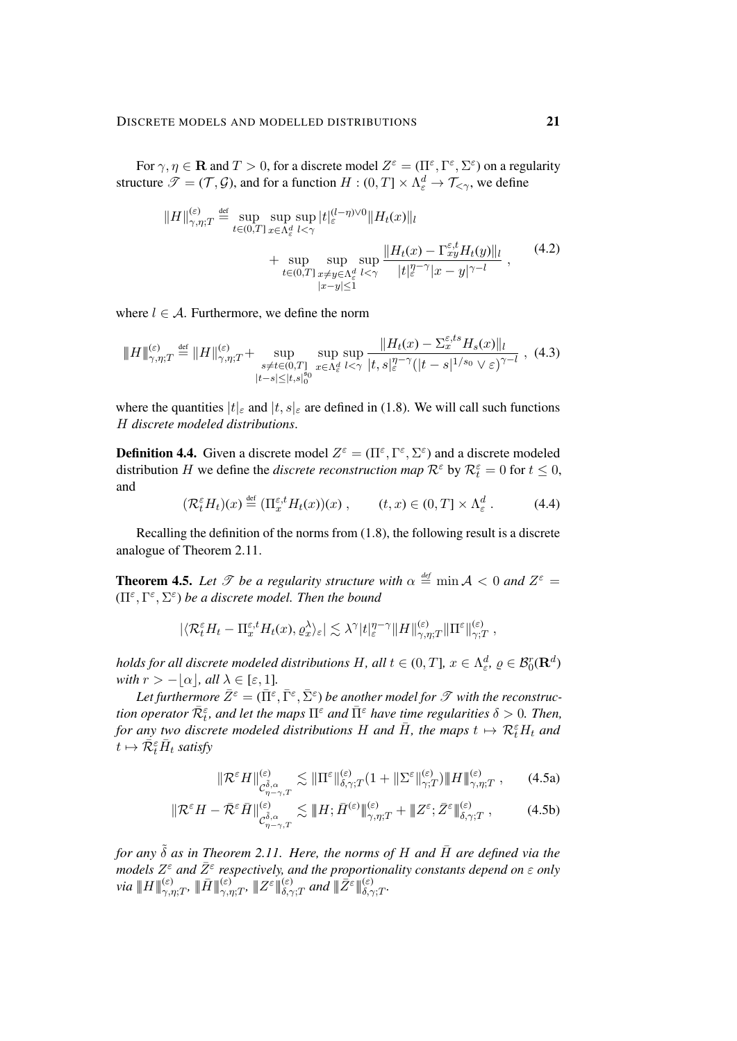For  $\gamma, \eta \in \mathbf{R}$  and  $T > 0$ , for a discrete model  $Z^{\varepsilon} = (\Pi^{\varepsilon}, \Gamma^{\varepsilon}, \Sigma^{\varepsilon})$  on a regularity structure  $\mathscr{T} = (\mathcal{T}, \mathcal{G})$ , and for a function  $H : (0, T] \times \Lambda_{\varepsilon}^d \to \mathcal{T}_{<\gamma}$ , we define

$$
||H||_{\gamma,\eta;T}^{(\varepsilon)} \stackrel{\text{def}}{=} \sup_{t \in (0,T]} \sup_{x \in \Lambda_{\varepsilon}^d} \sup_{l < \gamma} |t|_{\varepsilon}^{(l-\eta)\vee 0} ||H_t(x)||_l
$$
\n
$$
+ \sup_{t \in (0,T]} \sup_{x \neq y \in \Lambda_{\varepsilon}^d} \sup_{l < \gamma} \frac{||H_t(x) - \Gamma_{xy}^{\varepsilon,t} H_t(y)||_l}{|t|_{\varepsilon}^{\eta-\gamma}|x-y|^{\gamma-l}}, \qquad (4.2)
$$

<span id="page-20-4"></span><span id="page-20-1"></span> $\mathbf{r}$ 

where  $l \in \mathcal{A}$ . Furthermore, we define the norm

$$
\|H\|_{\gamma,\eta;T}^{(\varepsilon)} \stackrel{\text{def}}{=} \|H\|_{\gamma,\eta;T}^{(\varepsilon)} + \sup_{\substack{s \neq t \in (0,T] \\ |t-s| \leq |t,s|_0^6}} \sup_{x \in \Lambda_{\varepsilon}^d} \frac{\|H_t(x) - \Sigma_x^{\varepsilon,ts} H_s(x)\|_l}{|t,s|_\varepsilon^{\eta-\gamma} (|t-s|^{1/s_0} \vee \varepsilon)^{\gamma-l}} , \tag{4.3}
$$

where the quantities  $|t|_{\varepsilon}$  and  $|t, s|_{\varepsilon}$  are defined in [\(1.8\)](#page-5-2). We will call such functions H *discrete modeled distributions*.

<span id="page-20-3"></span>**Definition 4.4.** Given a discrete model  $Z^{\varepsilon} = (\Pi^{\varepsilon}, \Gamma^{\varepsilon}, \Sigma^{\varepsilon})$  and a discrete modeled distribution H we define the *discrete reconstruction map*  $\mathcal{R}^{\varepsilon}$  by  $\mathcal{R}^{\varepsilon}_t = 0$  for  $t \leq 0$ , and

$$
(\mathcal{R}_t^{\varepsilon} H_t)(x) \stackrel{\text{def}}{=} (\Pi_x^{\varepsilon,t} H_t(x))(x) , \qquad (t, x) \in (0, T] \times \Lambda_{\varepsilon}^d . \tag{4.4}
$$

Recalling the definition of the norms from [\(1.8\)](#page-5-2), the following result is a discrete analogue of Theorem [2.11.](#page-9-4)

<span id="page-20-2"></span>**Theorem 4.5.** Let  $\mathscr T$  be a regularity structure with  $\alpha \stackrel{\text{def}}{=} \min \mathcal A < 0$  and  $Z^{\varepsilon} =$  $(\Pi^{\varepsilon}, \Gamma^{\varepsilon}, \Sigma^{\varepsilon})$  be a discrete model. Then the bound

$$
|\langle \mathcal{R}^{\varepsilon}_t H_t - \Pi^{\varepsilon,t}_x H_t(x), \varrho^{\lambda}_x \rangle_{\varepsilon}| \lesssim \lambda^{\gamma}|t|^{\eta-\gamma}_{\varepsilon}\|H\|^{(\varepsilon)}_{\gamma,\eta;T}\|\Pi^{\varepsilon}\|^{(\varepsilon)}_{\gamma;T} \;,
$$

*holds for all discrete modeled distributions*  $H$ *, all*  $t \in (0,T]$ *,*  $x \in \Lambda^d_\varepsilon$ *,*  $\varrho \in \mathcal{B}^r_0(\mathbf{R}^d)$ *with*  $r > -|\alpha|$ *, all*  $\lambda \in [\epsilon, 1]$ *.* 

Let furthermore  $\bar{Z}^{\varepsilon} = (\bar{\Pi}^{\varepsilon}, \bar{\Gamma}^{\varepsilon}, \bar{\Sigma}^{\varepsilon})$  be another model for  $\mathscr T$  with the reconstruc $t$ *ion operator*  $\bar{\mathcal{R}}_t^\varepsilon$ *, and let the maps*  $\Pi^\varepsilon$  *and*  $\bar{\Pi}^\varepsilon$  *have time regularities*  $\delta>0$ *. Then,* for any two discrete modeled distributions H and  $\bar{H}$ , the maps  $t \mapsto \mathcal{R}_t^\varepsilon H_t$  and  $t \mapsto \overline{\mathcal{R}}_t^\varepsilon \bar{H}_t$  satisfy

<span id="page-20-0"></span>
$$
\|\mathcal{R}^{\varepsilon}H\|_{\mathcal{C}^{\tilde{\delta},\alpha}_{\eta-\gamma,T}}^{(\varepsilon)} \lesssim \|\Pi^{\varepsilon}\|_{\delta,\gamma,T}^{(\varepsilon)}(1+\|\Sigma^{\varepsilon}\|_{\gamma,T}^{(\varepsilon)})\|H\|_{\gamma,\eta,T}^{(\varepsilon)},\qquad(4.5a)
$$

$$
\|\mathcal{R}^{\varepsilon} H - \bar{\mathcal{R}}^{\varepsilon} \bar{H}\|_{C^{\tilde{\delta},\alpha}_{\eta-\gamma,T}}^{(\varepsilon)} \lesssim \|H; \bar{H}^{(\varepsilon)}\|_{\gamma,\eta;T}^{(\varepsilon)} + \|Z^{\varepsilon}; \bar{Z}^{\varepsilon}\|_{\delta,\gamma;T}^{(\varepsilon)},\tag{4.5b}
$$

*for any*  $\tilde{\delta}$  *as in Theorem [2.11.](#page-9-4) Here, the norms of H and*  $\bar{H}$  *are defined via the models*  $Z^{\varepsilon}$  *and*  $\bar{Z}^{\varepsilon}$  *respectively, and the proportionality constants depend on*  $\varepsilon$  *only*  $via \, \|H\|_{\gamma,\eta;T}^{(\varepsilon)}, \, \|\bar{H}\|_{\gamma,\eta;T}^{(\varepsilon)}, \, \|Z^{\varepsilon}\|_{\delta,\gamma;T}^{(\varepsilon)}$  and  $\|\bar{Z}^{\varepsilon}\|_{\delta,\gamma;T}^{(\varepsilon)}$ .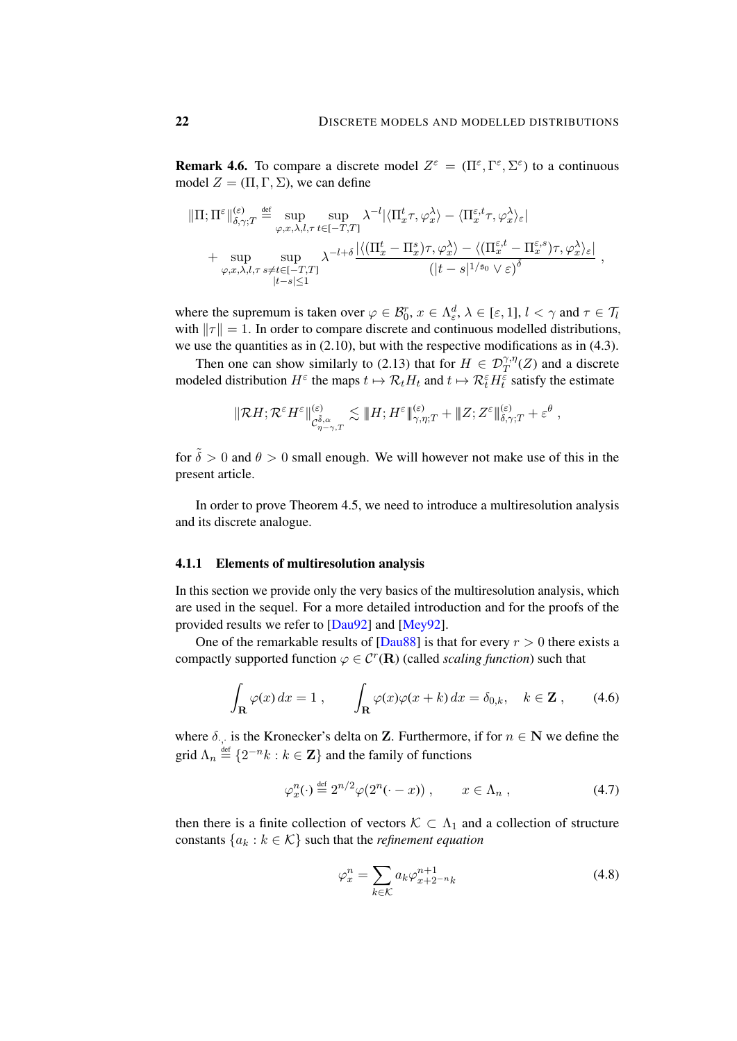**Remark 4.6.** To compare a discrete model  $Z^{\varepsilon} = (\Pi^{\varepsilon}, \Gamma^{\varepsilon}, \Sigma^{\varepsilon})$  to a continuous model  $Z = (\Pi, \Gamma, \Sigma)$ , we can define

$$
\|\Pi;\Pi^{\varepsilon}\|_{\delta,\gamma;T}^{(\varepsilon)} \stackrel{\text{def}}{=} \sup_{\varphi,x,\lambda,l,\tau} \sup_{t\in[-T,T]} \lambda^{-l} |\langle \Pi^t_x \tau, \varphi^{\lambda}_x \rangle - \langle \Pi^{\varepsilon,t}_x \tau, \varphi^{\lambda}_x \rangle_{\varepsilon}|
$$
  
+ 
$$
\sup_{\varphi,x,\lambda,l,\tau} \sup_{s\neq t\in[-T,T]} \lambda^{-l+\delta} \frac{|\langle (\Pi^t_x - \Pi^s_x) \tau, \varphi^{\lambda}_x \rangle - \langle (\Pi^{\varepsilon,t}_x - \Pi^{\varepsilon,s}_x) \tau, \varphi^{\lambda}_x \rangle_{\varepsilon}|}{|t-s| \leq 1},
$$

where the supremum is taken over  $\varphi \in \mathcal{B}_0^r$ ,  $x \in \Lambda_{\varepsilon}^d$ ,  $\lambda \in [\varepsilon, 1]$ ,  $l < \gamma$  and  $\tau \in \mathcal{T}_l$ with  $\|\tau\| = 1$ . In order to compare discrete and continuous modelled distributions, we use the quantities as in [\(2.10\)](#page-8-3), but with the respective modifications as in [\(4.3\)](#page-20-1).

Then one can show similarly to [\(2.13\)](#page-9-2) that for  $H \in \mathcal{D}^{\gamma,\eta}_T(Z)$  and a discrete modeled distribution  $H^{\varepsilon}$  the maps  $t \mapsto \mathcal{R}_t H_t$  and  $t \mapsto \mathcal{R}_t^{\varepsilon} H_t^{\overline{\varepsilon}}$  satisfy the estimate

$$
\|{\mathcal R} H; {\mathcal R}^{\varepsilon}H^{\varepsilon}\|_{C^{\tilde{\delta},\alpha}_{\eta-\gamma,T}}^{{\varepsilon}\beta}\lesssim\|H; H^{\varepsilon}\|_{\gamma,\eta;T}^{{\varepsilon}\beta}+\|Z; Z^{\varepsilon}\|_{\delta,\gamma;T}^{({\varepsilon}\beta)}+{\varepsilon}^\theta\;,
$$

for  $\tilde{\delta} > 0$  and  $\theta > 0$  small enough. We will however not make use of this in the present article.

In order to prove Theorem [4.5,](#page-20-2) we need to introduce a multiresolution analysis and its discrete analogue.

## <span id="page-21-3"></span>4.1.1 Elements of multiresolution analysis

In this section we provide only the very basics of the multiresolution analysis, which are used in the sequel. For a more detailed introduction and for the proofs of the provided results we refer to [\[Dau92\]](#page-47-13) and [\[Mey92\]](#page-48-15).

One of the remarkable results of  $Dau88$  is that for every  $r > 0$  there exists a compactly supported function  $\varphi \in \mathcal{C}^r(\mathbf{R})$  (called *scaling function*) such that

$$
\int_{\mathbf{R}} \varphi(x) dx = 1 , \qquad \int_{\mathbf{R}} \varphi(x) \varphi(x+k) dx = \delta_{0,k}, \quad k \in \mathbf{Z} , \qquad (4.6)
$$

where  $\delta_{\cdot,\cdot}$  is the Kronecker's delta on **Z**. Furthermore, if for  $n \in \mathbb{N}$  we define the grid  $\Lambda_n \stackrel{\text{def}}{=} \{2^{-n}k : k \in \mathbb{Z}\}\$  and the family of functions

$$
\varphi_x^n(\cdot) \stackrel{\text{def}}{=} 2^{n/2} \varphi(2^n(\cdot - x)), \qquad x \in \Lambda_n , \qquad (4.7)
$$

then there is a finite collection of vectors  $K \subset \Lambda_1$  and a collection of structure constants  $\{a_k : k \in \mathcal{K}\}\$  such that the *refinement equation* 

<span id="page-21-2"></span><span id="page-21-1"></span><span id="page-21-0"></span>
$$
\varphi_x^n = \sum_{k \in \mathcal{K}} a_k \varphi_{x+2^{-n}k}^{n+1}
$$
\n(4.8)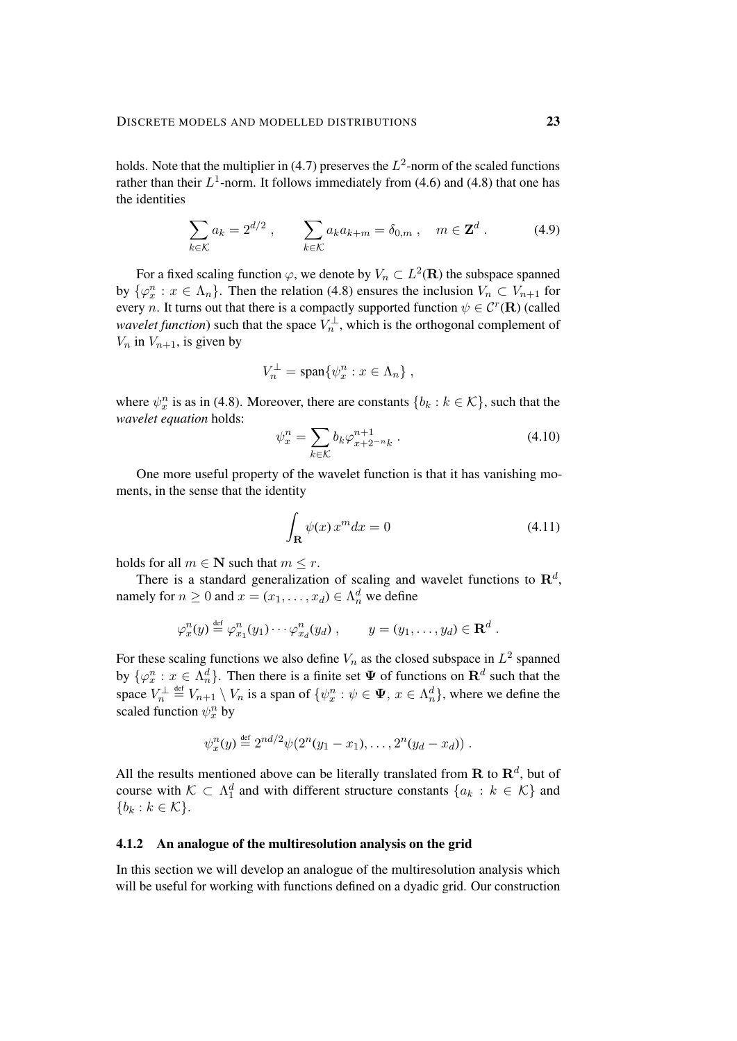holds. Note that the multiplier in [\(4.7\)](#page-21-0) preserves the  $L^2$ -norm of the scaled functions rather than their  $L^1$ -norm. It follows immediately from [\(4.6\)](#page-21-1) and [\(4.8\)](#page-21-2) that one has the identities

$$
\sum_{k \in \mathcal{K}} a_k = 2^{d/2}, \qquad \sum_{k \in \mathcal{K}} a_k a_{k+m} = \delta_{0,m}, \quad m \in \mathbf{Z}^d. \tag{4.9}
$$

For a fixed scaling function  $\varphi$ , we denote by  $V_n \subset L^2(\mathbf{R})$  the subspace spanned by  $\{\varphi_x^n : x \in \Lambda_n\}$ . Then the relation [\(4.8\)](#page-21-2) ensures the inclusion  $V_n \subset V_{n+1}$  for every *n*. It turns out that there is a compactly supported function  $\psi \in \mathcal{C}^r(\mathbf{R})$  (called *wavelet function*) such that the space  $V_n^{\perp}$ , which is the orthogonal complement of  $V_n$  in  $V_{n+1}$ , is given by

<span id="page-22-0"></span>
$$
V_n^{\perp} = \text{span}\{\psi_x^n : x \in \Lambda_n\},\
$$

where  $\psi_x^n$  is as in [\(4.8\)](#page-21-2). Moreover, there are constants  $\{b_k : k \in \mathcal{K}\}\)$ , such that the *wavelet equation* holds:

<span id="page-22-1"></span>
$$
\psi_x^n = \sum_{k \in \mathcal{K}} b_k \varphi_{x+2^{-n}k}^{n+1} . \tag{4.10}
$$

One more useful property of the wavelet function is that it has vanishing moments, in the sense that the identity

$$
\int_{\mathbf{R}} \psi(x) x^m dx = 0 \tag{4.11}
$$

holds for all  $m \in \mathbb{N}$  such that  $m \leq r$ .

There is a standard generalization of scaling and wavelet functions to  $\mathbb{R}^d$ , namely for  $n \geq 0$  and  $x = (x_1, \dots, x_d) \in \Lambda_n^d$  we define

$$
\varphi_x^n(y) \stackrel{\text{def}}{=} \varphi_{x_1}^n(y_1) \cdots \varphi_{x_d}^n(y_d) , \qquad y = (y_1, \ldots, y_d) \in \mathbf{R}^d .
$$

For these scaling functions we also define  $V_n$  as the closed subspace in  $L^2$  spanned by  $\{\varphi_x^n : x \in \Lambda_n^d\}$ . Then there is a finite set  $\Psi$  of functions on  $\mathbf{R}^d$  such that the space  $V_n^{\perp} \stackrel{\text{def}}{=} V_{n+1} \setminus V_n$  is a span of  $\{\psi_x^n : \psi \in \Psi, x \in \Lambda_n^d\}$ , where we define the scaled function  $\psi_x^n$  by

$$
\psi_x^n(y) \stackrel{\text{def}}{=} 2^{nd/2} \psi(2^n(y_1 - x_1), \dots, 2^n(y_d - x_d)).
$$

All the results mentioned above can be literally translated from  $\mathbf R$  to  $\mathbf R^d$ , but of course with  $\mathcal{K} \subset \Lambda_1^d$  and with different structure constants  $\{a_k : k \in \mathcal{K}\}\$  and  ${b_k : k \in \mathcal{K}}.$ 

### 4.1.2 An analogue of the multiresolution analysis on the grid

In this section we will develop an analogue of the multiresolution analysis which will be useful for working with functions defined on a dyadic grid. Our construction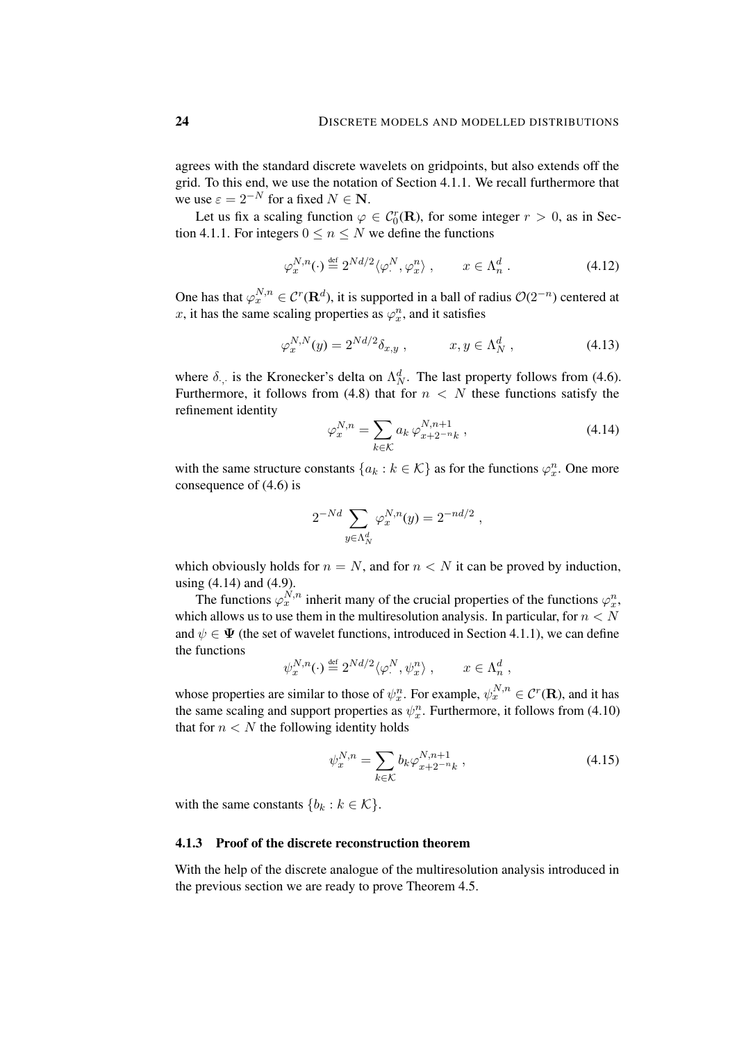agrees with the standard discrete wavelets on gridpoints, but also extends off the grid. To this end, we use the notation of Section [4.1.1.](#page-21-3) We recall furthermore that we use  $\varepsilon = 2^{-N}$  for a fixed  $N \in \mathbb{N}$ .

Let us fix a scaling function  $\varphi \in C_0^r(\mathbf{R})$ , for some integer  $r > 0$ , as in Sec-tion [4.1.1.](#page-21-3) For integers  $0 \le n \le N$  we define the functions

<span id="page-23-1"></span>
$$
\varphi_x^{N,n}(\cdot) \stackrel{\text{def}}{=} 2^{Nd/2} \langle \varphi_\cdot^N, \varphi_x^n \rangle , \qquad x \in \Lambda_n^d . \tag{4.12}
$$

One has that  $\varphi_x^{N,n} \in \mathcal{C}^r(\mathbf{R}^d)$ , it is supported in a ball of radius  $\mathcal{O}(2^{-n})$  centered at x, it has the same scaling properties as  $\varphi_x^n$ , and it satisfies

$$
\varphi_x^{N,N}(y) = 2^{Nd/2} \delta_{x,y} , \qquad x, y \in \Lambda_N^d , \qquad (4.13)
$$

where  $\delta_{\cdot}$ , is the Kronecker's delta on  $\Lambda_N^d$ . The last property follows from [\(4.6\)](#page-21-1). Furthermore, it follows from [\(4.8\)](#page-21-2) that for  $n < N$  these functions satisfy the refinement identity

<span id="page-23-2"></span><span id="page-23-0"></span>
$$
\varphi_x^{N,n} = \sum_{k \in \mathcal{K}} a_k \, \varphi_{x+2^{-n}k}^{N,n+1} \,, \tag{4.14}
$$

with the same structure constants  $\{a_k : k \in \mathcal{K}\}\$ as for the functions  $\varphi_x^n$ . One more consequence of [\(4.6\)](#page-21-1) is

$$
2^{-Nd} \sum_{y \in \Lambda_N^d} \varphi_x^{N,n}(y) = 2^{-nd/2} ,
$$

which obviously holds for  $n = N$ , and for  $n < N$  it can be proved by induction. using [\(4.14\)](#page-23-0) and [\(4.9\)](#page-22-0).

The functions  $\varphi_x^{N,n}$  inherit many of the crucial properties of the functions  $\varphi_x^n$ , which allows us to use them in the multiresolution analysis. In particular, for  $n < N$ and  $\psi \in \Psi$  (the set of wavelet functions, introduced in Section [4.1.1\)](#page-21-3), we can define the functions

$$
\psi_x^{N,n}(\cdot) \stackrel{\text{def}}{=} 2^{Nd/2} \langle \varphi_\cdot^N, \psi_x^n \rangle \;, \qquad x \in \Lambda_n^d \;,
$$

whose properties are similar to those of  $\psi_x^n$ . For example,  $\psi_x^{N,n} \in \mathcal{C}^r(\mathbf{R})$ , and it has the same scaling and support properties as  $\psi_x^n$ . Furthermore, it follows from [\(4.10\)](#page-22-1) that for  $n < N$  the following identity holds

<span id="page-23-3"></span>
$$
\psi_x^{N,n} = \sum_{k \in \mathcal{K}} b_k \varphi_{x+2^{-n}k}^{N,n+1}, \qquad (4.15)
$$

with the same constants  ${b_k : k \in \mathcal{K}}$ .

#### 4.1.3 Proof of the discrete reconstruction theorem

With the help of the discrete analogue of the multiresolution analysis introduced in the previous section we are ready to prove Theorem [4.5.](#page-20-2)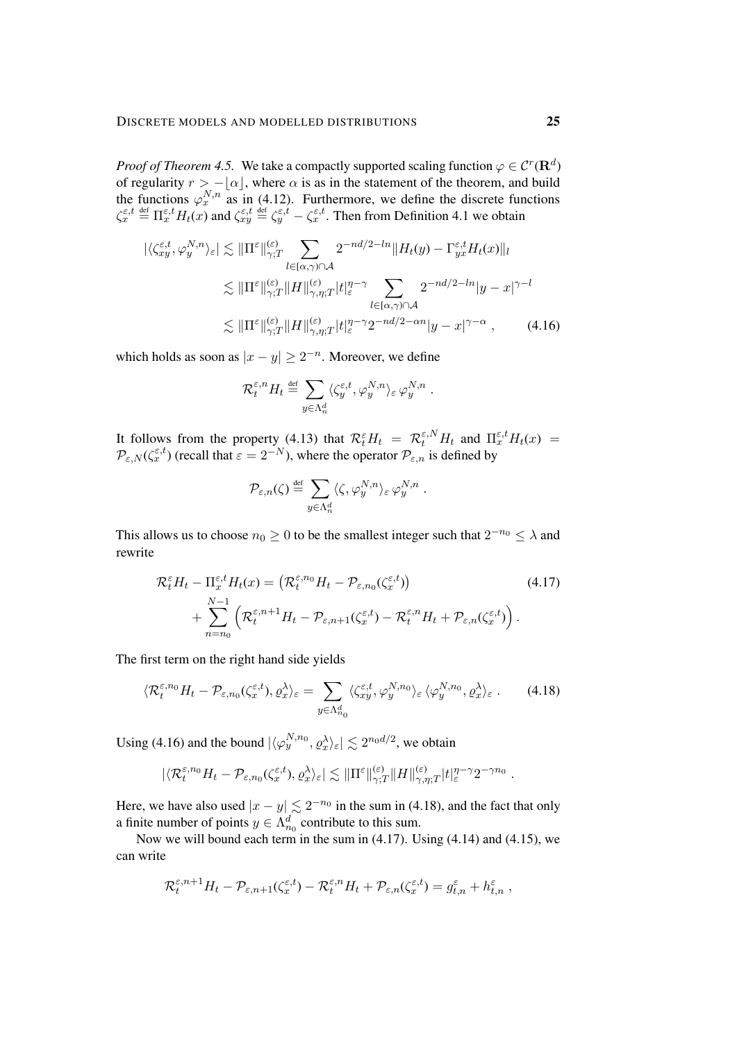*Proof of Theorem [4.5.](#page-20-2)* We take a compactly supported scaling function  $\varphi \in C^r(\mathbf{R}^d)$ of regularity  $r > -\lfloor \alpha \rfloor$ , where  $\alpha$  is as in the statement of the theorem, and build the functions  $\varphi_x^{N,n}$  as in [\(4.12\)](#page-23-1). Furthermore, we define the discrete functions  $\zeta_x^{\varepsilon,t} \stackrel{\text{def}}{=} \Pi_x^{\varepsilon,t} H_t(x)$  and  $\zeta_{xy}^{\varepsilon,t} \stackrel{\text{def}}{=} \zeta_y^{\varepsilon,t} - \zeta_x^{\varepsilon,t}$ . Then from Definition [4.1](#page-19-2) we obtain

$$
|\langle \zeta_{xy}^{\varepsilon,t}, \varphi_{y}^{N,n} \rangle_{\varepsilon}| \lesssim ||\Pi^{\varepsilon}||_{\gamma;T}^{(\varepsilon)} \sum_{l \in [\alpha,\gamma) \cap \mathcal{A}} 2^{-nd/2-ln} ||H_{t}(y) - \Gamma_{yx}^{\varepsilon,t} H_{t}(x)||_{l}
$$
  

$$
\lesssim ||\Pi^{\varepsilon}||_{\gamma;T}^{(\varepsilon)} ||H||_{\gamma,\eta;T}^{(\varepsilon)} |t|_{\varepsilon}^{n-\gamma} \sum_{l \in [\alpha,\gamma) \cap \mathcal{A}} 2^{-nd/2-ln} |y-x|^{\gamma-l}
$$
  

$$
\lesssim ||\Pi^{\varepsilon}||_{\gamma;T}^{(\varepsilon)} ||H||_{\gamma,\eta;T}^{(\varepsilon)} |t|_{\varepsilon}^{n-\gamma} 2^{-nd/2-\alpha n} |y-x|^{\gamma-\alpha}, \qquad (4.16)
$$

which holds as soon as  $|x - y| \ge 2^{-n}$ . Moreover, we define

<span id="page-24-0"></span>
$$
\mathcal{R}^{\varepsilon,n}_t H_t \stackrel{\text{\tiny def}}{=} \sum_{y \in \Lambda_n^d} \langle \zeta_y^{\varepsilon,t}, \varphi_y^{N,n} \rangle_{\varepsilon} \, \varphi_y^{N,n} \; .
$$

It follows from the property [\(4.13\)](#page-23-2) that  $\mathcal{R}_t^{\varepsilon} H_t = \mathcal{R}_t^{\varepsilon, N} H_t$  and  $\Pi_x^{\varepsilon, t} H_t(x) =$  $\mathcal{P}_{\varepsilon,N}(\zeta^{\varepsilon,t})$  (recall that  $\varepsilon = 2^{-N}$ ), where the operator  $\mathcal{P}_{\varepsilon,n}$  is defined by

<span id="page-24-2"></span><span id="page-24-1"></span>
$$
\mathcal{P}_{\varepsilon,n}(\zeta) \stackrel{\text{def}}{=} \sum_{y \in \Lambda_n^d} \langle \zeta, \varphi_y^{N,n} \rangle_{\varepsilon} \varphi_y^{N,n} .
$$

This allows us to choose  $n_0 \geq 0$  to be the smallest integer such that  $2^{-n_0} \leq \lambda$  and rewrite

$$
\mathcal{R}_t^{\varepsilon} H_t - \Pi_x^{\varepsilon, t} H_t(x) = \left( \mathcal{R}_t^{\varepsilon, n_0} H_t - \mathcal{P}_{\varepsilon, n_0}(\zeta_x^{\varepsilon, t}) \right) \tag{4.17}
$$
\n
$$
+ \sum_{n=n_0}^{N-1} \left( \mathcal{R}_t^{\varepsilon, n+1} H_t - \mathcal{P}_{\varepsilon, n+1}(\zeta_x^{\varepsilon, t}) - \mathcal{R}_t^{\varepsilon, n} H_t + \mathcal{P}_{\varepsilon, n}(\zeta_x^{\varepsilon, t}) \right).
$$

The first term on the right hand side yields

$$
\langle \mathcal{R}^{\varepsilon,n_0}_{t} H_t - \mathcal{P}_{\varepsilon,n_0}(\zeta^{\varepsilon,t}_{x}), \varrho^{\lambda}_{x} \rangle_{\varepsilon} = \sum_{y \in \Lambda_{n_0}^d} \langle \zeta^{\varepsilon,t}_{xy}, \varphi^{\mathcal{N},n_0}_{y} \rangle_{\varepsilon} \langle \varphi^{\mathcal{N},n_0}_{y}, \varrho^{\lambda}_{x} \rangle_{\varepsilon}.
$$
 (4.18)

Using [\(4.16\)](#page-24-0) and the bound  $|\langle \varphi_y^{N,n_0}, \varrho_x^{\lambda} \rangle_{\varepsilon}| \lesssim 2^{n_0 d/2}$ , we obtain

$$
|\langle \mathcal{R}^{\varepsilon,n_0}_t H_t - \mathcal{P}_{\varepsilon,n_0}(\zeta^{\varepsilon,t}_x), \varrho^\lambda_x \rangle_{\varepsilon}| \lesssim \|\Pi^{\varepsilon}\|_{\gamma;T}^{(\varepsilon)} \|H\|_{\gamma,\eta;T}^{(\varepsilon)} |t|_{\varepsilon}^{\eta-\gamma} 2^{-\gamma n_0}.
$$

Here, we have also used  $|x - y| \lesssim 2^{-n_0}$  in the sum in [\(4.18\)](#page-24-1), and the fact that only a finite number of points  $y \in \Lambda_{n_0}^d$  contribute to this sum.

Now we will bound each term in the sum in [\(4.17\)](#page-24-2). Using [\(4.14\)](#page-23-0) and [\(4.15\)](#page-23-3), we can write

$$
\mathcal{R}_t^{\varepsilon,n+1} H_t - \mathcal{P}_{\varepsilon,n+1}(\zeta_x^{\varepsilon,t}) - \mathcal{R}_t^{\varepsilon,n} H_t + \mathcal{P}_{\varepsilon,n}(\zeta_x^{\varepsilon,t}) = g_{t,n}^{\varepsilon} + h_{t,n}^{\varepsilon},
$$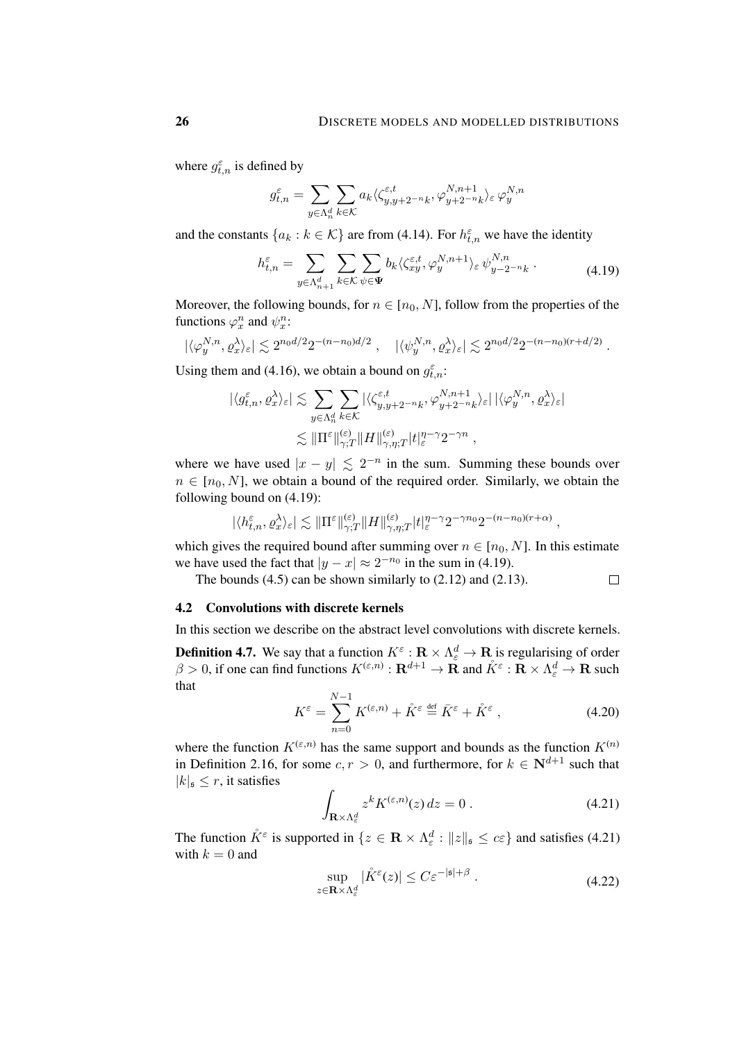<span id="page-25-1"></span>.

where  $g_{t,n}^{\varepsilon}$  is defined by

$$
g^\varepsilon_{t,n}=\sum_{y\in\Lambda_n^d}\sum_{k\in\mathcal{K}}a_k\langle\zeta_{y,y+2^{-n}k}^{\varepsilon,t},\varphi^{N,n+1}_{y+2^{-n}k}\rangle_\varepsilon\,\varphi^{N,n}_y
$$

and the constants  $\{a_k : k \in \mathcal{K}\}\$  are from [\(4.14\)](#page-23-0). For  $h_{t,n}^{\varepsilon}$  we have the identity

$$
h_{t,n}^{\varepsilon} = \sum_{y \in \Lambda_{n+1}^d} \sum_{k \in \mathcal{K}} \sum_{\psi \in \Psi} b_k \langle \zeta_{xy}^{\varepsilon,t}, \varphi_y^{N,n+1} \rangle_{\varepsilon} \psi_{y-2^{-n}k}^{N,n} . \tag{4.19}
$$

Moreover, the following bounds, for  $n \in [n_0, N]$ , follow from the properties of the functions  $\varphi_x^n$  and  $\psi_x^n$ :

$$
|\langle \varphi_y^{N,n}, \varrho_x^{\lambda} \rangle_{\varepsilon}| \lesssim 2^{n_0 d/2} 2^{-(n-n_0)d/2} \;, \quad |\langle \psi_y^{N,n}, \varrho_x^{\lambda} \rangle_{\varepsilon}| \lesssim 2^{n_0 d/2} 2^{-(n-n_0)(r+d/2)}
$$

Using them and [\(4.16\)](#page-24-0), we obtain a bound on  $g_{t,n}^{\varepsilon}$ :

$$
\begin{split} |\langle g^{\varepsilon}_{t,n},\varrho^{\lambda}_{x}\rangle_{\varepsilon}| \lesssim & \sum_{y\in \Lambda^d_n}\sum_{k\in \mathcal{K}} |\langle \zeta^{\varepsilon,t}_{y,y+2^{-n}k},\varphi^{N,n+1}_{y+2^{-n}k}\rangle_{\varepsilon}| \, |\langle \varphi^{N,n}_{y},\varrho^{\lambda}_{x}\rangle_{\varepsilon}| \\ \lesssim & \|\Pi^{\varepsilon}\|_{\gamma;T}^{(\varepsilon)}\|H\|_{\gamma,\eta;T}^{(\varepsilon)}|t|_{\varepsilon}^{\eta-\gamma}2^{-\gamma n} \;, \end{split}
$$

where we have used  $|x - y| \le 2^{-n}$  in the sum. Summing these bounds over  $n \in [n_0, N]$ , we obtain a bound of the required order. Similarly, we obtain the following bound on [\(4.19\)](#page-25-1):

$$
|\langle h^{\varepsilon}_{t,n},\varrho^{\lambda}_x\rangle_{\varepsilon}|\lesssim \|\Pi^{\varepsilon}\|_{\gamma;T}^{(\varepsilon)}\|H\|^{(\varepsilon)}_{\gamma,\eta;T}|t|_{\varepsilon}^{\eta-\gamma}2^{-\gamma n_0}2^{-(n-n_0)(r+\alpha)}\;,
$$

which gives the required bound after summing over  $n \in [n_0, N]$ . In this estimate we have used the fact that  $|y - x| \approx 2^{-n_0}$  in the sum in [\(4.19\)](#page-25-1).

The bounds  $(4.5)$  can be shown similarly to  $(2.12)$  and  $(2.13)$ .  $\Box$ 

## <span id="page-25-0"></span>4.2 Convolutions with discrete kernels

In this section we describe on the abstract level convolutions with discrete kernels.

<span id="page-25-4"></span>**Definition 4.7.** We say that a function  $K^{\varepsilon} : \mathbf{R} \times \Lambda_{\varepsilon}^{d} \to \mathbf{R}$  is regularising of order  $\beta > 0$ , if one can find functions  $K^{(\varepsilon,n)} : \mathbf{R}^{d+1} \to \mathbf{R}$  and  $\mathring{K}^{\varepsilon} : \mathbf{R} \times \Lambda_{\varepsilon}^d \to \mathbf{R}$  such that

$$
K^{\varepsilon} = \sum_{n=0}^{N-1} K^{(\varepsilon, n)} + \mathring{K}^{\varepsilon} \stackrel{\text{def}}{=} \bar{K}^{\varepsilon} + \mathring{K}^{\varepsilon} \,, \tag{4.20}
$$

where the function  $K^{(\varepsilon,n)}$  has the same support and bounds as the function  $K^{(n)}$ in Definition [2.16,](#page-12-3) for some  $c, r > 0$ , and furthermore, for  $k \in \mathbb{N}^{d+1}$  such that  $|k|_{\mathfrak{s}} \leq r$ , it satisfies

<span id="page-25-3"></span><span id="page-25-2"></span>
$$
\int_{\mathbf{R}\times\Lambda_{\varepsilon}^{d}} z^{k} K^{(\varepsilon,n)}(z) dz = 0.
$$
\n(4.21)

The function  $\mathring{K}^{\varepsilon}$  is supported in  $\{z \in \mathbf{R} \times \Lambda_{\varepsilon}^d : ||z||_{\mathfrak{s}} \leq c \varepsilon\}$  and satisfies [\(4.21\)](#page-25-2) with  $k = 0$  and

<span id="page-25-5"></span>
$$
\sup_{z \in \mathbf{R} \times \Lambda_{\varepsilon}^d} |\mathring{K}^{\varepsilon}(z)| \le C \varepsilon^{-|\mathfrak{s}| + \beta} . \tag{4.22}
$$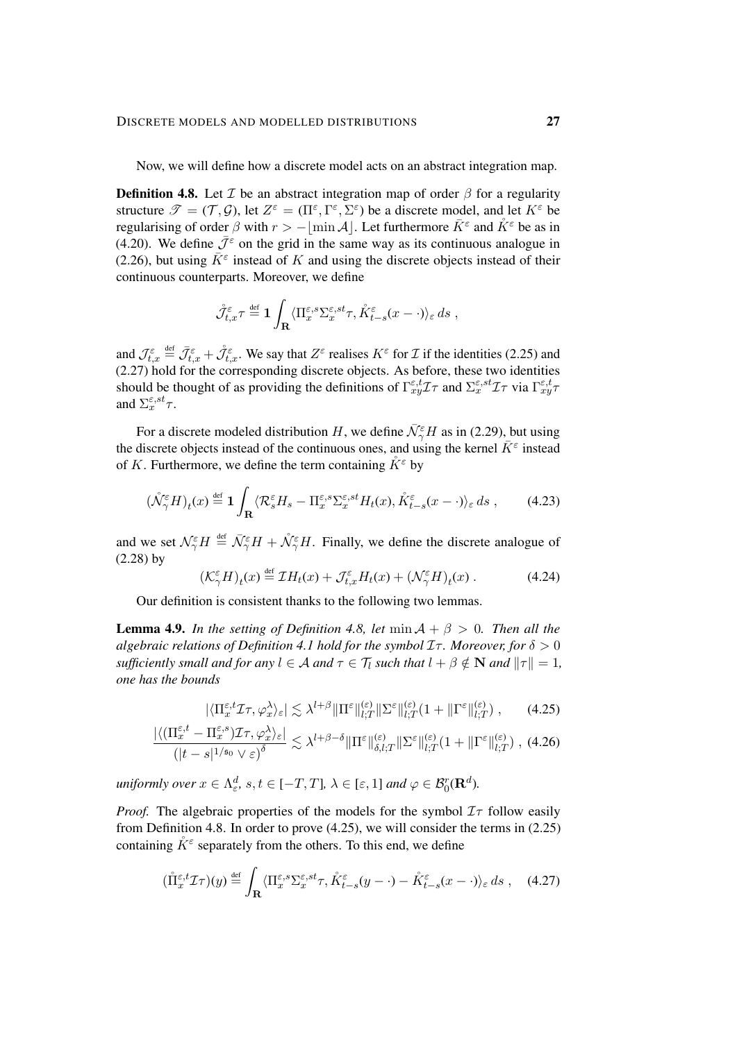Now, we will define how a discrete model acts on an abstract integration map.

<span id="page-26-0"></span>**Definition 4.8.** Let  $\mathcal{I}$  be an abstract integration map of order  $\beta$  for a regularity structure  $\mathscr{T} = (\mathcal{T}, \mathcal{G})$ , let  $Z^{\varepsilon} = (\Pi^{\varepsilon}, \Gamma^{\varepsilon}, \Sigma^{\varepsilon})$  be a discrete model, and let  $K^{\varepsilon}$  be regularising of order  $\beta$  with  $r > -\lfloor \min \mathcal{A} \rfloor$ . Let furthermore  $\bar{K}^{\varepsilon}$  and  $\mathring{K}^{\varepsilon}$  be as in [\(4.20\)](#page-25-3). We define  $\bar{\mathcal{J}}^{\epsilon}$  on the grid in the same way as its continuous analogue in [\(2.26\)](#page-12-1), but using  $\bar{K}^{\varepsilon}$  instead of K and using the discrete objects instead of their continuous counterparts. Moreover, we define

$$
\mathring{\mathcal{J}}_{t,x}^{\varepsilon} \tau \stackrel{\text{def}}{=} \mathbf{1} \int_{\mathbf{R}} \langle \Pi_x^{\varepsilon,s} \Sigma_x^{\varepsilon,st} \tau, \mathring{K}_{t-s}^{\varepsilon}(x-\cdot) \rangle_{\varepsilon} ds ,
$$

and  $\mathcal{J}_{t,x}^{\varepsilon} \stackrel{\text{def}}{=} \bar{\mathcal{J}}_{t,x}^{\varepsilon} + \mathcal{J}_{t,x}^{\varepsilon}$ . We say that  $Z^{\varepsilon}$  realises  $K^{\varepsilon}$  for  $\mathcal I$  if the identities [\(2.25\)](#page-12-0) and [\(2.27\)](#page-13-1) hold for the corresponding discrete objects. As before, these two identities should be thought of as providing the definitions of  $\Gamma_{xy}^{\varepsilon,t}$  and  $\Sigma_{x}^{\varepsilon,st}$   $\tau$  via  $\Gamma_{xy}^{\varepsilon,t}$ and  $\Sigma_x^{\varepsilon, st} \tau$ .

For a discrete modeled distribution H, we define  $\bar{\mathcal{N}}_{\gamma}^{\varepsilon}H$  as in [\(2.29\)](#page-13-2), but using the discrete objects instead of the continuous ones, and using the kernel  $\bar{K}^{\varepsilon}$  instead of K. Furthermore, we define the term containing  $K^{\varepsilon}$  by

$$
(\mathring{\mathcal{N}}_{\gamma}^{\varepsilon} H)_t(x) \stackrel{\text{def}}{=} \mathbf{1} \int_{\mathbf{R}} \langle \mathcal{R}_s^{\varepsilon} H_s - \Pi_x^{\varepsilon, s} \Sigma_x^{\varepsilon, st} H_t(x), \mathring{K}_{t-s}^{\varepsilon} (x - \cdot) \rangle_{\varepsilon} ds ,\qquad(4.23)
$$

and we set  $\mathcal{N}_{\gamma}^{\varepsilon}H \stackrel{\text{def}}{=} \bar{\mathcal{N}}_{\gamma}^{\varepsilon}H + \mathcal{N}_{\gamma}^{\varepsilon}H$ . Finally, we define the discrete analogue of [\(2.28\)](#page-13-3) by

<span id="page-26-5"></span>
$$
\left(\mathcal{K}_{\gamma}^{\varepsilon}H\right)_{t}(x) \stackrel{\text{def}}{=} \mathcal{I}H_{t}(x) + \mathcal{J}_{t,x}^{\varepsilon}H_{t}(x) + \left(\mathcal{N}_{\gamma}^{\varepsilon}H\right)_{t}(x) . \tag{4.24}
$$

Our definition is consistent thanks to the following two lemmas.

<span id="page-26-4"></span>**Lemma 4.9.** *In the setting of Definition [4.8,](#page-26-0) let* min  $A + \beta > 0$ *. Then all the algebraic relations of Definition* [4.1](#page-19-2) *hold for the symbol*  $I\tau$ *. Moreover, for*  $\delta > 0$ *sufficiently small and for any*  $l \in \mathcal{A}$  *and*  $\tau \in \mathcal{T}_l$  *such that*  $l + \beta \notin \mathbb{N}$  *and*  $||\tau|| = 1$ *, one has the bounds*

<span id="page-26-3"></span><span id="page-26-1"></span>
$$
|\langle \Pi_x^{\varepsilon,t} \mathcal{I} \tau, \varphi_x^{\lambda} \rangle_{\varepsilon}| \lesssim \lambda^{l+\beta} \|\Pi^{\varepsilon}\|_{l;T}^{(\varepsilon)} \|\Sigma^{\varepsilon}\|_{l;T}^{(\varepsilon)} (1 + \|\Gamma^{\varepsilon}\|_{l;T}^{(\varepsilon)}) ,\qquad(4.25)
$$

$$
\frac{|\langle (\Pi_x^{\varepsilon,t} - \Pi_x^{\varepsilon,s})\mathcal{I}\tau, \varphi_x^{\lambda} \rangle_{\varepsilon}|}{\left(|t-s|^{1/\mathfrak{s}_0} \vee \varepsilon\right)^{\delta}} \lesssim \lambda^{l+\beta-\delta} \|\Pi^{\varepsilon}\|_{\delta,l;T}^{(\varepsilon)} \|\Sigma^{\varepsilon}\|_{l;T}^{(\varepsilon)} \left(1 + \|\Gamma^{\varepsilon}\|_{l;T}^{(\varepsilon)}\right), (4.26)
$$

 $\mu$ *niformly over*  $x \in \Lambda^d_{\varepsilon}$ ,  $s, t \in [-T, T]$ ,  $\lambda \in [\varepsilon, 1]$  and  $\varphi \in \mathcal{B}_0^r(\mathbf{R}^d)$ .

*Proof.* The algebraic properties of the models for the symbol  $I\tau$  follow easily from Definition [4.8.](#page-26-0) In order to prove [\(4.25\)](#page-26-1), we will consider the terms in [\(2.25\)](#page-12-0) containing  $\mathring{K}^{\varepsilon}$  separately from the others. To this end, we define

<span id="page-26-2"></span>
$$
(\mathring{\Pi}_x^{\varepsilon,t} \mathcal{I}\tau)(y) \stackrel{\text{def}}{=} \int_{\mathbf{R}} \langle \Pi_x^{\varepsilon,s} \Sigma_x^{\varepsilon,st} \tau, \mathring{K}_{t-s}^{\varepsilon}(y - \cdot) - \mathring{K}_{t-s}^{\varepsilon}(x - \cdot) \rangle_{\varepsilon} ds , \quad (4.27)
$$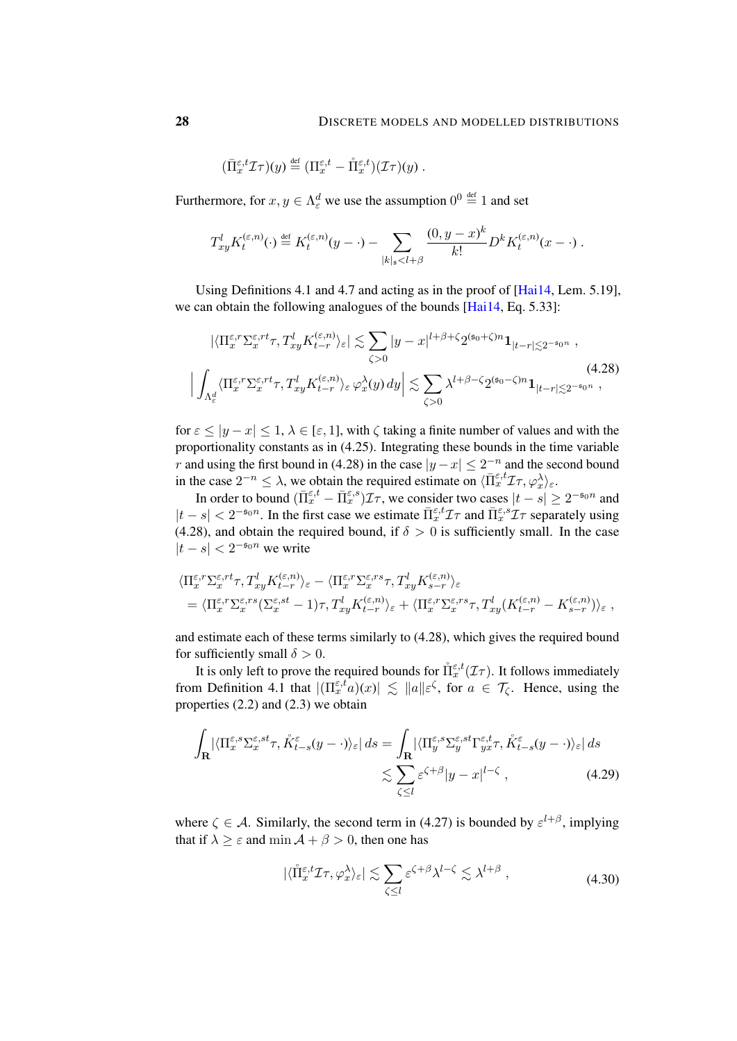$$
(\bar{\Pi}_{x}^{\varepsilon,t}\mathcal{I}\tau)(y) \stackrel{\text{def}}{=} (\Pi_{x}^{\varepsilon,t} - \mathring{\Pi}_{x}^{\varepsilon,t})(\mathcal{I}\tau)(y) .
$$

Furthermore, for  $x, y \in \Lambda_{\varepsilon}^d$  we use the assumption  $0^0 \stackrel{\text{def}}{=} 1$  and set

$$
T_{xy}^l K_t^{(\varepsilon,n)}(\cdot) \stackrel{\text{def}}{=} K_t^{(\varepsilon,n)}(y-\cdot) - \sum_{|k|_s < l+\beta} \frac{(0, y-x)^k}{k!} D^k K_t^{(\varepsilon,n)}(x-\cdot) \, .
$$

Using Definitions [4.1](#page-19-2) and [4.7](#page-25-4) and acting as in the proof of [\[Hai14,](#page-47-0) Lem. 5.19], we can obtain the following analogues of the bounds [\[Hai14,](#page-47-0) Eq. 5.33]:

<span id="page-27-0"></span>
$$
\left| \langle \Pi_x^{\varepsilon,r} \Sigma_x^{\varepsilon,rt} \tau, T_{xy}^l K_{t-r}^{(\varepsilon,n)} \rangle_{\varepsilon} \right| \lesssim \sum_{\zeta > 0} |y - x|^{l + \beta + \zeta} 2^{(\mathfrak{s}_0 + \zeta)n} \mathbf{1}_{|t - r| \lesssim 2^{-\mathfrak{s}_0 n}},
$$
\n
$$
\left| \int_{\Lambda_{\varepsilon}^d} \langle \Pi_x^{\varepsilon,r} \Sigma_x^{\varepsilon,rt} \tau, T_{xy}^l K_{t-r}^{(\varepsilon,n)} \rangle_{\varepsilon} \varphi_x^{\lambda}(y) dy \right| \lesssim \sum_{\zeta > 0} \lambda^{l + \beta - \zeta} 2^{(\mathfrak{s}_0 - \zeta)n} \mathbf{1}_{|t - r| \lesssim 2^{-\mathfrak{s}_0 n}},
$$
\n(4.28)

for  $\varepsilon \le |y - x| \le 1$ ,  $\lambda \in [\varepsilon, 1]$ , with  $\zeta$  taking a finite number of values and with the proportionality constants as in [\(4.25\)](#page-26-1). Integrating these bounds in the time variable r and using the first bound in [\(4.28\)](#page-27-0) in the case  $|y-x| \leq 2^{-n}$  and the second bound in the case  $2^{-n} \leq \lambda$ , we obtain the required estimate on  $\langle \overline{\Pi}_x^{\varepsilon,t} \mathcal{I} \tau, \varphi_x^{\lambda} \rangle_{\varepsilon}$ .

In order to bound  $(\bar{\Pi}_{x}^{\varepsilon,t} - \bar{\Pi}_{x}^{\varepsilon,s})\mathcal{I}\tau$ , we consider two cases  $|t-s| \geq 2^{-\mathfrak{s}_0 n}$  and  $|t-s| < 2^{-s_0 n}$ . In the first case we estimate  $\bar{\Pi}_x^{\varepsilon,t} \mathcal{I} \tau$  and  $\bar{\Pi}_x^{\varepsilon,s} \mathcal{I} \tau$  separately using [\(4.28\)](#page-27-0), and obtain the required bound, if  $\delta > 0$  is sufficiently small. In the case  $|t - s| < 2^{-\mathfrak{s}_0 n}$  we write

$$
\langle \Pi_x^{\varepsilon,r} \Sigma_x^{\varepsilon,rt} \tau, T_{xy}^l K_{t-r}^{(\varepsilon,n)} \rangle_{\varepsilon} - \langle \Pi_x^{\varepsilon,r} \Sigma_x^{\varepsilon,rs} \tau, T_{xy}^l K_{s-r}^{(\varepsilon,n)} \rangle_{\varepsilon}
$$
  
=  $\langle \Pi_x^{\varepsilon,r} \Sigma_x^{\varepsilon,rs} (\Sigma_x^{\varepsilon,st} - 1) \tau, T_{xy}^l K_{t-r}^{(\varepsilon,n)} \rangle_{\varepsilon} + \langle \Pi_x^{\varepsilon,r} \Sigma_x^{\varepsilon,rs} \tau, T_{xy}^l (K_{t-r}^{(\varepsilon,n)} - K_{s-r}^{(\varepsilon,n)}) \rangle_{\varepsilon} ,$ 

and estimate each of these terms similarly to [\(4.28\)](#page-27-0), which gives the required bound for sufficiently small  $\delta > 0$ .

It is only left to prove the required bounds for  $\mathring{\Pi}_x^{\epsilon,t}(\mathcal{I}\tau)$ . It follows immediately from Definition [4.1](#page-19-2) that  $|(\Pi_x^{\varepsilon,t}a)(x)| \lesssim ||a||\varepsilon^{\zeta}$ , for  $a \in \mathcal{T}_{\zeta}$ . Hence, using the properties [\(2.2\)](#page-6-3) and [\(2.3\)](#page-6-4) we obtain

$$
\int_{\mathbf{R}} |\langle \Pi_x^{\varepsilon,s} \Sigma_x^{\varepsilon,st} \tau, \mathring{K}_{t-s}^{\varepsilon}(y - \cdot) \rangle_{\varepsilon}| ds = \int_{\mathbf{R}} |\langle \Pi_y^{\varepsilon,s} \Sigma_y^{\varepsilon,st} \Gamma_{yx}^{\varepsilon,t} \tau, \mathring{K}_{t-s}^{\varepsilon}(y - \cdot) \rangle_{\varepsilon}| ds
$$
\n
$$
\lesssim \sum_{\zeta \le l} \varepsilon^{\zeta+\beta} |y - x|^{l-\zeta}, \tag{4.29}
$$

where  $\zeta \in A$ . Similarly, the second term in [\(4.27\)](#page-26-2) is bounded by  $\varepsilon^{l+\beta}$ , implying that if  $\lambda > \varepsilon$  and min  $\mathcal{A} + \beta > 0$ , then one has

<span id="page-27-1"></span>
$$
|\langle \mathring{\Pi}_{x}^{\varepsilon,t} \mathcal{I}\tau, \varphi_{x}^{\lambda} \rangle_{\varepsilon}| \lesssim \sum_{\zeta \le l} \varepsilon^{\zeta+\beta} \lambda^{l-\zeta} \lesssim \lambda^{l+\beta} , \qquad (4.30)
$$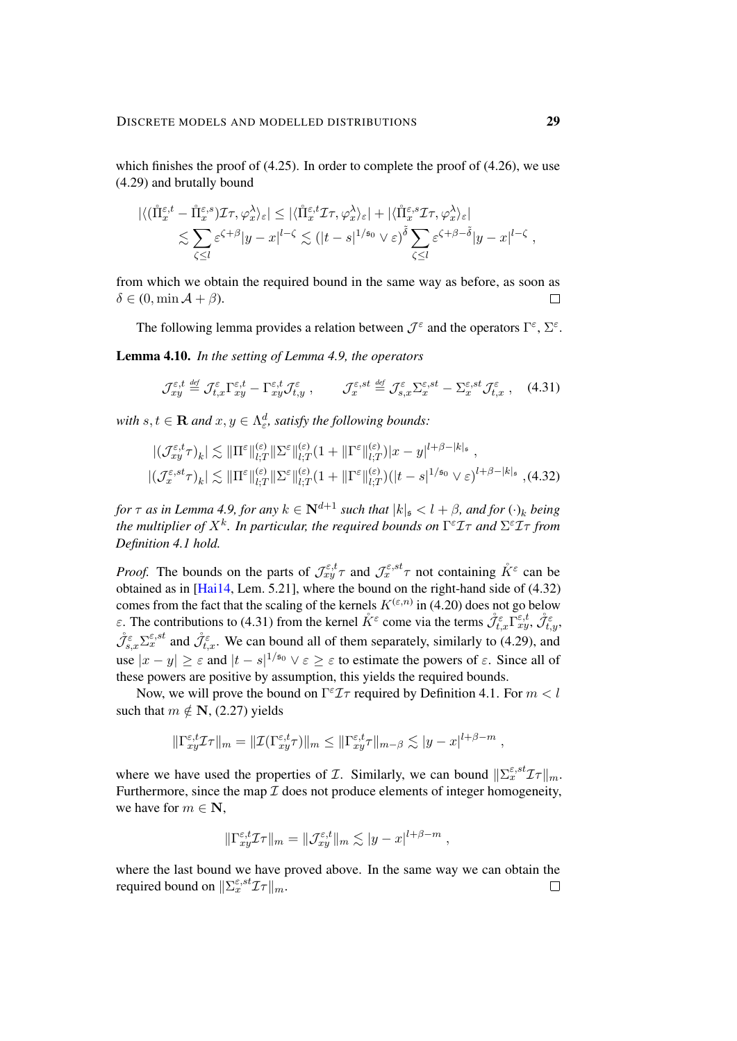which finishes the proof of  $(4.25)$ . In order to complete the proof of  $(4.26)$ , we use [\(4.29\)](#page-27-1) and brutally bound

$$
\begin{split} |\langle (\mathring{\Pi}_{x}^{\varepsilon,t}-\mathring{\Pi}_{x}^{\varepsilon,s})\mathcal{I}\tau,\varphi_{x}^{\lambda}\rangle_{\varepsilon}|&\leq |\langle \mathring{\Pi}_{x}^{\varepsilon,t}\mathcal{I}\tau,\varphi_{x}^{\lambda}\rangle_{\varepsilon}|+|\langle \mathring{\Pi}_{x}^{\varepsilon,s}\mathcal{I}\tau,\varphi_{x}^{\lambda}\rangle_{\varepsilon}|\\ &\lesssim \sum_{\zeta\leq l}\varepsilon^{\zeta+\beta}|y-x|^{l-\zeta}\lesssim (|t-s|^{1/\mathfrak{s}_{0}}\vee\varepsilon)^{\tilde{\delta}}\sum_{\zeta\leq l}\varepsilon^{\zeta+\beta-\tilde{\delta}}|y-x|^{l-\zeta}\;, \end{split}
$$

from which we obtain the required bound in the same way as before, as soon as  $\delta \in (0, \min \mathcal{A} + \beta).$  $\Box$ 

The following lemma provides a relation between  $\mathcal{J}^{\varepsilon}$  and the operators  $\Gamma^{\varepsilon}$ ,  $\Sigma^{\varepsilon}$ .

<span id="page-28-2"></span>Lemma 4.10. *In the setting of Lemma [4.9,](#page-26-4) the operators*

<span id="page-28-1"></span><span id="page-28-0"></span>
$$
\mathcal{J}_{xy}^{\varepsilon,t} \stackrel{\text{def}}{=} \mathcal{J}_{t,x}^{\varepsilon} \Gamma_{xy}^{\varepsilon,t} - \Gamma_{xy}^{\varepsilon,t} \mathcal{J}_{t,y}^{\varepsilon}, \qquad \mathcal{J}_{x}^{\varepsilon,st} \stackrel{\text{def}}{=} \mathcal{J}_{s,x}^{\varepsilon} \Sigma_{x}^{\varepsilon,st} - \Sigma_{x}^{\varepsilon,st} \mathcal{J}_{t,x}^{\varepsilon} \;, \tag{4.31}
$$

with  $s, t \in \mathbf{R}$  and  $x, y \in \Lambda_{\varepsilon}^d$ , satisfy the following bounds:

$$
\begin{aligned} & \left| \left( \mathcal{J}_{xy}^{\varepsilon,t} \tau \right)_{k} \right| \lesssim \|\Pi^{\varepsilon}\|_{l;T}^{(\varepsilon)} \|\Sigma^{\varepsilon}\|_{l;T}^{(\varepsilon)} (1 + \|\Gamma^{\varepsilon}\|_{l;T}^{(\varepsilon)}) |x - y|^{l + \beta - |k|_{\mathfrak{s}}} \right|, \\ & \left| \left( \mathcal{J}_{x}^{\varepsilon, st} \tau \right)_{k} \right| \lesssim \|\Pi^{\varepsilon}\|_{l;T}^{(\varepsilon)} \|\Sigma^{\varepsilon}\|_{l;T}^{(\varepsilon)} (1 + \|\Gamma^{\varepsilon}\|_{l;T}^{(\varepsilon)}) (|t - s|^{1/\mathfrak{s}_{0}} \vee \varepsilon)^{l + \beta - |k|_{\mathfrak{s}}} \right|, \end{aligned} \tag{4.32}
$$

*for*  $\tau$  *as in Lemma [4.9,](#page-26-4) for any*  $k \in \mathbb{N}^{d+1}$  *such that*  $|k|_{\mathfrak{s}} < l + \beta$ *, and for*  $(\cdot)_k$  *being* the multiplier of  $X^k$ . In particular, the required bounds on  $\Gamma^\varepsilon\mathcal{I}\tau$  and  $\Sigma^\varepsilon\mathcal{I}\tau$  from *Definition [4.1](#page-19-2) hold.*

*Proof.* The bounds on the parts of  $\mathcal{J}_{xy}^{\varepsilon,t}\tau$  and  $\mathcal{J}_{x}^{\varepsilon,st}\tau$  not containing  $\mathring{K}^{\varepsilon}$  can be obtained as in [\[Hai14,](#page-47-0) Lem. 5.21], where the bound on the right-hand side of [\(4.32\)](#page-28-0) comes from the fact that the scaling of the kernels  $K^{(\varepsilon,n)}$  in [\(4.20\)](#page-25-3) does not go below *ε*. The contributions to [\(4.31\)](#page-28-1) from the kernel  $\tilde{K}^{\varepsilon}$  come via the terms  $\mathcal{J}_{t,x}^{\varepsilon} \Gamma_{xy}^{\varepsilon,t}$ ,  $\mathcal{J}_{t,y}^{\varepsilon}$ ,  $\mathring{\mathcal{J}}_{s,x}^{\varepsilon} \Sigma_x^{\varepsilon,st}$  and  $\mathring{\mathcal{J}}_{t,x}^{\varepsilon}$ . We can bound all of them separately, similarly to [\(4.29\)](#page-27-1), and use  $|x-y| \geq \varepsilon$  and  $|t-s|^{1/50} \vee \varepsilon \geq \varepsilon$  to estimate the powers of  $\varepsilon$ . Since all of these powers are positive by assumption, this yields the required bounds.

Now, we will prove the bound on  $\Gamma^{\epsilon} \mathcal{I} \tau$  required by Definition [4.1.](#page-19-2) For  $m < l$ such that  $m \notin \mathbf{N}$ , [\(2.27\)](#page-13-1) yields

$$
\|\Gamma^{\varepsilon,t}_{xy}\mathcal{I}\tau\|_{m} = \|\mathcal{I}(\Gamma^{\varepsilon,t}_{xy}\tau)\|_{m} \le \|\Gamma^{\varepsilon,t}_{xy}\tau\|_{m-\beta} \lesssim |y-x|^{l+\beta-m},
$$

where we have used the properties of *T*. Similarly, we can bound  $\|\Sigma_x^{\varepsilon, st} \mathcal{I}\tau\|_{m}$ . Furthermore, since the map  $\mathcal I$  does not produce elements of integer homogeneity, we have for  $m \in \mathbb{N}$ ,

$$
\|\Gamma_{xy}^{\varepsilon,t}\mathcal{I}\tau\|_{m}=\|\mathcal{J}_{xy}^{\varepsilon,t}\|_{m}\lesssim|y-x|^{l+\beta-m},
$$

where the last bound we have proved above. In the same way we can obtain the required bound on  $\|\Sigma_x^{\varepsilon, st} \mathcal{I}\tau\|_m$ .  $\Box$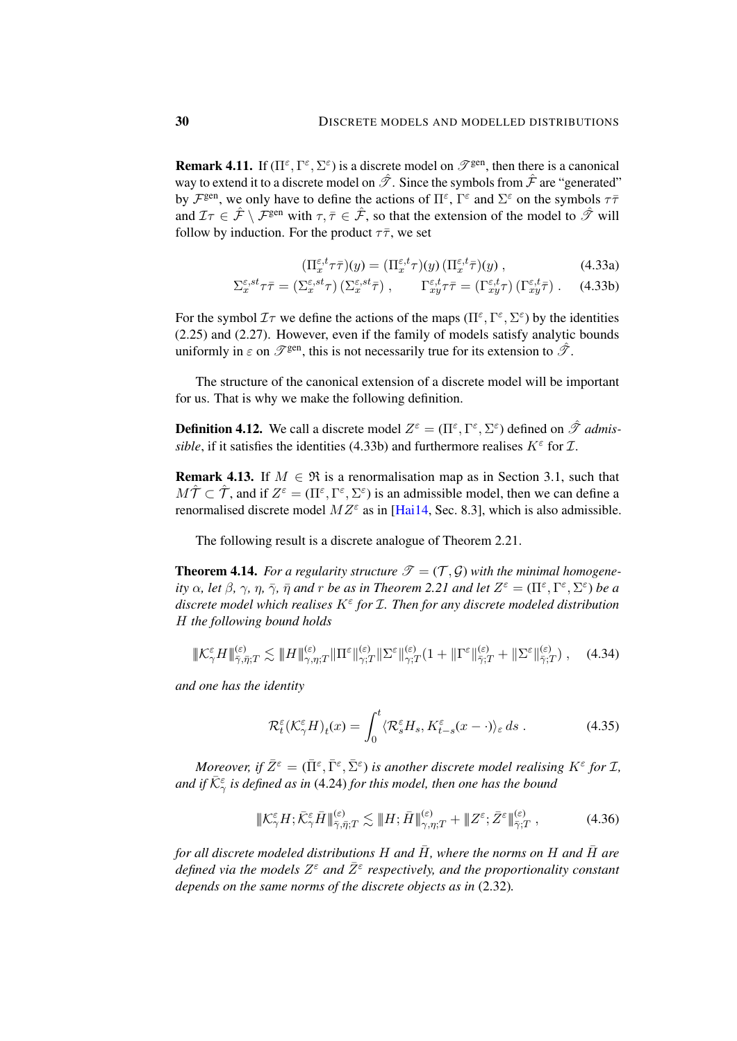<span id="page-29-4"></span>**Remark 4.11.** If  $(\Pi^{\varepsilon}, \Gamma^{\varepsilon}, \Sigma^{\varepsilon})$  is a discrete model on  $\mathscr{T}^{\text{gen}}$ , then there is a canonical way to extend it to a discrete model on  $\hat{\mathcal{T}}$ . Since the symbols from  $\hat{\mathcal{F}}$  are "generated" by  $\mathcal{F}^{\text{gen}}$ , we only have to define the actions of  $\Pi^{\varepsilon}$ ,  $\Gamma^{\varepsilon}$  and  $\Sigma^{\varepsilon}$  on the symbols  $\tau\bar{\tau}$ and  $\mathcal{I}\tau \in \hat{\mathcal{F}} \setminus \mathcal{F}^{\text{gen}}$  with  $\tau, \bar{\tau} \in \hat{\mathcal{F}}$ , so that the extension of the model to  $\hat{\mathcal{F}}$  will follow by induction. For the product  $\tau \bar{\tau}$ , we set

<span id="page-29-1"></span>
$$
(\Pi_x^{\varepsilon,t}\tau\bar{\tau})(y) = (\Pi_x^{\varepsilon,t}\tau)(y) (\Pi_x^{\varepsilon,t}\bar{\tau})(y) , \qquad (4.33a)
$$

$$
\Sigma_x^{\varepsilon, st} \tau \bar{\tau} = (\Sigma_x^{\varepsilon, st} \tau) \left( \Sigma_x^{\varepsilon, st} \bar{\tau} \right), \qquad \Gamma_{xy}^{\varepsilon, t} \tau \bar{\tau} = (\Gamma_{xy}^{\varepsilon, t} \tau) \left( \Gamma_{xy}^{\varepsilon, t} \bar{\tau} \right). \tag{4.33b}
$$

For the symbol  $\mathcal{I}\tau$  we define the actions of the maps  $(\Pi^{\varepsilon}, \Gamma^{\varepsilon}, \Sigma^{\varepsilon})$  by the identities [\(2.25\)](#page-12-0) and [\(2.27\)](#page-13-1). However, even if the family of models satisfy analytic bounds uniformly in  $\varepsilon$  on  $\mathscr{T}^{\text{gen}}$ , this is not necessarily true for its extension to  $\hat{\mathscr{T}}$ .

The structure of the canonical extension of a discrete model will be important for us. That is why we make the following definition.

**Definition 4.12.** We call a discrete model  $Z^{\varepsilon} = (\Pi^{\varepsilon}, \Gamma^{\varepsilon}, \Sigma^{\varepsilon})$  defined on  $\hat{\mathcal{T}}$  *admissible*, if it satisfies the identities [\(4.33b\)](#page-29-1) and furthermore realises  $K^{\varepsilon}$  for  $\mathcal{I}$ .

<span id="page-29-5"></span>**Remark 4.13.** If  $M \in \mathcal{R}$  is a renormalisation map as in Section [3.1,](#page-15-4) such that  $M\hat{\mathcal{T}} \subset \hat{\mathcal{T}}$ , and if  $Z^{\varepsilon} = (\Pi^{\varepsilon}, \Gamma^{\varepsilon}, \Sigma^{\varepsilon})$  is an admissible model, then we can define a renormalised discrete model  $MZ^{\varepsilon}$  as in [\[Hai14,](#page-47-0) Sec. 8.3], which is also admissible.

The following result is a discrete analogue of Theorem [2.21.](#page-13-0)

**Theorem 4.14.** For a regularity structure  $\mathcal{T} = (\mathcal{T}, \mathcal{G})$  with the minimal homogene*ity*  $\alpha$ *, let*  $\beta$ *,*  $\gamma$ *,*  $\eta$ *,*  $\bar{\eta}$  *and*  $r$  *be as in Theorem* [2.21](#page-13-0) *and let*  $Z^{\varepsilon} = (\Pi^{\varepsilon}, \Gamma^{\varepsilon}, \Sigma^{\varepsilon})$  *be a discrete model which realises* K<sup>ε</sup> *for* I*. Then for any discrete modeled distribution* H *the following bound holds*

$$
\|\mathcal{K}_{\gamma}^{\varepsilon}H\|_{\bar{\gamma},\bar{\eta};T}^{(\varepsilon)} \lesssim \|H\|_{\gamma,\eta;T}^{(\varepsilon)}\|\Pi^{\varepsilon}\|_{\gamma;T}^{(\varepsilon)}\|\Sigma^{\varepsilon}\|_{\gamma;T}^{(\varepsilon)}(1+\|\Gamma^{\varepsilon}\|_{\bar{\gamma};T}^{(\varepsilon)}+\|\Sigma^{\varepsilon}\|_{\bar{\gamma};T}^{(\varepsilon)})\;, \quad (4.34)
$$

*and one has the identity*

<span id="page-29-2"></span><span id="page-29-0"></span>
$$
\mathcal{R}_t^{\varepsilon}(\mathcal{K}_{\gamma}^{\varepsilon}H)_t(x) = \int_0^t \langle \mathcal{R}_s^{\varepsilon}H_s, K_{t-s}^{\varepsilon}(x-\cdot) \rangle_{\varepsilon} ds . \tag{4.35}
$$

*Moreover, if*  $\bar{Z}^{\varepsilon} = (\bar{\Pi}^{\varepsilon}, \bar{\Gamma}^{\varepsilon}, \bar{\Sigma}^{\varepsilon})$  is another discrete model realising  $K^{\varepsilon}$  for  $\mathcal{I}$ , and if  $\bar{\mathcal{K}}^{\varepsilon}_{\gamma}$  is defined as in [\(4.24\)](#page-26-5) for this model, then one has the bound

<span id="page-29-3"></span>
$$
\|\mathcal{K}_{\gamma}^{\varepsilon}H;\bar{\mathcal{K}}_{\gamma}^{\varepsilon}\bar{H}\|_{\bar{\gamma},\bar{\eta};T}^{(\varepsilon)} \lesssim \|\mathcal{H};\bar{\mathcal{H}}\|_{\gamma,\eta;T}^{(\varepsilon)} + \|\mathcal{Z}^{\varepsilon};\bar{\mathcal{Z}}^{\varepsilon}\|_{\bar{\gamma};T}^{(\varepsilon)},\tag{4.36}
$$

*for all discrete modeled distributions*  $H$  *and*  $\overline{H}$ *, where the norms on*  $H$  *and*  $\overline{H}$  *are defined via the models Z<sup>ε</sup> and*  $\bar{Z}^{\varepsilon}$  *respectively, and the proportionality constant depends on the same norms of the discrete objects as in* [\(2.32\)](#page-14-2)*.*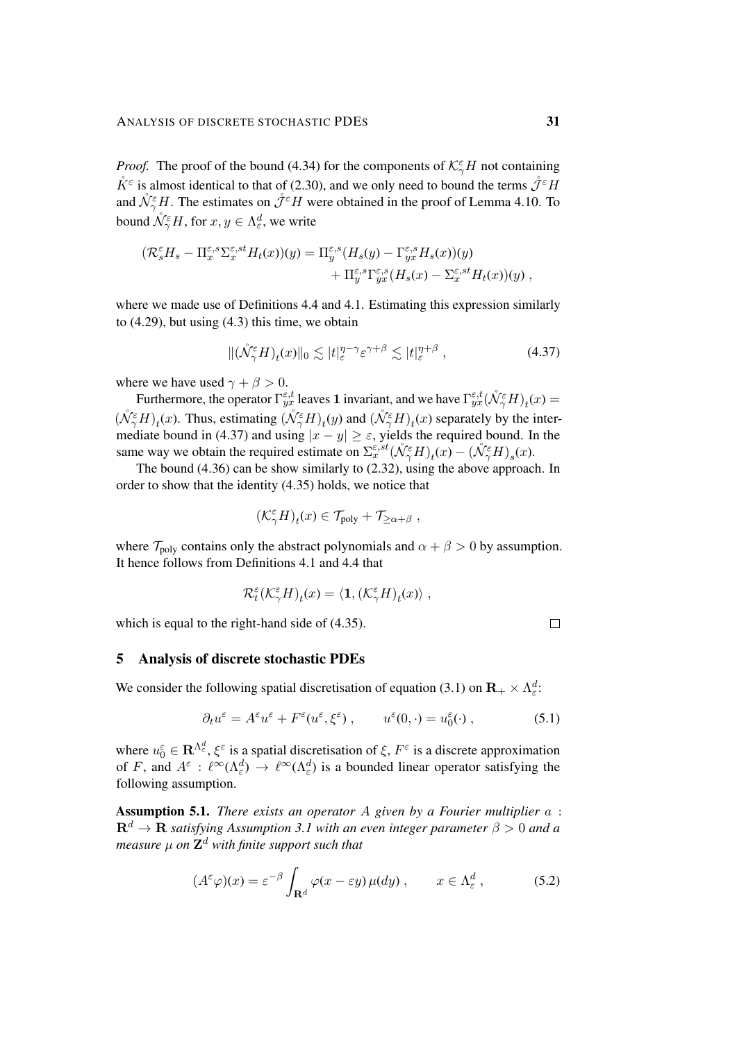*Proof.* The proof of the bound [\(4.34\)](#page-29-2) for the components of  $K^{\epsilon}_{\gamma}H$  not containing  $\mathring{K}^{\varepsilon}$  is almost identical to that of [\(2.30\)](#page-13-4), and we only need to bound the terms  $\mathring{\mathcal{J}}^{\varepsilon}H$ and  $\mathring{\mathcal{N}}_{\gamma}^{\varepsilon}H$ . The estimates on  $\mathring{\mathcal{J}}^{\varepsilon}H$  were obtained in the proof of Lemma [4.10.](#page-28-2) To bound  $\mathring{\mathcal{N}}_{\gamma}^{\varepsilon}H$ , for  $x, y \in \Lambda_{\varepsilon}^d$ , we write

$$
\begin{aligned} (\mathcal{R}_s^{\varepsilon} H_s - \Pi_x^{\varepsilon,s} \Sigma_x^{\varepsilon,st} H_t(x))(y) &= \Pi_y^{\varepsilon,s} (H_s(y) - \Gamma_{yx}^{\varepsilon,s} H_s(x))(y) \\ &+ \Pi_y^{\varepsilon,s} \Gamma_{yx}^{\varepsilon,s} (H_s(x) - \Sigma_x^{\varepsilon,st} H_t(x))(y) \;, \end{aligned}
$$

where we made use of Definitions [4.4](#page-20-3) and [4.1.](#page-19-2) Estimating this expression similarly to  $(4.29)$ , but using  $(4.3)$  this time, we obtain

$$
\|(\mathring{\mathcal{N}}_{\gamma}^{\varepsilon}H)_{t}(x)\|_{0} \lesssim |t|_{\varepsilon}^{\eta-\gamma} \varepsilon^{\gamma+\beta} \lesssim |t|_{\varepsilon}^{\eta+\beta} , \qquad (4.37)
$$

where we have used  $\gamma + \beta > 0$ .

Furthermore, the operator  $\Gamma_{yx}^{\epsilon,t}$  leaves 1 invariant, and we have  $\Gamma_{yx}^{\epsilon,t}(\mathring{\mathcal{N}}_Y^{\epsilon}H)_t(x)$  $(\mathring{\mathcal{N}}^{\epsilon}_{\gamma}H)_t(x)$ . Thus, estimating  $(\mathring{\mathcal{N}}^{\epsilon}_{\gamma}H)_t(y)$  and  $(\mathring{\mathcal{N}}^{\epsilon}_{\gamma}H)_t(x)$  separately by the inter-mediate bound in [\(4.37\)](#page-30-1) and using  $|x - y| \ge \varepsilon$ , yields the required bound. In the same way we obtain the required estimate on  $\Sigma_x^{\varepsilon, st}(\mathring{\mathcal{N}}_\gamma^\varepsilon H)_t(x) - (\mathring{\mathcal{N}}_\gamma^\varepsilon H)_s(x)$ .

The bound [\(4.36\)](#page-29-3) can be show similarly to [\(2.32\)](#page-14-2), using the above approach. In order to show that the identity [\(4.35\)](#page-29-0) holds, we notice that

$$
(\mathcal{K}^{\varepsilon}_{\gamma}H)_t(x)\in\mathcal{T}_{\text{poly}}+\mathcal{T}_{\geq\alpha+\beta}\;,
$$

where  $\mathcal{T}_{poly}$  contains only the abstract polynomials and  $\alpha + \beta > 0$  by assumption. It hence follows from Definitions [4.1](#page-19-2) and [4.4](#page-20-3) that

$$
\mathcal{R}_t^{\varepsilon}(\mathcal{K}^{\varepsilon}_{\gamma}H)_t(x)=\langle\mathbf{1},(\mathcal{K}^{\varepsilon}_{\gamma}H)_t(x)\rangle,
$$

which is equal to the right-hand side of [\(4.35\)](#page-29-0).

<span id="page-30-4"></span><span id="page-30-2"></span><span id="page-30-1"></span> $\Box$ 

### <span id="page-30-0"></span>5 Analysis of discrete stochastic PDEs

We consider the following spatial discretisation of equation [\(3.1\)](#page-14-3) on  $\mathbf{R}_{+} \times \Lambda_{\varepsilon}^{d}$ .

$$
\partial_t u^{\varepsilon} = A^{\varepsilon} u^{\varepsilon} + F^{\varepsilon} (u^{\varepsilon}, \xi^{\varepsilon}) , \qquad u^{\varepsilon} (0, \cdot) = u_0^{\varepsilon} (\cdot) , \qquad (5.1)
$$

where  $u_0^{\varepsilon} \in \mathbf{R}^{\Lambda_{\varepsilon}^d}$ ,  $\xi^{\varepsilon}$  is a spatial discretisation of  $\xi$ ,  $F^{\varepsilon}$  is a discrete approximation of F, and  $A^{\varepsilon}$  :  $\ell^{\infty}(\Lambda_{\varepsilon}^d) \to \ell^{\infty}(\Lambda_{\varepsilon}^d)$  is a bounded linear operator satisfying the following assumption.

<span id="page-30-3"></span>Assumption 5.1. *There exists an operator* A *given by a Fourier multiplier* a :  $\mathbf{R}^d \to \mathbf{R}$  *satisfying Assumption [3.1](#page-15-0) with an even integer parameter*  $\beta > 0$  *and a measure* µ *on* Z <sup>d</sup> *with finite support such that*

$$
(A^{\varepsilon}\varphi)(x) = \varepsilon^{-\beta} \int_{\mathbf{R}^d} \varphi(x - \varepsilon y) \,\mu(dy) \;, \qquad x \in \Lambda_{\varepsilon}^d \;, \tag{5.2}
$$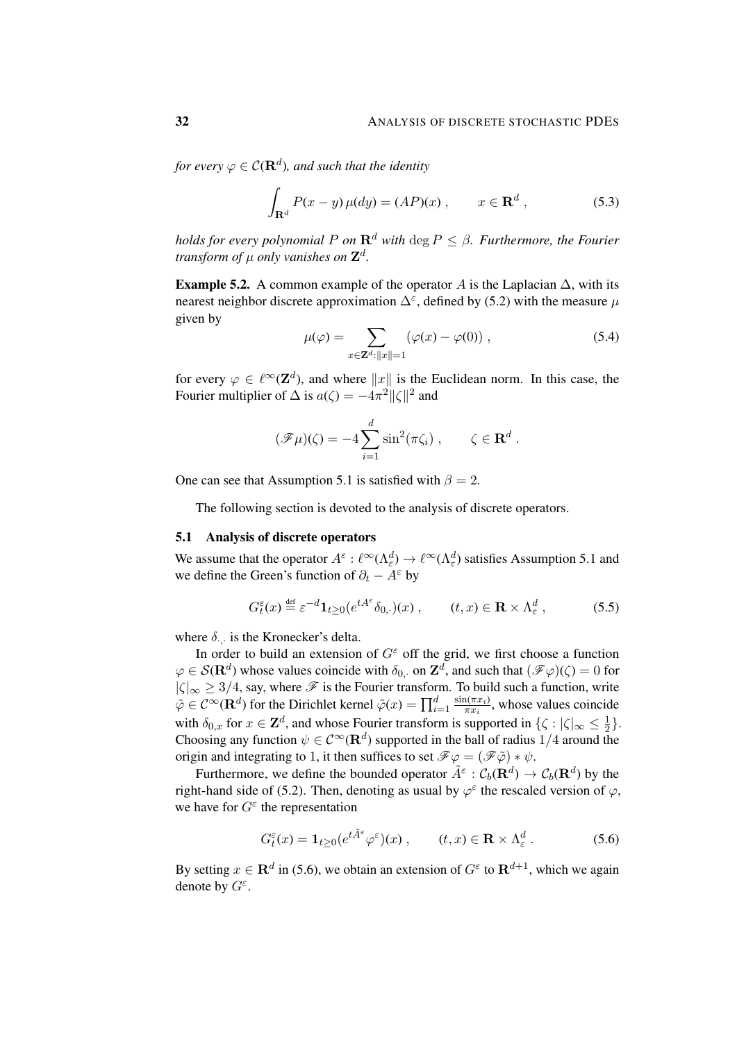for every  $\varphi\in \mathcal{C}({\bf R}^d)$ , and such that the identity

$$
\int_{\mathbf{R}^d} P(x - y) \,\mu(dy) = (AP)(x) \;, \qquad x \in \mathbf{R}^d \;, \tag{5.3}
$$

*holds for every polynomial* P *on*  $\mathbb{R}^d$  *with* deg  $P \leq \beta$ *. Furthermore, the Fourier transform of* µ *only vanishes on* Z d *.*

<span id="page-31-2"></span>Example 5.2. A common example of the operator A is the Laplacian  $\Delta$ , with its nearest neighbor discrete approximation  $\Delta^{\varepsilon}$ , defined by [\(5.2\)](#page-30-2) with the measure  $\mu$ given by

<span id="page-31-1"></span>
$$
\mu(\varphi) = \sum_{x \in \mathbf{Z}^d: ||x|| = 1} (\varphi(x) - \varphi(0)), \qquad (5.4)
$$

for every  $\varphi \in \ell^{\infty}(\mathbf{Z}^d)$ , and where  $||x||$  is the Euclidean norm. In this case, the Fourier multiplier of  $\Delta$  is  $a(\zeta) = -4\pi^2 ||\zeta||^2$  and

$$
(\mathscr{F}\mu)(\zeta) = -4\sum_{i=1}^d \sin^2(\pi \zeta_i) , \qquad \zeta \in \mathbf{R}^d.
$$

One can see that Assumption [5.1](#page-30-3) is satisfied with  $\beta = 2$ .

The following section is devoted to the analysis of discrete operators.

#### 5.1 Analysis of discrete operators

We assume that the operator  $A^{\varepsilon} : \ell^{\infty}(\Lambda_{\varepsilon}^d) \to \ell^{\infty}(\Lambda_{\varepsilon}^d)$  satisfies Assumption [5.1](#page-30-3) and we define the Green's function of  $\partial_t - A^{\varepsilon}$  by

$$
G_t^{\varepsilon}(x) \stackrel{\text{def}}{=} \varepsilon^{-d} \mathbf{1}_{t \ge 0} (e^{tA^{\varepsilon}} \delta_{0,\cdot})(x) , \qquad (t, x) \in \mathbf{R} \times \Lambda_{\varepsilon}^d , \tag{5.5}
$$

where  $\delta_{\cdot,\cdot}$  is the Kronecker's delta.

In order to build an extension of  $G^{\varepsilon}$  off the grid, we first choose a function  $\varphi \in \mathcal{S}(\mathbf{R}^d)$  whose values coincide with  $\delta_{0, \cdot}$  on  $\mathbf{Z}^d$ , and such that  $(\mathscr{F}\varphi)(\zeta) = 0$  for  $|\zeta|_{\infty} \geq 3/4$ , say, where  $\mathscr F$  is the Fourier transform. To build such a function, write  $\tilde{\varphi} \in C^{\infty}(\mathbf{R}^d)$  for the Dirichlet kernel  $\tilde{\varphi}(x) = \prod_{i=1}^d \frac{\sin(\pi x_i)}{\pi x_i}$  $\frac{\pi x_i}{\pi x_i}$ , whose values coincide with  $\delta_{0,x}$  for  $x \in \mathbb{Z}^d$ , and whose Fourier transform is supported in  $\{\zeta : |\zeta|_{\infty} \leq \frac{1}{2}\}$  $\frac{1}{2}$ . Choosing any function  $\psi \in C^{\infty}(\mathbf{R}^d)$  supported in the ball of radius  $1/4$  around the origin and integrating to 1, it then suffices to set  $\mathcal{F}\varphi = (\mathcal{F}\tilde{\varphi}) * \psi$ .

Furthermore, we define the bounded operator  $\tilde{A}^{\varepsilon}$  :  $\mathcal{C}_b(\mathbf{R}^d) \to \mathcal{C}_b(\mathbf{R}^d)$  by the right-hand side of [\(5.2\)](#page-30-2). Then, denoting as usual by  $\varphi^{\varepsilon}$  the rescaled version of  $\varphi$ , we have for  $G^{\varepsilon}$  the representation

<span id="page-31-0"></span>
$$
G_t^{\varepsilon}(x) = \mathbf{1}_{t \ge 0} (e^{t\tilde{A}^{\varepsilon}} \varphi^{\varepsilon})(x) , \qquad (t, x) \in \mathbf{R} \times \Lambda_{\varepsilon}^d . \tag{5.6}
$$

By setting  $x \in \mathbf{R}^d$  in [\(5.6\)](#page-31-0), we obtain an extension of  $G^{\varepsilon}$  to  $\mathbf{R}^{d+1}$ , which we again denote by  $G^{\varepsilon}$ .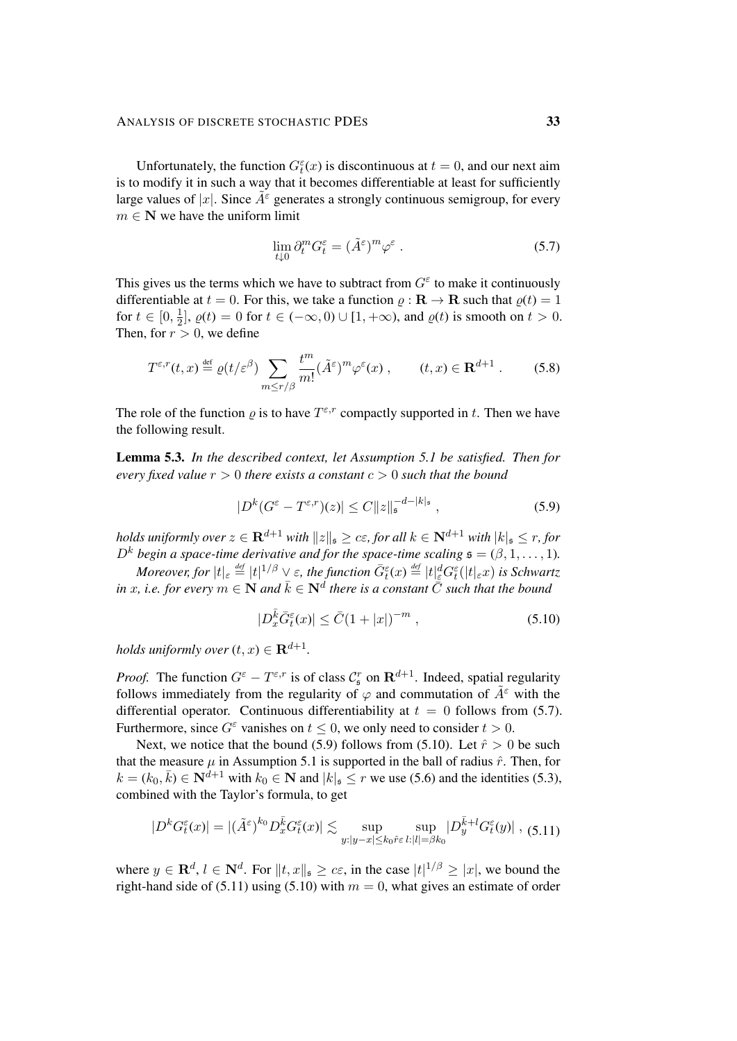Unfortunately, the function  $G_t^{\varepsilon}(x)$  is discontinuous at  $t = 0$ , and our next aim is to modify it in such a way that it becomes differentiable at least for sufficiently large values of |x|. Since  $A^{\epsilon}$  generates a strongly continuous semigroup, for every  $m \in \mathbb{N}$  we have the uniform limit

<span id="page-32-5"></span><span id="page-32-0"></span>
$$
\lim_{t \downarrow 0} \partial_t^m G_t^\varepsilon = (\tilde{A}^\varepsilon)^m \varphi^\varepsilon \ . \tag{5.7}
$$

This gives us the terms which we have to subtract from  $G^{\varepsilon}$  to make it continuously differentiable at  $t = 0$ . For this, we take a function  $\rho : \mathbf{R} \to \mathbf{R}$  such that  $\rho(t) = 1$ for  $t \in [0, \frac{1}{2}]$  $\frac{1}{2}$ ,  $\varrho(t) = 0$  for  $t \in (-\infty, 0) \cup [1, +\infty)$ , and  $\varrho(t)$  is smooth on  $t > 0$ . Then, for  $r > 0$ , we define

$$
T^{\varepsilon,r}(t,x) \stackrel{\text{def}}{=} \varrho(t/\varepsilon^{\beta}) \sum_{m \le r/\beta} \frac{t^m}{m!} (\tilde{A}^{\varepsilon})^m \varphi^{\varepsilon}(x) , \qquad (t,x) \in \mathbf{R}^{d+1} . \tag{5.8}
$$

The role of the function  $\varrho$  is to have  $T^{\varepsilon,r}$  compactly supported in t. Then we have the following result.

<span id="page-32-4"></span>Lemma 5.3. *In the described context, let Assumption [5.1](#page-30-3) be satisfied. Then for every fixed value*  $r > 0$  *there exists a constant*  $c > 0$  *such that the bound* 

<span id="page-32-1"></span>
$$
|D^k(G^{\varepsilon} - T^{\varepsilon,r})(z)| \le C ||z||_{\mathfrak{s}}^{-d-|k|_{\mathfrak{s}}}, \qquad (5.9)
$$

*holds uniformly over*  $z \in \mathbf{R}^{d+1}$  *with*  $||z||_{\mathfrak{s}} \geq c\varepsilon$ *, for all*  $k \in \mathbf{N}^{d+1}$  *with*  $|k|_{\mathfrak{s}} \leq r$ *, for*  $D^k$  *begin a space-time derivative and for the space-time scaling*  $\mathfrak{s} = (\beta, 1, \ldots, 1)$ *.* 

Moreover, for  $|t|_\varepsilon\stackrel{\scriptscriptstyle def}{=} |t|^{1/\beta}\vee\varepsilon$ , the function  $\bar G^\varepsilon_t(x)\stackrel{\scriptscriptstyle def}{=} |t|_\varepsilon^dG^\varepsilon_t(|t|_\varepsilon x)$  is Schwartz  $i$ *n* x, i.e. for every  $m \in \mathbf{N}$  and  $\bar{k} \in \mathbf{N}^d$  there is a constant  $\bar{\bar{C}}$  such that the bound

<span id="page-32-3"></span><span id="page-32-2"></span>
$$
|D_x^{\bar{k}} \bar{G}_t^{\varepsilon}(x)| \le \bar{C} (1+|x|)^{-m} , \qquad (5.10)
$$

*holds uniformly over*  $(t, x) \in \mathbf{R}^{d+1}$ .

*Proof.* The function  $G^{\varepsilon} - T^{\varepsilon,r}$  is of class  $C^r_{\varepsilon}$  on  $\mathbf{R}^{d+1}$ . Indeed, spatial regularity follows immediately from the regularity of  $\varphi$  and commutation of  $A^{\varepsilon}$  with the differential operator. Continuous differentiability at  $t = 0$  follows from [\(5.7\)](#page-32-0). Furthermore, since  $G^{\varepsilon}$  vanishes on  $t \leq 0$ , we only need to consider  $t > 0$ .

Next, we notice that the bound [\(5.9\)](#page-32-1) follows from [\(5.10\)](#page-32-2). Let  $\hat{r} > 0$  be such that the measure  $\mu$  in Assumption [5.1](#page-30-3) is supported in the ball of radius  $\hat{r}$ . Then, for  $k = (k_0, \bar{k}) \in \mathbb{N}^{d+1}$  with  $k_0 \in \mathbb{N}$  and  $|k|_{\mathfrak{s}} \leq r$  we use [\(5.6\)](#page-31-0) and the identities [\(5.3\)](#page-31-1), combined with the Taylor's formula, to get

$$
|D^k G_t^{\varepsilon}(x)| = |(\tilde{A}^{\varepsilon})^{k_0} D_x^{\bar{k}} G_t^{\varepsilon}(x)| \lesssim \sup_{y:|y-x| \le k_0 \hat{r} \varepsilon} \sup_{t:|t| = \beta k_0} |D_y^{\bar{k}+l} G_t^{\varepsilon}(y)| , (5.11)
$$

where  $y \in \mathbf{R}^d$ ,  $l \in \mathbf{N}^d$ . For  $||t, x||_{\mathfrak{s}} \ge c\varepsilon$ , in the case  $|t|^{1/\beta} \ge |x|$ , we bound the right-hand side of [\(5.11\)](#page-32-3) using [\(5.10\)](#page-32-2) with  $m = 0$ , what gives an estimate of order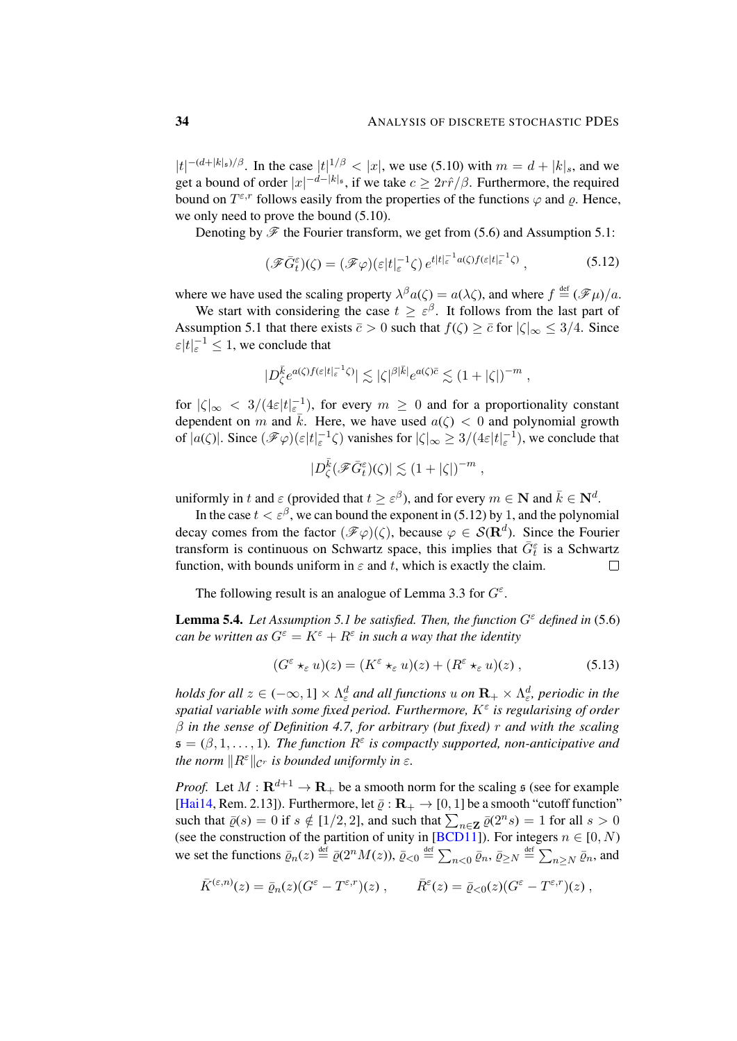$|t|^{-(d+|k|_\mathfrak{s})/\beta}$ . In the case  $|t|^{1/\beta} < |x|$ , we use [\(5.10\)](#page-32-2) with  $m = d + |k|_s$ , and we get a bound of order  $|x|^{-d-|k|_{{\mathfrak{s}}}}$ , if we take  $c \geq 2r\hat{r}/\beta$ . Furthermore, the required bound on  $T^{\varepsilon,r}$  follows easily from the properties of the functions  $\varphi$  and  $\varrho$ . Hence, we only need to prove the bound [\(5.10\)](#page-32-2).

Denoting by  $\mathscr F$  the Fourier transform, we get from [\(5.6\)](#page-31-0) and Assumption [5.1:](#page-30-3)

<span id="page-33-0"></span>
$$
(\mathscr{F}\bar{G}_{t}^{\varepsilon})(\zeta) = (\mathscr{F}\varphi)(\varepsilon|t|_{\varepsilon}^{-1}\zeta) e^{t|t|_{\varepsilon}^{-1}a(\zeta)f(\varepsilon|t|_{\varepsilon}^{-1}\zeta)}, \qquad (5.12)
$$

where we have used the scaling property  $\lambda^{\beta} a(\zeta) = a(\lambda \zeta)$ , and where  $f \stackrel{\text{def}}{=} (\mathscr{F} \mu)/a$ .

We start with considering the case  $t \geq \varepsilon^{\beta}$ . It follows from the last part of Assumption [5.1](#page-30-3) that there exists  $\bar{c} > 0$  such that  $f(\zeta) \geq \bar{c}$  for  $|\zeta|_{\infty} \leq 3/4$ . Since  $\epsilon |t|_{\epsilon}^{-1} \leq 1$ , we conclude that

$$
|D_{\zeta}^{\bar{k}} e^{a(\zeta)f(\varepsilon|t|\varepsilon^{-1}\zeta)}| \lesssim |\zeta|^{\beta|\bar{k}|} e^{a(\zeta)\bar{c}} \lesssim (1+|\zeta|)^{-m} ,
$$

for  $|\zeta|_{\infty} < 3/(4\varepsilon|t|\varepsilon^{-1})$ , for every  $m \geq 0$  and for a proportionality constant dependent on m and  $\bar{k}$ . Here, we have used  $a(\zeta) < 0$  and polynomial growth of  $|a(\zeta)|$ . Since  $(\mathscr{F}\varphi)(\varepsilon|t|_{\varepsilon}^{-1}\zeta)$  vanishes for  $|\zeta|_{\infty} \geq 3/(4\varepsilon|t|_{\varepsilon}^{-1})$ , we conclude that

$$
|D^{\bar k}_\zeta(\mathscr{F}\bar G^\varepsilon_t)(\zeta)|\lesssim \left(1+|\zeta|\right)^{-m}\,,
$$

uniformly in t and  $\varepsilon$  (provided that  $t \geq \varepsilon^{\beta}$ ), and for every  $m \in \mathbb{N}$  and  $\bar{k} \in \mathbb{N}^d$ .

In the case  $t < \varepsilon^{\beta}$ , we can bound the exponent in [\(5.12\)](#page-33-0) by 1, and the polynomial decay comes from the factor  $(\mathscr{F}\varphi)(\zeta)$ , because  $\varphi \in \mathcal{S}(\mathbf{R}^d)$ . Since the Fourier transform is continuous on Schwartz space, this implies that  $\bar{G}_{t}^{\varepsilon}$  is a Schwartz function, with bounds uniform in  $\varepsilon$  and t, which is exactly the claim.  $\Box$ 

The following result is an analogue of Lemma [3.3](#page-15-1) for  $G^{\varepsilon}$ .

<span id="page-33-2"></span>**Lemma 5.4.** *Let Assumption* [5.1](#page-30-3) *be satisfied. Then, the function*  $G^{\epsilon}$  *defined in* [\(5.6\)](#page-31-0) *can be written as*  $G^{\varepsilon} = K^{\varepsilon} + R^{\varepsilon}$  *in such a way that the identity* 

<span id="page-33-1"></span>
$$
(G^{\varepsilon} \star_{\varepsilon} u)(z) = (K^{\varepsilon} \star_{\varepsilon} u)(z) + (R^{\varepsilon} \star_{\varepsilon} u)(z) , \qquad (5.13)
$$

holds for all  $z\in(-\infty,1]\times\Lambda^d_\varepsilon$  and all functions  $u$  on  $\mathbf{R}_+\times\Lambda^d_\varepsilon$ , periodic in the *spatial variable with some fixed period. Furthermore, K<sup>ε</sup> is regularising of order* β *in the sense of Definition [4.7,](#page-25-4) for arbitrary (but fixed)* r *and with the scaling*  $\mathfrak{s} = (\beta, 1, \ldots, 1)$ . The function  $R^{\varepsilon}$  is compactly supported, non-anticipative and *the norm*  $\|R^{\varepsilon}\|_{\mathcal{C}^r}$  *is bounded uniformly in*  $\varepsilon$ *.* 

*Proof.* Let  $M : \mathbf{R}^{d+1} \to \mathbf{R}_{+}$  be a smooth norm for the scaling  $\mathfrak{s}$  (see for example [\[Hai14,](#page-47-0) Rem. 2.13]). Furthermore, let  $\bar{\varrho} : \mathbf{R}_{+} \to [0, 1]$  be a smooth "cutoff function" such that  $\bar{\varrho}(s) = 0$  if  $s \notin [1/2, 2]$ , and such that  $\sum_{n \in \mathbb{Z}} \bar{\varrho}(2^n s) = 1$  for all  $s > 0$ (see the construction of the partition of unity in [\[BCD11\]](#page-46-3)). For integers  $n \in [0, N)$ we set the functions  $\bar{\varrho}_n(z) \stackrel{\text{def}}{=} \bar{\varrho}(2^n M(z)), \bar{\varrho}_{< 0} \stackrel{\text{def}}{=} \sum_{n < 0} \bar{\varrho}_n, \bar{\varrho}_{\geq N} \stackrel{\text{def}}{=} \sum_{n \geq N} \bar{\varrho}_n$ , and

$$
\bar{K}^{(\varepsilon,n)}(z) = \bar{\varrho}_n(z) (G^{\varepsilon} - T^{\varepsilon,r})(z) , \qquad \bar{R}^{\varepsilon}(z) = \bar{\varrho}_{< 0} (z) (G^{\varepsilon} - T^{\varepsilon,r})(z) ,
$$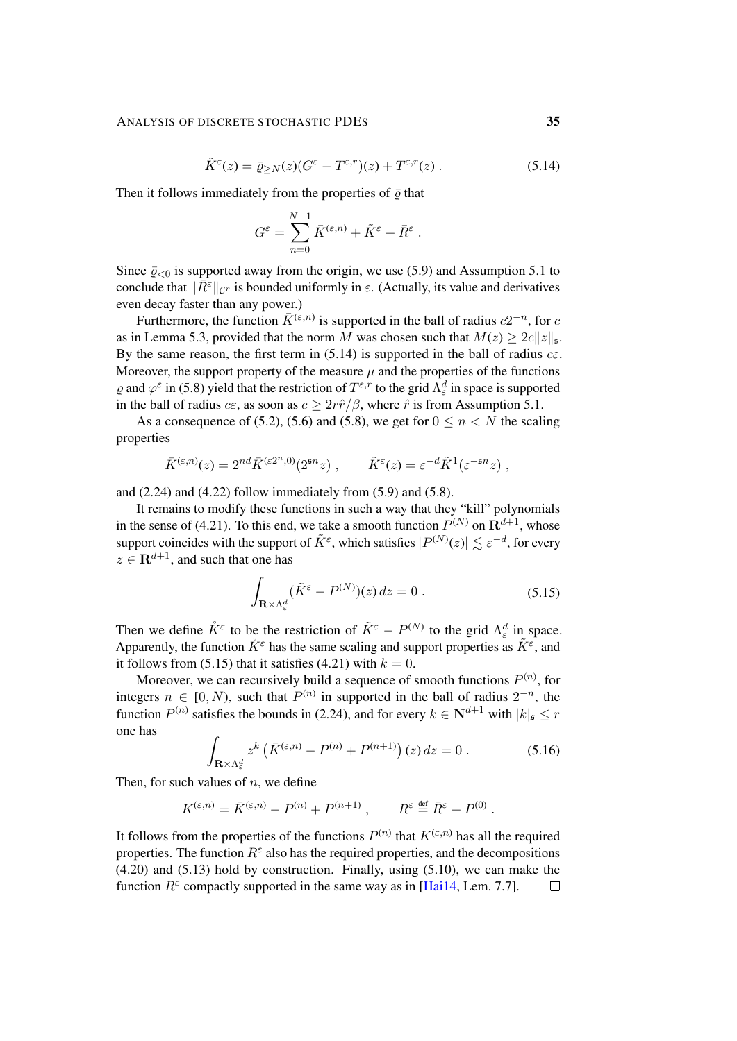## ANALYSIS OF DISCRETE STOCHASTIC PDES 35

$$
\tilde{K}^{\varepsilon}(z) = \bar{\varrho}_{\geq N}(z)(G^{\varepsilon} - T^{\varepsilon,r})(z) + T^{\varepsilon,r}(z). \tag{5.14}
$$

Then it follows immediately from the properties of  $\bar{\rho}$  that

<span id="page-34-0"></span>
$$
G^{\varepsilon} = \sum_{n=0}^{N-1} \bar{K}^{(\varepsilon,n)} + \tilde{K}^{\varepsilon} + \bar{R}^{\varepsilon}.
$$

Since  $\bar{p}_{\leq 0}$  is supported away from the origin, we use [\(5.9\)](#page-32-1) and Assumption [5.1](#page-30-3) to conclude that  $\|\bar{R}^{\varepsilon}\|_{\mathcal{C}^r}$  is bounded uniformly in  $\varepsilon$ . (Actually, its value and derivatives even decay faster than any power.)

Furthermore, the function  $\bar{K}^{(\varepsilon,n)}$  is supported in the ball of radius  $c2^{-n}$ , for  $c$ as in Lemma [5.3,](#page-32-4) provided that the norm M was chosen such that  $M(z) \geq 2c||z||_{\mathfrak{s}}$ . By the same reason, the first term in  $(5.14)$  is supported in the ball of radius  $c\epsilon$ . Moreover, the support property of the measure  $\mu$  and the properties of the functions  $\varrho$  and  $\varphi^{\varepsilon}$  in [\(5.8\)](#page-32-5) yield that the restriction of  $T^{\varepsilon,r}$  to the grid  $\Lambda_{\varepsilon}^d$  in space is supported in the ball of radius  $c\epsilon$ , as soon as  $c \geq 2r\hat{r}/\beta$ , where  $\hat{r}$  is from Assumption [5.1.](#page-30-3)

As a consequence of [\(5.2\)](#page-30-2), [\(5.6\)](#page-31-0) and [\(5.8\)](#page-32-5), we get for  $0 \le n \le N$  the scaling properties

$$
\bar{K}^{(\varepsilon,n)}(z) = 2^{nd} \bar{K}^{(\varepsilon 2^n,0)}(2^{\varepsilon n}z) , \qquad \tilde{K}^{\varepsilon}(z) = \varepsilon^{-d} \tilde{K}^1(\varepsilon^{-\varepsilon n}z) ,
$$

and  $(2.24)$  and  $(4.22)$  follow immediately from  $(5.9)$  and  $(5.8)$ .

It remains to modify these functions in such a way that they "kill" polynomials in the sense of [\(4.21\)](#page-25-2). To this end, we take a smooth function  $P^{(N)}$  on  $\mathbf{R}^{d+1}$ , whose support coincides with the support of  $\tilde K^\varepsilon$ , which satisfies  $|P^{(N)}(z)| \lesssim \varepsilon^{-d}$ , for every  $z \in \mathbf{R}^{d+1}$ , and such that one has

<span id="page-34-1"></span>
$$
\int_{\mathbf{R}\times\Lambda_{\varepsilon}^{d}} (\tilde{K}^{\varepsilon} - P^{(N)})(z) dz = 0.
$$
\n(5.15)

Then we define  $\mathring{K}^{\varepsilon}$  to be the restriction of  $\tilde{K}^{\varepsilon} - P^{(N)}$  to the grid  $\Lambda_{\varepsilon}^{d}$  in space. Apparently, the function  $\mathring{K}^{\varepsilon}$  has the same scaling and support properties as  $\tilde{K}^{\varepsilon}$ , and it follows from [\(5.15\)](#page-34-1) that it satisfies [\(4.21\)](#page-25-2) with  $k = 0$ .

Moreover, we can recursively build a sequence of smooth functions  $P^{(n)}$ , for integers  $n \in [0, N)$ , such that  $P^{(n)}$  in supported in the ball of radius  $2^{-n}$ , the function  $P^{(n)}$  satisfies the bounds in [\(2.24\)](#page-12-5), and for every  $k \in \mathbf{N}^{d+1}$  with  $|k|_{\mathfrak{s}} \leq r$ one has

$$
\int_{\mathbf{R}\times\Lambda_{\varepsilon}^{d}} z^{k} \left( \bar{K}^{(\varepsilon,n)} - P^{(n)} + P^{(n+1)} \right)(z) dz = 0.
$$
 (5.16)

Then, for such values of  $n$ , we define

$$
K^{(\varepsilon,n)} = \bar{K}^{(\varepsilon,n)} - P^{(n)} + P^{(n+1)}\ , \qquad R^\varepsilon \stackrel{\text{\tiny def}}{=} \bar{R}^\varepsilon + P^{(0)}\ .
$$

It follows from the properties of the functions  $P^{(n)}$  that  $K^{(\varepsilon,n)}$  has all the required properties. The function  $R^{\varepsilon}$  also has the required properties, and the decompositions [\(4.20\)](#page-25-3) and [\(5.13\)](#page-33-1) hold by construction. Finally, using [\(5.10\)](#page-32-2), we can make the function  $R^{\varepsilon}$  compactly supported in the same way as in [\[Hai14,](#page-47-0) Lem. 7.7].  $\Box$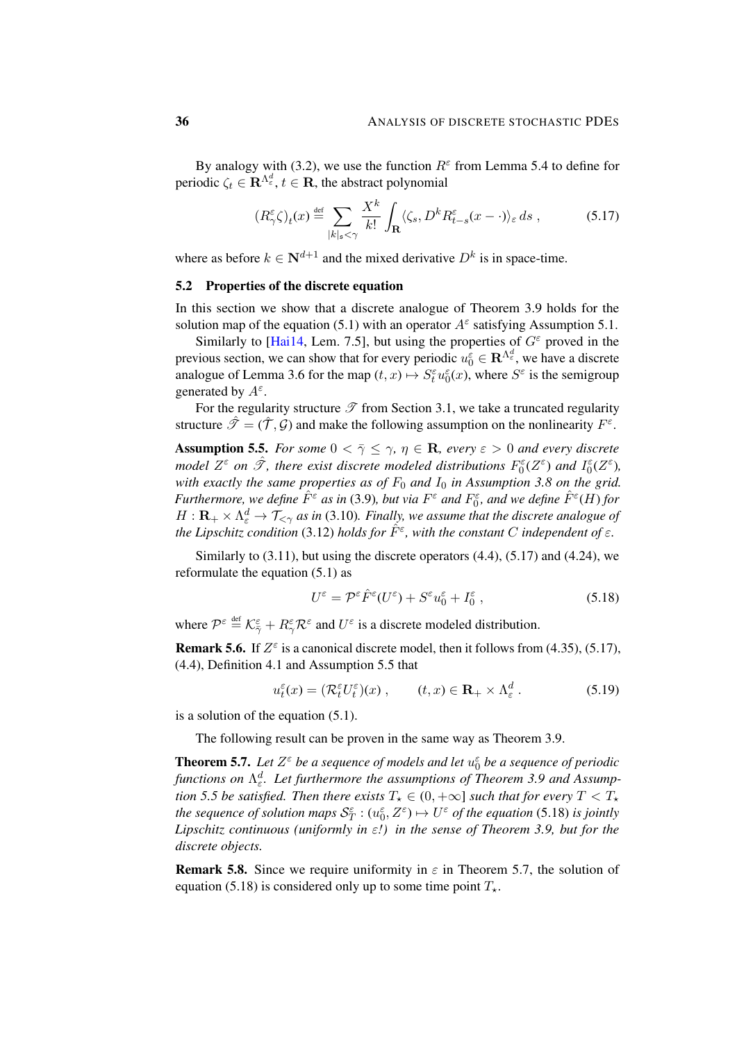By analogy with [\(3.2\)](#page-15-2), we use the function  $R^{\epsilon}$  from Lemma [5.4](#page-33-2) to define for periodic  $\zeta_t \in \mathbf{R}^{\Lambda_{\varepsilon}^d}$ ,  $t \in \mathbf{R}$ , the abstract polynomial

<span id="page-35-0"></span>
$$
(R_{\gamma}^{\varepsilon}\zeta)_{t}(x) \stackrel{\text{def}}{=} \sum_{|k|_{s} < \gamma} \frac{X^{k}}{k!} \int_{\mathbf{R}} \langle \zeta_{s}, D^{k} R_{t-s}^{\varepsilon}(x - \cdot) \rangle_{\varepsilon} ds , \qquad (5.17)
$$

where as before  $k \in \mathbb{N}^{d+1}$  and the mixed derivative  $D^k$  is in space-time.

#### 5.2 Properties of the discrete equation

In this section we show that a discrete analogue of Theorem [3.9](#page-18-2) holds for the solution map of the equation [\(5.1\)](#page-30-4) with an operator  $A^{\varepsilon}$  satisfying Assumption [5.1.](#page-30-3)

Similarly to [\[Hai14,](#page-47-0) Lem. 7.5], but using the properties of  $G^{\varepsilon}$  proved in the previous section, we can show that for every periodic  $u_0^{\varepsilon} \in \mathbb{R}^{\Lambda_{\varepsilon}^d}$ , we have a discrete analogue of Lemma [3.6](#page-17-1) for the map  $(t, x) \mapsto S_t^{\varepsilon} u_0^{\varepsilon}(x)$ , where  $S^{\varepsilon}$  is the semigroup generated by  $A^{\varepsilon}$ .

For the regularity structure  $\mathscr T$  from Section [3.1,](#page-15-4) we take a truncated regularity structure  $\hat{\mathcal{F}} = (\hat{\mathcal{T}}, \hat{\mathcal{G}})$  and make the following assumption on the nonlinearity  $F^{\varepsilon}$ .

<span id="page-35-1"></span>**Assumption 5.5.** *For some*  $0 < \overline{\gamma} \leq \gamma$ ,  $\eta \in \mathbb{R}$ , *every*  $\varepsilon > 0$  *and every discrete model*  $Z^{\varepsilon}$  *on*  $\hat{\mathscr{T}}$ *, there exist discrete modeled distributions*  $F_0^{\varepsilon}(Z^{\varepsilon})$  *and*  $I_0^{\varepsilon}(Z^{\varepsilon})$ *, with exactly the same properties as of*  $F_0$  *and*  $I_0$  *in Assumption* [3.8](#page-18-1) *on the grid. Furthermore, we define*  $\hat{F}^{\varepsilon}$  *as in* [\(3.9\)](#page-17-2)*, but via*  $F^{\varepsilon}$  *and*  $F^{\varepsilon}_0$ *, and we define*  $\hat{F}^{\varepsilon}(H)$  *for*  $H: \mathbf{R}_+\times \Lambda^d_\varepsilon\to \mathcal{T}_{<\gamma}$  as in [\(3.10\)](#page-18-3). Finally, we assume that the discrete analogue of *the Lipschitz condition* [\(3.12\)](#page-18-4) *holds for*  $\hat{F}^{\varepsilon}$ , with the constant C independent of  $\varepsilon$ .

Similarly to  $(3.11)$ , but using the discrete operators  $(4.4)$ ,  $(5.17)$  and  $(4.24)$ , we reformulate the equation [\(5.1\)](#page-30-4) as

<span id="page-35-4"></span><span id="page-35-2"></span>
$$
U^{\varepsilon} = \mathcal{P}^{\varepsilon} \hat{F}^{\varepsilon} (U^{\varepsilon}) + S^{\varepsilon} u_0^{\varepsilon} + I_0^{\varepsilon} , \qquad (5.18)
$$

where  $\mathcal{P}^{\varepsilon} \stackrel{\text{def}}{=} \mathcal{K}_{\overline{\gamma}}^{\varepsilon} + R_{\gamma}^{\varepsilon} \mathcal{R}^{\varepsilon}$  and  $U^{\varepsilon}$  is a discrete modeled distribution.

**Remark 5.6.** If  $Z^{\epsilon}$  is a canonical discrete model, then it follows from [\(4.35\)](#page-29-0), [\(5.17\)](#page-35-0), [\(4.4\)](#page-20-4), Definition [4.1](#page-19-2) and Assumption [5.5](#page-35-1) that

$$
u_t^{\varepsilon}(x) = (\mathcal{R}_t^{\varepsilon} U_t^{\varepsilon})(x) , \qquad (t, x) \in \mathbf{R}_+ \times \Lambda_{\varepsilon}^d . \tag{5.19}
$$

is a solution of the equation [\(5.1\)](#page-30-4).

The following result can be proven in the same way as Theorem [3.9.](#page-18-2)

<span id="page-35-3"></span>**Theorem 5.7.** Let  $Z^{\varepsilon}$  be a sequence of models and let  $u_0^{\varepsilon}$  be a sequence of periodic *functions on* Λ d ε *. Let furthermore the assumptions of Theorem [3.9](#page-18-2) and Assumption* [5.5](#page-35-1) *be satisfied. Then there exists*  $T_{\star} \in (0, +\infty]$  *such that for every*  $T < T_{\star}$ *the sequence of solution maps*  $\mathcal{S}_T^{\varepsilon}$  :  $(u_0^{\varepsilon}, Z^{\varepsilon}) \mapsto U^{\varepsilon}$  *of the equation* [\(5.18\)](#page-35-2) *is jointly Lipschitz continuous (uniformly in* ε*!) in the sense of Theorem [3.9,](#page-18-2) but for the discrete objects.*

**Remark 5.8.** Since we require uniformity in  $\varepsilon$  in Theorem [5.7,](#page-35-3) the solution of equation [\(5.18\)](#page-35-2) is considered only up to some time point  $T_{\star}$ .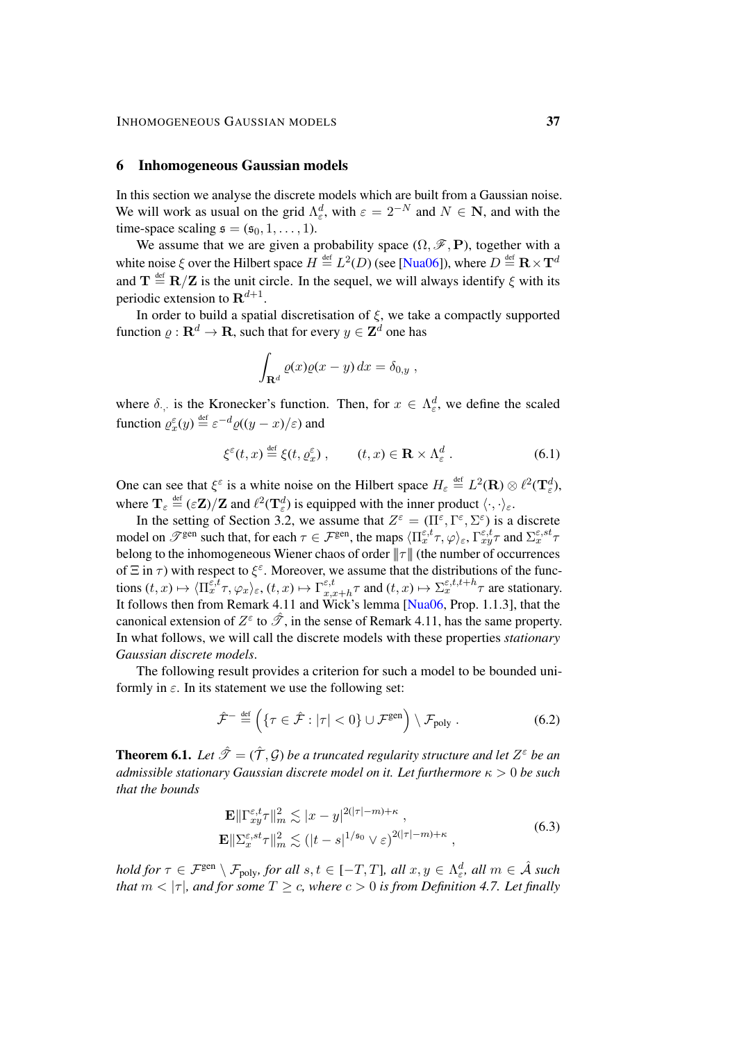#### <span id="page-36-0"></span>6 Inhomogeneous Gaussian models

In this section we analyse the discrete models which are built from a Gaussian noise. We will work as usual on the grid  $\Lambda_{\varepsilon}^d$ , with  $\varepsilon = 2^{-N}$  and  $N \in \mathbb{N}$ , and with the time-space scaling  $\mathfrak{s} = (\mathfrak{s}_0, 1, \ldots, 1)$ .

We assume that we are given a probability space  $(\Omega, \mathscr{F}, P)$ , together with a white noise  $\xi$  over the Hilbert space  $H \stackrel{\text{def}}{=} L^2(D)$  (see [\[Nua06\]](#page-48-16)), where  $D \stackrel{\text{def}}{=} \mathbf{R} \times \mathbf{T}^d$ and  $T \stackrel{\text{def}}{=} R/Z$  is the unit circle. In the sequel, we will always identify  $\xi$  with its periodic extension to  $\mathbf{R}^{d+1}$ .

In order to build a spatial discretisation of  $\xi$ , we take a compactly supported function  $\varrho : \mathbf{R}^d \to \mathbf{R}$ , such that for every  $y \in \mathbf{Z}^d$  one has

<span id="page-36-3"></span>
$$
\int_{\mathbf{R}^d} \varrho(x)\varrho(x-y) \, dx = \delta_{0,y} \;,
$$

where  $\delta_{\cdot,\cdot}$  is the Kronecker's function. Then, for  $x \in \Lambda_{\varepsilon}^d$ , we define the scaled function  $\varrho_{x}^{\varepsilon}(y) \stackrel{\text{def}}{=} \varepsilon^{-d} \varrho((y-x)/\varepsilon)$  and

$$
\xi^{\varepsilon}(t,x) \stackrel{\text{def}}{=} \xi(t,\varrho_x^{\varepsilon}), \qquad (t,x) \in \mathbf{R} \times \Lambda_{\varepsilon}^d. \tag{6.1}
$$

One can see that  $\xi^{\varepsilon}$  is a white noise on the Hilbert space  $H_{\varepsilon} \stackrel{\text{def}}{=} L^2(\mathbf{R}) \otimes \ell^2(\mathbf{T}_{\varepsilon}^d)$ , where  $\mathbf{T}_{\varepsilon} \stackrel{\text{def}}{=} (\varepsilon \mathbf{Z})/\mathbf{Z}$  and  $\ell^2(\mathbf{T}_{\varepsilon}^d)$  is equipped with the inner product  $\langle \cdot, \cdot \rangle_{\varepsilon}$ .

In the setting of Section [3.2,](#page-17-3) we assume that  $Z^{\varepsilon} = (\Pi^{\varepsilon}, \Gamma^{\varepsilon}, \Sigma^{\varepsilon})$  is a discrete model on  $\mathscr{T}^{\text{gen}}$  such that, for each  $\tau \in \mathcal{F}^{\text{gen}}$ , the maps  $\langle \Pi_x^{\varepsilon,t} \tau, \varphi \rangle_{\varepsilon}$ ,  $\Gamma_{xy}^{\varepsilon,t} \tau$  and  $\Sigma_x^{\varepsilon, st} \tau$ belong to the inhomogeneous Wiener chaos of order  $||\tau||$  (the number of occurrences of  $\Xi$  in  $\tau$ ) with respect to  $\xi^{\epsilon}$ . Moreover, we assume that the distributions of the functions  $(t, x) \mapsto \langle \Pi_x^{\varepsilon, t} \tau, \varphi_x \rangle_{\varepsilon}, (t, x) \mapsto \Gamma_{x, x}^{\varepsilon, t}$  $z_{x,x+h}^{\varepsilon,t} \tau$  and  $(t,x) \mapsto \sum_{x}^{\varepsilon,t,t+h} \tau$  are stationary. It follows then from Remark [4.11](#page-29-4) and Wick's lemma  $Nua06$ , Prop. 1.1.3], that the canonical extension of  $Z^{\varepsilon}$  to  $\hat{\mathscr{T}}$ , in the sense of Remark [4.11,](#page-29-4) has the same property. In what follows, we will call the discrete models with these properties *stationary Gaussian discrete models*.

The following result provides a criterion for such a model to be bounded uniformly in  $\varepsilon$ . In its statement we use the following set:

<span id="page-36-4"></span>
$$
\hat{\mathcal{F}}^{-} \stackrel{\text{def}}{=} \left( \{ \tau \in \hat{\mathcal{F}} : |\tau| < 0 \} \cup \mathcal{F}^{\text{gen}} \right) \setminus \mathcal{F}_{\text{poly}} \,. \tag{6.2}
$$

<span id="page-36-2"></span>**Theorem 6.1.** Let  $\hat{\mathcal{T}} = (\hat{\mathcal{T}}, \mathcal{G})$  be a truncated regularity structure and let  $Z^{\varepsilon}$  be an *admissible stationary Gaussian discrete model on it. Let furthermore* κ > 0 *be such that the bounds*

<span id="page-36-1"></span>
$$
\mathbf{E} \|\Gamma_{xy}^{\varepsilon,t}\tau\|_{m}^{2} \lesssim |x-y|^{2(|\tau|-m)+\kappa},
$$
\n
$$
\mathbf{E} \|\Sigma_{x}^{\varepsilon,st}\tau\|_{m}^{2} \lesssim (|t-s|^{1/\mathfrak{s}_{0}} \vee \varepsilon)^{2(|\tau|-m)+\kappa},
$$
\n(6.3)

 $hold$  for  $\tau \in \mathcal{F}^\mathrm{gen}\setminus\mathcal{F}_\mathrm{poly},$  for all  $s,t\in[-T,T]$ , all  $x,y\in\Lambda_\varepsilon^d$ , all  $m\in\hat{\mathcal{A}}$  such *that*  $m < |\tau|$ *, and for some*  $T \ge c$ *, where*  $c > 0$  *is from Definition [4.7.](#page-25-4) Let finally*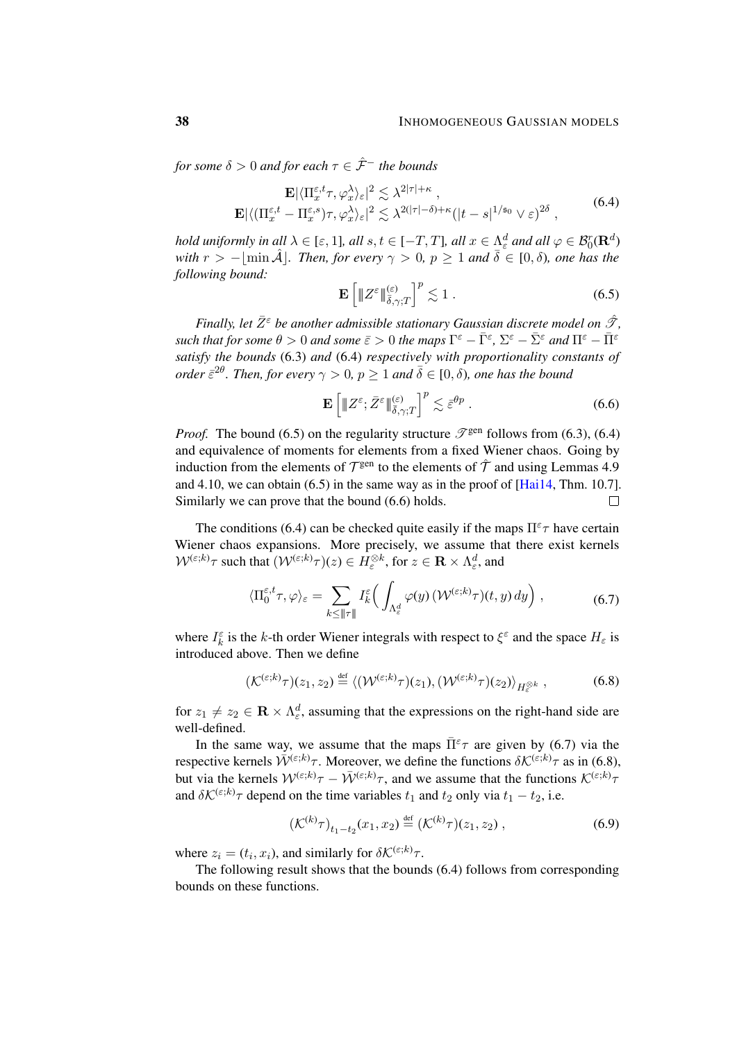*for some*  $\delta > 0$  *and for each*  $\tau \in \hat{\mathcal{F}}^-$  *the bounds* 

$$
\mathbf{E} |\langle \Pi_x^{\varepsilon,t} \tau, \varphi_x^{\lambda} \rangle_{\varepsilon}|^2 \lesssim \lambda^{2|\tau|+\kappa},
$$
  

$$
\mathbf{E} |\langle (\Pi_x^{\varepsilon,t} - \Pi_x^{\varepsilon,s}) \tau, \varphi_x^{\lambda} \rangle_{\varepsilon}|^2 \lesssim \lambda^{2(|\tau|-\delta)+\kappa} (|t-s|^{1/\mathfrak{s}_0} \vee \varepsilon)^{2\delta},
$$
 (6.4)

*hold uniformly in all*  $\lambda \in [\varepsilon, 1]$ *, all*  $s, t \in [-T, T]$ *, all*  $x \in \Lambda_{\varepsilon}^d$  *and all*  $\varphi \in \mathcal{B}_0^r(\mathbf{R}^d)$ *with*  $r > -|\min \hat{A}|$ *. Then, for every*  $\gamma > 0$ ,  $p \ge 1$  *and*  $\bar{\delta} \in [0, \delta)$ *, one has the following bound:*

<span id="page-37-1"></span><span id="page-37-0"></span>
$$
\mathbf{E}\left[\|Z^{\varepsilon}\|_{\bar{\delta},\gamma;T}^{(\varepsilon)}\right]^p \lesssim 1\ .
$$

*Finally, let*  $\bar{Z}^{\epsilon}$  *be another admissible stationary Gaussian discrete model on*  $\hat{\mathcal{F}}$ *, such that for some*  $\theta > 0$  *and some*  $\bar{\varepsilon} > 0$  *the maps*  $\Gamma^{\varepsilon} - \bar{\Gamma}^{\varepsilon}$ ,  $\Sigma^{\varepsilon} - \bar{\Sigma}^{\varepsilon}$  *and*  $\Pi^{\varepsilon} - \bar{\Pi}^{\varepsilon}$ *satisfy the bounds* [\(6.3\)](#page-36-1) *and* [\(6.4\)](#page-37-0) *respectively with proportionality constants of order*  $\bar{\varepsilon}^{2\theta}$ . Then, for every  $\gamma > 0$ ,  $p \ge 1$  and  $\bar{\delta} \in [0, \delta)$ , one has the bound

<span id="page-37-3"></span><span id="page-37-2"></span>
$$
\mathbf{E}\left[\|\boldsymbol{Z}^{\varepsilon};\bar{\boldsymbol{Z}}^{\varepsilon}\|_{\bar{\delta},\gamma;T}^{(\varepsilon)}\right]^{p}\lesssim \bar{\varepsilon}^{\theta p}.
$$
\n(6.6)

*Proof.* The bound [\(6.5\)](#page-37-1) on the regularity structure  $\mathscr{T}^{\text{gen}}$  follows from [\(6.3\)](#page-36-1), [\(6.4\)](#page-37-0) and equivalence of moments for elements from a fixed Wiener chaos. Going by induction from the elements of  $\mathcal{T}^{\text{gen}}$  to the elements of  $\hat{\mathcal{T}}$  and using Lemmas [4.9](#page-26-4) and [4.10,](#page-28-2) we can obtain  $(6.5)$  in the same way as in the proof of  $[Hai14, Thm. 10.7]$  $[Hai14, Thm. 10.7]$ . Similarly we can prove that the bound [\(6.6\)](#page-37-2) holds.  $\Box$ 

The conditions [\(6.4\)](#page-37-0) can be checked quite easily if the maps  $\Pi^{\epsilon}\tau$  have certain Wiener chaos expansions. More precisely, we assume that there exist kernels  $\mathcal{W}^{(\varepsilon;k)}\tau$  such that  $(\mathcal{W}^{(\varepsilon;k)}\tau)(z)\in H_{\varepsilon}^{\otimes k}$ , for  $z\in\mathbf{R}\times\Lambda_{\varepsilon}^{d}$ , and

$$
\langle \Pi_0^{\varepsilon,t} \tau, \varphi \rangle_{\varepsilon} = \sum_{k \leq ||\tau||} I_k^{\varepsilon} \Big( \int_{\Lambda_{\varepsilon}^d} \varphi(y) \, (\mathcal{W}^{(\varepsilon;k)} \tau)(t,y) \, dy \Big) \;, \tag{6.7}
$$

where  $I_k^{\varepsilon}$  is the k-th order Wiener integrals with respect to  $\xi^{\varepsilon}$  and the space  $H_{\varepsilon}$  is introduced above. Then we define

$$
(\mathcal{K}^{(\varepsilon;k)}\tau)(z_1,z_2) \stackrel{\text{def}}{=} \langle (\mathcal{W}^{(\varepsilon;k)}\tau)(z_1), (\mathcal{W}^{(\varepsilon;k)}\tau)(z_2) \rangle_{H_{\varepsilon}^{\otimes k}},\tag{6.8}
$$

for  $z_1 \neq z_2 \in \mathbf{R} \times \Lambda_{\varepsilon}^d$ , assuming that the expressions on the right-hand side are well-defined.

In the same way, we assume that the maps  $\bar{\Pi}^{\epsilon}\tau$  are given by [\(6.7\)](#page-37-3) via the respective kernels  $\bar{W}^{(\varepsilon;k)}\tau$ . Moreover, we define the functions  $\delta K^{(\varepsilon;k)}\tau$  as in [\(6.8\)](#page-37-4), but via the kernels  $W^{(\varepsilon;k)}\tau - \bar{W}^{(\varepsilon;k)}\tau$ , and we assume that the functions  $\mathcal{K}^{(\varepsilon;k)}\tau$ and  $\delta K^{(\varepsilon;k)}\tau$  depend on the time variables  $t_1$  and  $t_2$  only via  $t_1 - t_2$ , i.e.

<span id="page-37-5"></span><span id="page-37-4"></span>
$$
\left(\mathcal{K}^{(k)}\tau\right)_{t_1-t_2}(x_1,x_2) \stackrel{\text{def}}{=} \left(\mathcal{K}^{(k)}\tau\right)(z_1,z_2) \,,\tag{6.9}
$$

where  $z_i = (t_i, x_i)$ , and similarly for  $\delta \mathcal{K}^{(\varepsilon;k)} \tau$ .

The following result shows that the bounds [\(6.4\)](#page-37-0) follows from corresponding bounds on these functions.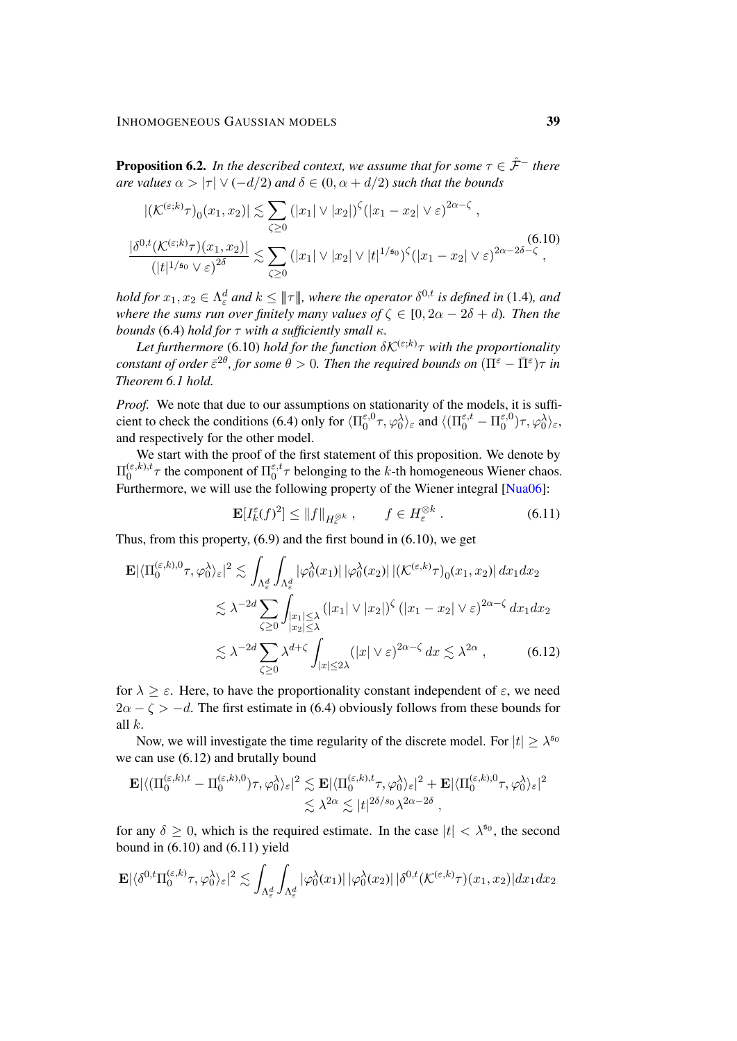<span id="page-38-3"></span>**Proposition 6.2.** *In the described context, we assume that for some*  $\tau \in \hat{\mathcal{F}}^-$  *there are values*  $\alpha > |\tau| \vee (-d/2)$  *and*  $\delta \in (0, \alpha + d/2)$  *such that the bounds* 

<span id="page-38-0"></span>
$$
|(\mathcal{K}^{(\varepsilon;k)}\tau)_{0}(x_{1},x_{2})| \lesssim \sum_{\zeta \geq 0} (|x_{1}| \vee |x_{2}|)^{\zeta} (|x_{1}-x_{2}| \vee \varepsilon)^{2\alpha-\zeta},
$$
  

$$
\frac{|\delta^{0,t}(\mathcal{K}^{(\varepsilon;k)}\tau)(x_{1},x_{2})|}{(|t|^{1/\mathfrak{s}_{0}} \vee \varepsilon)^{2\delta}} \lesssim \sum_{\zeta \geq 0} (|x_{1}| \vee |x_{2}| \vee |t|^{1/\mathfrak{s}_{0}})^{\zeta} (|x_{1}-x_{2}| \vee \varepsilon)^{2\alpha-2\delta-\zeta},
$$
(6.10)

 $h$ old for  $x_1, x_2 \in \Lambda^d_\varepsilon$  and  $k \leq \|\tau\|$ , where the operator  $\delta^{0,t}$  is defined in [\(1.4\)](#page-4-4), and *where the sums run over finitely many values of*  $\zeta \in [0, 2\alpha - 2\delta + d)$ *. Then the bounds* [\(6.4\)](#page-37-0) *hold for* τ *with a sufficiently small* κ*.*

Let furthermore [\(6.10\)](#page-38-0) hold for the function  $\delta K^{(\varepsilon;k)}\tau$  with the proportionality  $\epsilon$ constant of order  $\bar{\varepsilon}^{2\theta}$ , for some  $\theta > 0$ . Then the required bounds on  $(\Pi^{\varepsilon} - \bar{\Pi}^{\varepsilon})\tau$  in *Theorem [6.1](#page-36-2) hold.*

*Proof.* We note that due to our assumptions on stationarity of the models, it is suffi-cient to check the conditions [\(6.4\)](#page-37-0) only for  $\langle \Pi_0^{\epsilon,0} \rangle$  $\langle 0^{\varepsilon,0}\tau,\varphi_0^{\lambda} \rangle_{\varepsilon}$  and  $\langle (\Pi_0^{\varepsilon,t}-\Pi_0^{\varepsilon,0}) \rangle$  $\langle \epsilon,^{\varepsilon,0}_0\rangle \tau, \varphi_0^\lambda\rangle_{\varepsilon},$ and respectively for the other model.

We start with the proof of the first statement of this proposition. We denote by  $\Pi_0^{(\varepsilon,k),t}$  $_{0}^{(\varepsilon,k),t}$  the component of  $\Pi_{0}^{\varepsilon,t}$  $\frac{\varepsilon, t}{0} \tau$  belonging to the k-th homogeneous Wiener chaos. Furthermore, we will use the following property of the Wiener integral [\[Nua06\]](#page-48-16):

<span id="page-38-2"></span><span id="page-38-1"></span>
$$
\mathbf{E}[I_k^{\varepsilon}(f)^2] \le ||f||_{H_{\varepsilon}^{\otimes k}}, \qquad f \in H_{\varepsilon}^{\otimes k} . \tag{6.11}
$$

Thus, from this property,  $(6.9)$  and the first bound in  $(6.10)$ , we get

$$
\mathbf{E} |\langle \Pi_0^{(\varepsilon,k),0} \tau, \varphi_0^{\lambda} \rangle_{\varepsilon} |^2 \lesssim \int_{\Lambda_{\varepsilon}^d} \int_{\Lambda_{\varepsilon}^d} |\varphi_0^{\lambda}(x_1)| |\varphi_0^{\lambda}(x_2)| |(\mathcal{K}^{(\varepsilon,k)} \tau)_0(x_1, x_2)| dx_1 dx_2
$$
  

$$
\lesssim \lambda^{-2d} \sum_{\zeta \ge 0} \int_{\substack{|x_1| \le \lambda \\ |x_2| \le \lambda}} (|x_1| \vee |x_2|)^{\zeta} (|x_1 - x_2| \vee \varepsilon)^{2\alpha - \zeta} dx_1 dx_2
$$
  

$$
\lesssim \lambda^{-2d} \sum_{\zeta \ge 0} \lambda^{d+\zeta} \int_{|x| \le 2\lambda} (|x| \vee \varepsilon)^{2\alpha - \zeta} dx \lesssim \lambda^{2\alpha} , \qquad (6.12)
$$

for  $\lambda \geq \varepsilon$ . Here, to have the proportionality constant independent of  $\varepsilon$ , we need  $2\alpha - \zeta > -d$ . The first estimate in [\(6.4\)](#page-37-0) obviously follows from these bounds for all  $k$ .

Now, we will investigate the time regularity of the discrete model. For  $|t| \geq \lambda^{50}$ we can use [\(6.12\)](#page-38-1) and brutally bound

$$
\mathbf{E} |\langle (\Pi_0^{(\varepsilon,k),t} - \Pi_0^{(\varepsilon,k),0}) \tau, \varphi_0^{\lambda} \rangle_{\varepsilon}|^2 \lesssim \mathbf{E} |\langle \Pi_0^{(\varepsilon,k),t} \tau, \varphi_0^{\lambda} \rangle_{\varepsilon}|^2 + \mathbf{E} |\langle \Pi_0^{(\varepsilon,k),0} \tau, \varphi_0^{\lambda} \rangle_{\varepsilon}|^2
$$
  

$$
\lesssim \lambda^{2\alpha} \lesssim |t|^{2\delta/s_0} \lambda^{2\alpha - 2\delta},
$$

for any  $\delta \geq 0$ , which is the required estimate. In the case  $|t| < \lambda^{50}$ , the second bound in  $(6.10)$  and  $(6.11)$  yield

$$
\mathbf{E}|\langle \delta^{0,t} \Pi_0^{(\varepsilon,k)} \tau, \varphi_0^{\lambda} \rangle_{\varepsilon}|^2 \lesssim \int_{\Lambda_{\varepsilon}^d} \int_{\Lambda_{\varepsilon}^d} |\varphi_0^{\lambda}(x_1)| \, |\varphi_0^{\lambda}(x_2)| \, |\delta^{0,t}(\mathcal{K}^{(\varepsilon,k)} \tau)(x_1, x_2)| dx_1 dx_2
$$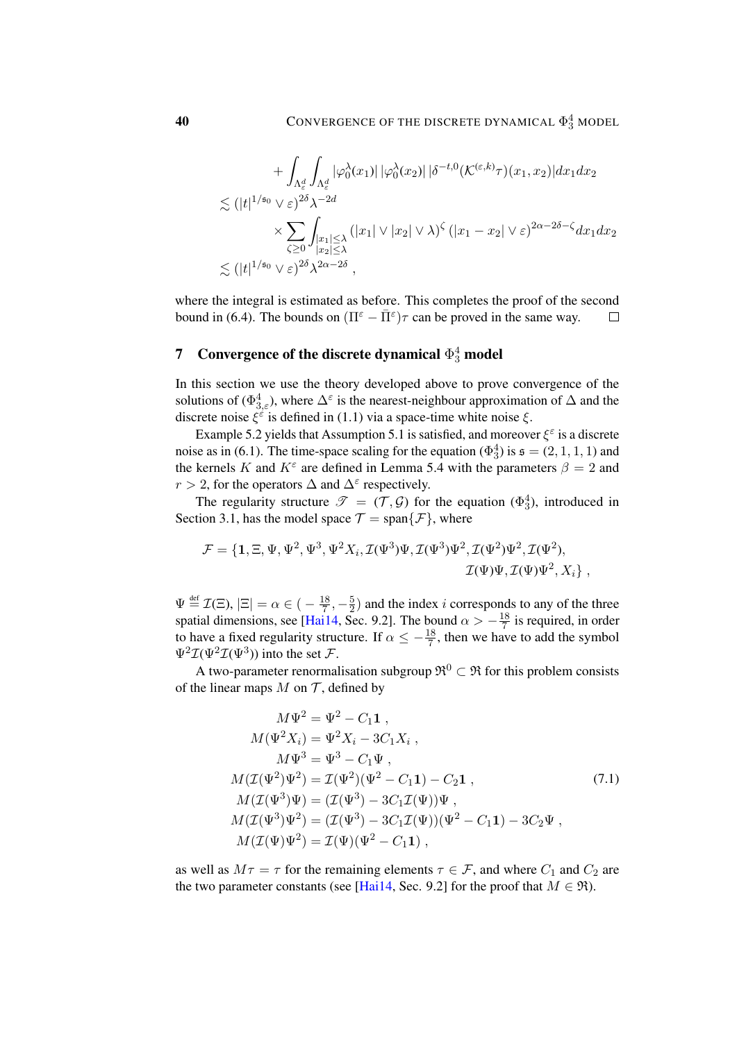$$
+ \int_{\Lambda_{\varepsilon}^{d}} \int_{\Lambda_{\varepsilon}^{d}} |\varphi_{0}^{\lambda}(x_{1})| |\varphi_{0}^{\lambda}(x_{2})| |\delta^{-t,0} (\mathcal{K}^{(\varepsilon,k)} \tau)(x_{1},x_{2})| dx_{1} dx_{2}
$$
  

$$
\lesssim (|t|^{1/s_{0}} \vee \varepsilon)^{2\delta} \lambda^{-2d}
$$
  

$$
\times \sum_{\zeta \geq 0} \int_{\substack{|x_{1}| \leq \lambda \\ |x_{2}| \leq \lambda}} (|x_{1}| \vee |x_{2}| \vee \lambda)^{\zeta} (|x_{1}-x_{2}| \vee \varepsilon)^{2\alpha - 2\delta - \zeta} dx_{1} dx_{2}
$$
  

$$
\lesssim (|t|^{1/s_{0}} \vee \varepsilon)^{2\delta} \lambda^{2\alpha - 2\delta},
$$

where the integral is estimated as before. This completes the proof of the second bound in [\(6.4\)](#page-37-0). The bounds on  $(\Pi^{\varepsilon} - \bar{\Pi}^{\varepsilon})\tau$  can be proved in the same way.  $\Box$ 

# <span id="page-39-0"></span>**7** Convergence of the discrete dynamical  $\Phi_3^4$  model

In this section we use the theory developed above to prove convergence of the solutions of  $(\Phi_{3,\varepsilon}^4)$ , where  $\Delta^{\varepsilon}$  is the nearest-neighbour approximation of  $\Delta$  and the discrete noise  $\xi^{\varepsilon}$  is defined in [\(1.1\)](#page-2-0) via a space-time white noise  $\xi$ .

Example [5.2](#page-31-2) yields that Assumption [5.1](#page-30-3) is satisfied, and moreover  $\xi^{\epsilon}$  is a discrete noise as in [\(6.1\)](#page-36-3). The time-space scaling for the equation ( $\Phi_3^4$ ) is  $\mathfrak{s} = (2, 1, 1, 1)$  and the kernels K and  $K^{\varepsilon}$  are defined in Lemma [5.4](#page-33-2) with the parameters  $\beta = 2$  and  $r > 2$ , for the operators  $\Delta$  and  $\Delta^{\varepsilon}$  respectively.

The regularity structure  $\mathscr{T} = (\mathcal{T}, \mathcal{G})$  for the equation  $(\Phi_3^4)$ , introduced in Section [3.1,](#page-15-4) has the model space  $\mathcal{T} = \text{span}\{\mathcal{F}\}\$ , where

$$
\mathcal{F} = \{1, \Xi, \Psi, \Psi^2, \Psi^3, \Psi^2 X_i, \mathcal{I}(\Psi^3) \Psi, \mathcal{I}(\Psi^3) \Psi^2, \mathcal{I}(\Psi^2) \Psi^2, \mathcal{I}(\Psi^2),
$$
  

$$
\mathcal{I}(\Psi) \Psi, \mathcal{I}(\Psi) \Psi^2, X_i \},
$$

 $\Psi \stackrel{\text{def}}{=} \mathcal{I}(\Xi), |\Xi| = \alpha \in (-\frac{18}{7})$  $\frac{18}{7}, -\frac{5}{2}$  $\frac{5}{2}$ ) and the index *i* corresponds to any of the three spatial dimensions, see [\[Hai14,](#page-47-0) Sec. 9.2]. The bound  $\alpha > -\frac{18}{7}$  $\frac{18}{7}$  is required, in order to have a fixed regularity structure. If  $\alpha \leq -\frac{18}{7}$ , then we have to add the symbol  $\Psi^2 \mathcal{I}(\Psi^2 \mathcal{I}(\Psi^3))$  into the set  $\mathcal{F}$ .

A two-parameter renormalisation subgroup  $\mathfrak{R}^0 \subset \mathfrak{R}$  for this problem consists of the linear maps  $M$  on  $\mathcal T$ , defined by

<span id="page-39-1"></span>
$$
M\Psi^2 = \Psi^2 - C_1 \mathbf{1} ,
$$
  
\n
$$
M(\Psi^2 X_i) = \Psi^2 X_i - 3C_1 X_i ,
$$
  
\n
$$
M\Psi^3 = \Psi^3 - C_1 \Psi ,
$$
  
\n
$$
M(\mathcal{I}(\Psi^2)\Psi^2) = \mathcal{I}(\Psi^2)(\Psi^2 - C_1 \mathbf{1}) - C_2 \mathbf{1} ,
$$
  
\n
$$
M(\mathcal{I}(\Psi^3)\Psi) = (\mathcal{I}(\Psi^3) - 3C_1 \mathcal{I}(\Psi))\Psi ,
$$
  
\n
$$
M(\mathcal{I}(\Psi^3)\Psi^2) = (\mathcal{I}(\Psi^3) - 3C_1 \mathcal{I}(\Psi))(\Psi^2 - C_1 \mathbf{1}) - 3C_2 \Psi ,
$$
  
\n
$$
M(\mathcal{I}(\Psi)\Psi^2) = \mathcal{I}(\Psi)(\Psi^2 - C_1 \mathbf{1}) ,
$$
  
\n(7.1)

as well as  $M\tau = \tau$  for the remaining elements  $\tau \in \mathcal{F}$ , and where  $C_1$  and  $C_2$  are the two parameter constants (see [\[Hai14,](#page-47-0) Sec. 9.2] for the proof that  $M \in \mathfrak{R}$ ).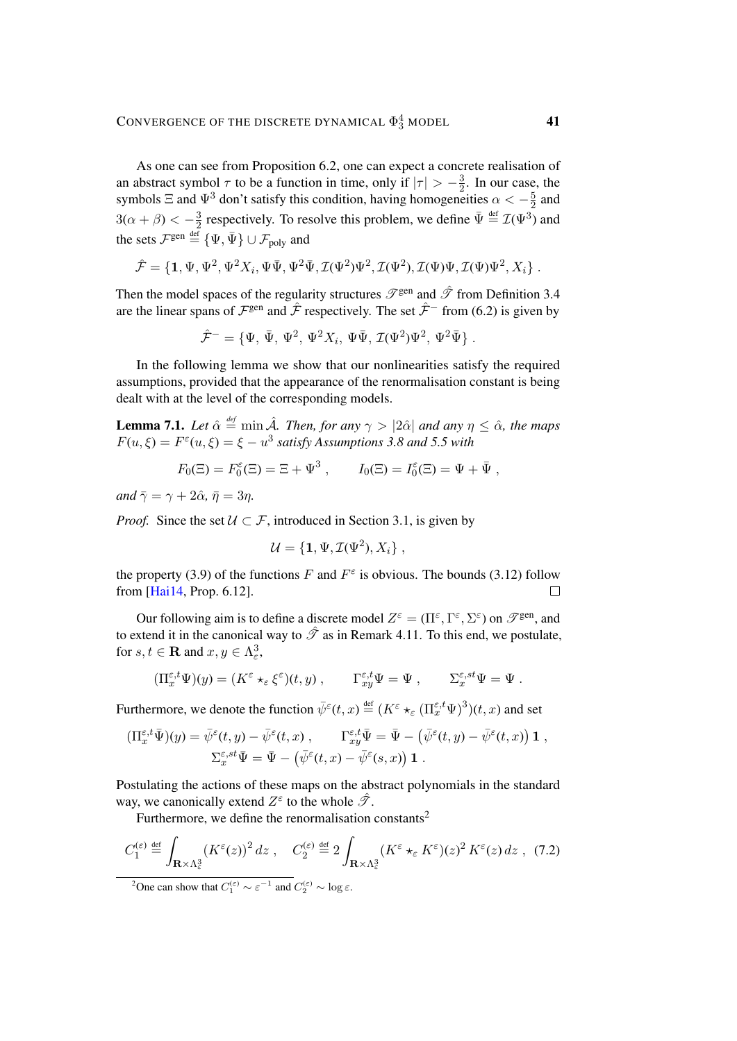As one can see from Proposition [6.2,](#page-38-3) one can expect a concrete realisation of an abstract symbol  $\tau$  to be a function in time, only if  $|\tau| > -\frac{3}{2}$  $\frac{3}{2}$ . In our case, the symbols  $\Xi$  and  $\Psi^3$  don't satisfy this condition, having homogeneities  $\alpha < -\frac{5}{2}$  $\frac{5}{2}$  and  $3(\alpha + \beta) < -\frac{3}{2}$  $\frac{3}{2}$  respectively. To resolve this problem, we define  $\bar{\Psi} \stackrel{\text{def}}{=} \mathcal{I}(\Psi^3)$  and the sets  $\mathcal{F}^{\text{gen}} \stackrel{\text{\tiny def}}{=} \{\Psi,\bar{\Psi}\}\cup \mathcal{F}_{\text{poly}}$  and

$$
\hat{\mathcal{F}} = \{1, \Psi, \Psi^2, \Psi^2 X_i, \Psi \bar{\Psi}, \Psi^2 \bar{\Psi}, \mathcal{I}(\Psi^2) \Psi^2, \mathcal{I}(\Psi^2), \mathcal{I}(\Psi) \Psi, \mathcal{I}(\Psi) \Psi^2, X_i \} .
$$

Then the model spaces of the regularity structures  $\mathscr{T}^{\text{gen}}$  and  $\hat{\mathscr{T}}$  from Definition [3.4](#page-17-0) are the linear spans of  $\mathcal{F}^{\text{gen}}$  and  $\hat{\mathcal{F}}$  respectively. The set  $\hat{\mathcal{F}}^-$  from [\(6.2\)](#page-36-4) is given by

$$
\hat{\mathcal{F}}^- = \{ \Psi, \, \bar{\Psi}, \, \Psi^2, \, \Psi^2 X_i, \, \Psi \bar{\Psi}, \, \mathcal{I}(\Psi^2) \Psi^2, \, \Psi^2 \bar{\Psi} \} .
$$

In the following lemma we show that our nonlinearities satisfy the required assumptions, provided that the appearance of the renormalisation constant is being dealt with at the level of the corresponding models.

**Lemma 7.1.** *Let*  $\hat{\alpha} \stackrel{\text{def}}{=} \min \hat{\mathcal{A}}$ *. Then, for any*  $\gamma > |2\hat{\alpha}|$  *and any*  $\eta \leq \hat{\alpha}$ *, the maps*  $F(u, \xi) = F^{\varepsilon}(u, \xi) = \xi - u^3$  satisfy Assumptions [3.8](#page-18-1) and [5.5](#page-35-1) with

$$
F_0(\Xi) = F_0^{\varepsilon}(\Xi) = \Xi + \Psi^3 , \qquad I_0(\Xi) = I_0^{\varepsilon}(\Xi) = \Psi + \bar{\Psi} ,
$$

*and*  $\bar{\gamma} = \gamma + 2\hat{\alpha}, \bar{\eta} = 3\eta$ .

*Proof.* Since the set  $U \subset \mathcal{F}$ , introduced in Section [3.1,](#page-15-4) is given by

<span id="page-40-1"></span>
$$
\mathcal{U} = \{1, \Psi, \mathcal{I}(\Psi^2), X_i\},\,
$$

the property [\(3.9\)](#page-17-2) of the functions F and  $F^{\varepsilon}$  is obvious. The bounds [\(3.12\)](#page-18-4) follow from [\[Hai14,](#page-47-0) Prop. 6.12].  $\Box$ 

Our following aim is to define a discrete model  $Z^{\varepsilon} = (\Pi^{\varepsilon}, \Gamma^{\varepsilon}, \Sigma^{\varepsilon})$  on  $\mathscr{T}^{\text{gen}}$ , and to extend it in the canonical way to  $\hat{\mathcal{T}}$  as in Remark [4.11.](#page-29-4) To this end, we postulate, for  $s, t \in \mathbf{R}$  and  $x, y \in \Lambda^3_{\varepsilon}$ ,

$$
(\Pi_x^{\varepsilon,t}\Psi)(y) = (K^{\varepsilon} \star_{\varepsilon} \xi^{\varepsilon})(t,y), \qquad \Gamma_{xy}^{\varepsilon,t}\Psi = \Psi, \qquad \Sigma_x^{\varepsilon,st}\Psi = \Psi.
$$

Furthermore, we denote the function  $\bar{\psi}^{\varepsilon}(t,x) \stackrel{\text{def}}{=} (K^{\varepsilon} \star_{\varepsilon} (\Pi^{\varepsilon,t}_{x} \Psi)^{3})(t,x)$  and set

$$
\begin{aligned} (\Pi_x^{\varepsilon,t}\bar{\Psi})(y) &= \bar{\psi}^{\varepsilon}(t,y) - \bar{\psi}^{\varepsilon}(t,x) \;, \qquad \Gamma_{xy}^{\varepsilon,t}\bar{\Psi} = \bar{\Psi} - \left(\bar{\psi}^{\varepsilon}(t,y) - \bar{\psi}^{\varepsilon}(t,x)\right)\mathbf{1} \;, \\ \Sigma_x^{\varepsilon,st}\bar{\Psi} &= \bar{\Psi} - \left(\bar{\psi}^{\varepsilon}(t,x) - \bar{\psi}^{\varepsilon}(s,x)\right)\mathbf{1} \;. \end{aligned}
$$

Postulating the actions of these maps on the abstract polynomials in the standard way, we canonically extend  $Z^{\varepsilon}$  to the whole  $\hat{\mathcal{T}}$ .

Furthermore, we define the renormalisation constants<sup>[2](#page-40-0)</sup>

$$
C_1^{(\varepsilon)} \stackrel{\text{def}}{=} \int_{\mathbf{R} \times \Lambda_{\varepsilon}^3} \left( K^{\varepsilon}(z) \right)^2 dz \;, \quad C_2^{(\varepsilon)} \stackrel{\text{def}}{=} 2 \int_{\mathbf{R} \times \Lambda_{\varepsilon}^3} \left( K^{\varepsilon} \star_{\varepsilon} K^{\varepsilon} \right) (z)^2 K^{\varepsilon}(z) dz \;, \tag{7.2}
$$

<span id="page-40-0"></span><sup>2</sup>One can show that  $C_1^{(\varepsilon)} \sim \varepsilon^{-1}$  and  $C_2^{(\varepsilon)} \sim \log \varepsilon$ .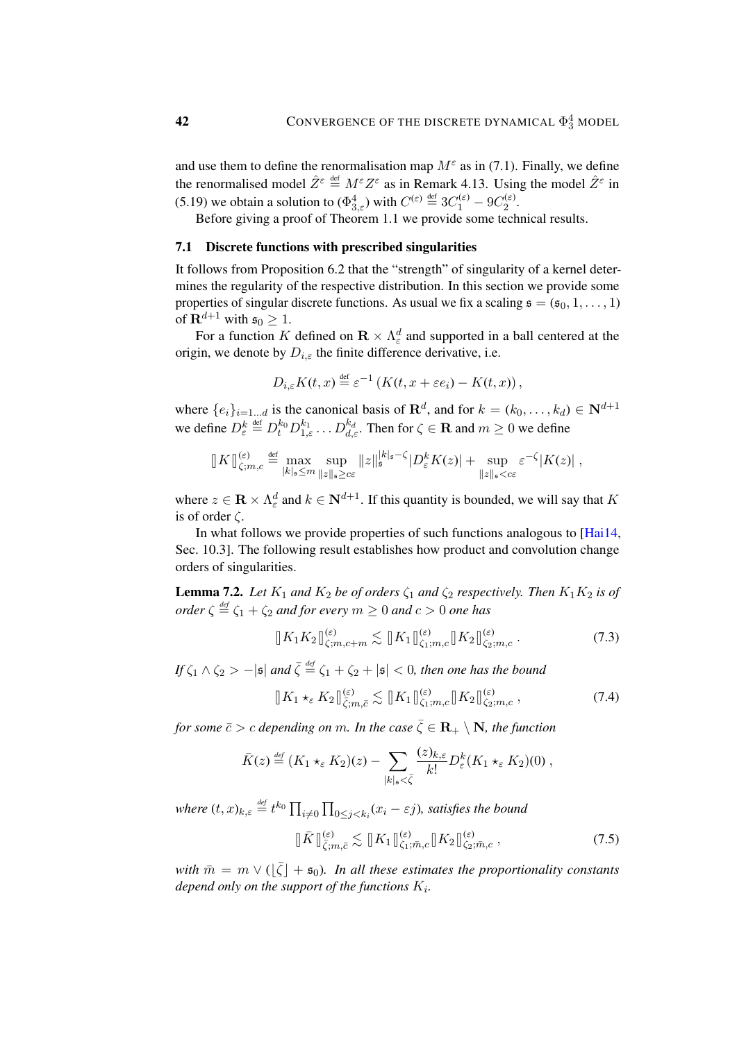and use them to define the renormalisation map  $M^{\varepsilon}$  as in [\(7.1\)](#page-39-1). Finally, we define the renormalised model  $\hat{Z}^{\epsilon} \stackrel{\text{def}}{=} M^{\epsilon} Z^{\epsilon}$  as in Remark [4.13.](#page-29-5) Using the model  $\hat{Z}^{\epsilon}$  in [\(5.19\)](#page-35-4) we obtain a solution to  $(\Phi_{3,\varepsilon}^4)$  with  $C^{(\varepsilon)} \stackrel{\text{def}}{=} 3C_1^{(\varepsilon)} - 9C_2^{(\varepsilon)}$  $\frac{1}{2}$ .

Before giving a proof of Theorem [1.1](#page-2-2) we provide some technical results.

### <span id="page-41-3"></span>7.1 Discrete functions with prescribed singularities

It follows from Proposition [6.2](#page-38-3) that the "strength" of singularity of a kernel determines the regularity of the respective distribution. In this section we provide some properties of singular discrete functions. As usual we fix a scaling  $\mathfrak{s} = (\mathfrak{s}_0, 1, \ldots, 1)$ of  $\mathbf{R}^{d+1}$  with  $\mathfrak{s}_0 \geq 1$ .

For a function K defined on  $\mathbf{R} \times \Lambda_{\varepsilon}^d$  and supported in a ball centered at the origin, we denote by  $D_{i,\varepsilon}$  the finite difference derivative, i.e.

$$
D_{i,\varepsilon}K(t,x) \stackrel{\text{def}}{=} \varepsilon^{-1}\left(K(t,x+\varepsilon e_i) - K(t,x)\right),
$$

where  $\{e_i\}_{i=1...d}$  is the canonical basis of  $\mathbb{R}^d$ , and for  $k = (k_0, \ldots, k_d) \in \mathbb{N}^{d+1}$ we define  $D_{\varepsilon}^{k} \stackrel{\text{def}}{=} D_{t}^{k_0} D_{1,\varepsilon}^{k_1} \dots D_{d,\varepsilon}^{k_d}$ . Then for  $\zeta \in \mathbf{R}$  and  $m \geq 0$  we define

$$
\|K\|_{\zeta;m,c}^{(\varepsilon)} \stackrel{\text{def}}{=} \max_{|k|_{\mathfrak{s}} \le m} \sup_{\|z\|_{\mathfrak{s}} \ge c\varepsilon} \|z\|_{\mathfrak{s}}^{|k|_{\mathfrak{s}} - \zeta} |D_{\varepsilon}^k K(z)| + \sup_{\|z\|_{\mathfrak{s}} < c\varepsilon} \varepsilon^{-\zeta} |K(z)|,
$$

where  $z \in \mathbf{R} \times \Lambda_{\varepsilon}^d$  and  $k \in \mathbf{N}^{d+1}$ . If this quantity is bounded, we will say that K is of order  $\zeta$ .

In what follows we provide properties of such functions analogous to [\[Hai14,](#page-47-0) Sec. 10.3]. The following result establishes how product and convolution change orders of singularities.

**Lemma 7.2.** *Let*  $K_1$  *and*  $K_2$  *be of orders*  $\zeta_1$  *and*  $\zeta_2$  *respectively. Then*  $K_1K_2$  *is of order*  $\zeta \stackrel{\text{def}}{=} \zeta_1 + \zeta_2$  *and for every*  $m \ge 0$  *and*  $c > 0$  *one has* 

<span id="page-41-0"></span>
$$
\|K_1 K_2\|_{\zeta;m,c+m}^{(\varepsilon)} \lesssim \|K_1\|_{\zeta_1;m,c}^{(\varepsilon)} \|K_2\|_{\zeta_2;m,c}^{(\varepsilon)}.
$$
\n(7.3)

If  $\zeta_1 \wedge \zeta_2 > -|\mathfrak{s}|$  and  $\bar{\zeta} \stackrel{\text{\it def}}{=} \zeta_1 + \zeta_2 +|\mathfrak{s}| < 0$ , then one has the bound

<span id="page-41-1"></span>
$$
\|K_1 \star_{\varepsilon} K_2\|_{\bar{\zeta};m,\bar{c}}^{(\varepsilon)} \lesssim \|K_1\|_{\zeta_1;m,c}^{(\varepsilon)} \|K_2\|_{\zeta_2;m,c}^{(\varepsilon)}, \tag{7.4}
$$

*for some*  $\bar{c} > c$  *depending on* m. In the case  $\bar{\zeta} \in \mathbb{R}_+ \setminus \mathbb{N}$ , the function

$$
\bar{K}(z) \stackrel{\text{\tiny def}}{=} (K_1 \star_{\varepsilon} K_2)(z) - \sum_{|k|_s < \bar{\zeta}} \frac{(z)_{k,\varepsilon}}{k!} D_{\varepsilon}^k (K_1 \star_{\varepsilon} K_2)(0) ,
$$

where  $(t, x)_{k, \varepsilon} \stackrel{\text{\tiny def}}{=} t^{k_0} \prod_{i \neq 0} \prod_{0 \leq j < k_i} (x_i - \varepsilon j)$ *, satisfies the bound* 

<span id="page-41-2"></span>
$$
\|\bar{K}\|_{\bar{\zeta};m,\bar{c}}^{(\varepsilon)} \lesssim \|K_1\|_{\zeta_1;\bar{m},c}^{(\varepsilon)}\|K_2\|_{\zeta_2;\bar{m},c}^{(\varepsilon)},\tag{7.5}
$$

 $\widetilde{m} = m \vee (\lfloor \overline{\zeta} \rfloor + \mathfrak{s}_0)$ . In all these estimates the proportionality constants depend only on the support of the functions  $K_i$ .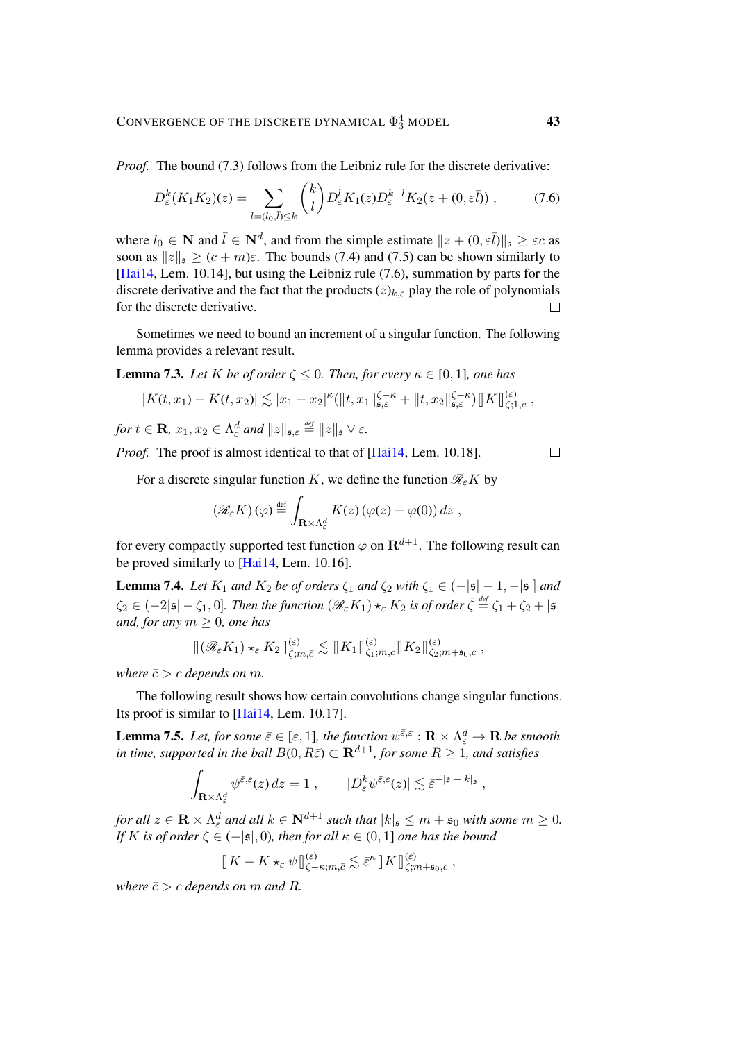*Proof.* The bound [\(7.3\)](#page-41-0) follows from the Leibniz rule for the discrete derivative:

$$
D_{\varepsilon}^{k}(K_{1}K_{2})(z) = \sum_{l=(l_{0},\bar{l})\leq k} {k \choose l} D_{\varepsilon}^{l}K_{1}(z)D_{\varepsilon}^{k-l}K_{2}(z+(0,\varepsilon\bar{l})) ,\qquad(7.6)
$$

where  $l_0 \in \mathbb{N}$  and  $\bar{l} \in \mathbb{N}^d$ , and from the simple estimate  $||z + (0, \varepsilon \bar{l})||_{\mathfrak{s}} \geq \varepsilon c$  as soon as  $||z||_5 \ge (c + m)\varepsilon$ . The bounds [\(7.4\)](#page-41-1) and [\(7.5\)](#page-41-2) can be shown similarly to [\[Hai14,](#page-47-0) Lem. 10.14], but using the Leibniz rule [\(7.6\)](#page-42-0), summation by parts for the discrete derivative and the fact that the products  $(z)_{k,\varepsilon}$  play the role of polynomials for the discrete derivative.  $\Box$ 

Sometimes we need to bound an increment of a singular function. The following lemma provides a relevant result.

**Lemma 7.3.** *Let* K *be of order*  $\zeta \leq 0$ *. Then, for every*  $\kappa \in [0, 1]$ *, one has* 

$$
|K(t,x_1)-K(t,x_2)|\lesssim |x_1-x_2|^{\kappa}(\|t,x_1\|_{\mathfrak{s},\varepsilon}^{\zeta-\kappa}+\|t,x_2\|_{\mathfrak{s},\varepsilon}^{\zeta-\kappa})\|K\|_{\zeta;1,c}^{(\varepsilon)},
$$

*for*  $t \in \mathbf{R}$ ,  $x_1, x_2 \in \Lambda_{\varepsilon}^d$  and  $||z||_{\mathfrak{s}, \varepsilon} \stackrel{\text{\tiny def}}{=} ||z||_{\mathfrak{s}} \vee \varepsilon$ .

*Proof.* The proof is almost identical to that of [\[Hai14,](#page-47-0) Lem. 10.18].

For a discrete singular function K, we define the function  $\mathcal{R}_{\varepsilon}K$  by

$$
(\mathscr{R}_{\varepsilon} K)(\varphi) \stackrel{\text{def}}{=} \int_{\mathbf{R} \times \Lambda_{\varepsilon}^d} K(z) \left( \varphi(z) - \varphi(0) \right) dz ,
$$

for every compactly supported test function  $\varphi$  on  $\mathbf{R}^{d+1}$ . The following result can be proved similarly to [\[Hai14,](#page-47-0) Lem. 10.16].

**Lemma 7.4.** *Let*  $K_1$  *and*  $K_2$  *be of orders*  $\zeta_1$  *and*  $\zeta_2$  *with*  $\zeta_1 \in (-|\mathfrak{s}|-1, -|\mathfrak{s}|]$  *and*  $\zeta_2\in(-2|\mathfrak{s}|-\zeta_1,0].$  Then the function  $(\mathscr{R}_{\varepsilon} K_1)\star_{\varepsilon} K_2$  is of order  $\bar\zeta\stackrel{\textrm{\tiny{def}}}{=} \zeta_1+\zeta_2+|\mathfrak{s}|$ *and, for any*  $m \geq 0$ *, one has* 

$$
\|(\mathscr{R}_{\varepsilon} K_1) \star_{\varepsilon} K_2\|_{\bar{\zeta};m,\bar{c}}^{(\varepsilon)} \lesssim \|K_1\|_{\zeta_1;m,c}^{(\varepsilon)} \|K_2\|_{\zeta_2;m+s_0,c}^{(\varepsilon)},
$$

*where*  $\bar{c} > c$  *depends on m.* 

The following result shows how certain convolutions change singular functions. Its proof is similar to [\[Hai14,](#page-47-0) Lem. 10.17].

<span id="page-42-1"></span>**Lemma 7.5.** Let, for some  $\bar{\varepsilon} \in [\varepsilon, 1]$ , the function  $\psi^{\bar{\varepsilon}, \varepsilon} : \mathbf{R} \times \Lambda_{\varepsilon}^d \to \mathbf{R}$  be smooth *in time, supported in the ball*  $B(0, R\bar{\varepsilon}) \subset \mathbf{R}^{d+1}$ *, for some*  $R \geq 1$ *, and satisfies* 

$$
\int_{\mathbf{R}\times\Lambda_{\varepsilon}^d}\psi^{\bar{\varepsilon},\varepsilon}(z)\,dz=1\;,\qquad |D^k_{\varepsilon}\psi^{\bar{\varepsilon},\varepsilon}(z)|\lesssim \bar{\varepsilon}^{-|\mathfrak{s}|-|k|_{\mathfrak{s}}}\;,
$$

for all  $z \in \mathbf{R} \times \Lambda_{\varepsilon}^d$  and all  $k \in \mathbf{N}^{d+1}$  such that  $|k|_{\mathfrak{s}} \leq m + \mathfrak{s}_0$  with some  $m \geq 0$ . *If* K *is of order*  $\zeta \in (-|\mathfrak{s}|, 0)$ *, then for all*  $\kappa \in (0, 1]$  *one has the bound* 

$$
[K - K \star_{\varepsilon} \psi]_{\zeta - \kappa; m, \bar{c}}^{(\varepsilon)} \lesssim \bar{\varepsilon}^{\kappa} [K]_{\zeta; m + \mathfrak{s}_0, c}^{(\varepsilon)}
$$

,

*where*  $\bar{c} > c$  *depends on m and R*.

<span id="page-42-0"></span> $\Box$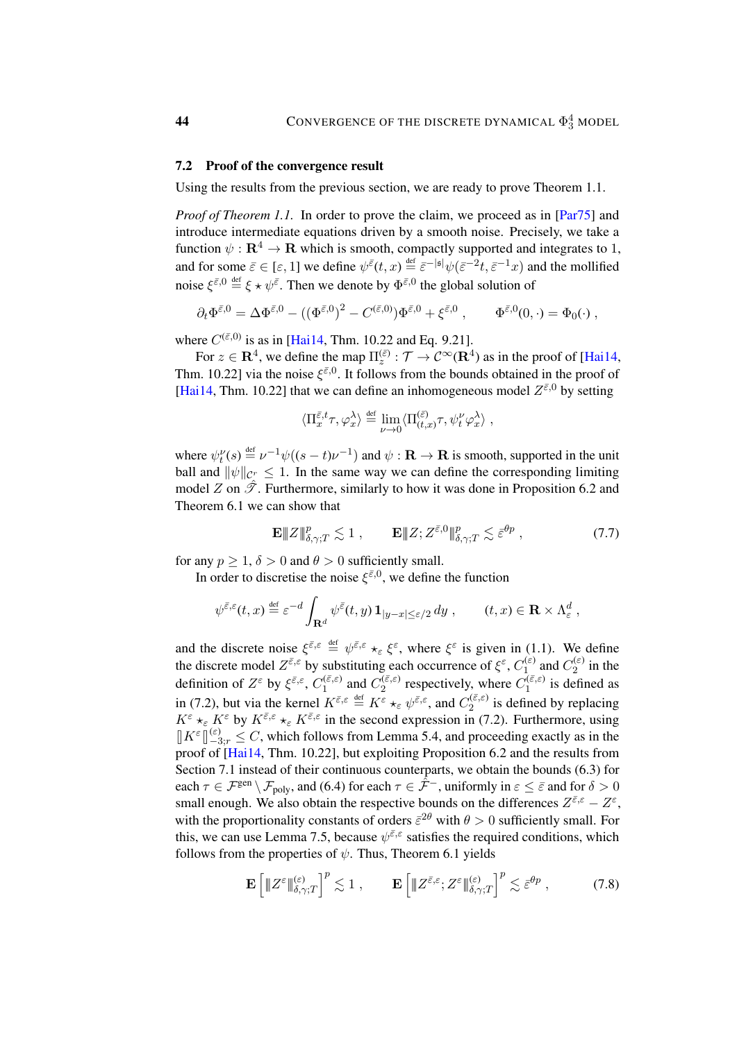#### 7.2 Proof of the convergence result

Using the results from the previous section, we are ready to prove Theorem [1.1.](#page-2-2)

*Proof of Theorem [1.1.](#page-2-2)* In order to prove the claim, we proceed as in [\[Par75\]](#page-48-3) and introduce intermediate equations driven by a smooth noise. Precisely, we take a function  $\psi : \mathbf{R}^4 \to \mathbf{R}$  which is smooth, compactly supported and integrates to 1, and for some  $\bar{\varepsilon} \in [\varepsilon, 1]$  we define  $\psi^{\bar{\varepsilon}}(t, x) \stackrel{\text{def}}{=} \bar{\varepsilon}^{-|s|} \psi(\bar{\varepsilon}^{-2}t, \bar{\varepsilon}^{-1}x)$  and the mollified noise  $\xi^{\bar{\varepsilon},0} \stackrel{\text{def}}{=} \xi \star \psi^{\bar{\varepsilon}}$ . Then we denote by  $\Phi^{\bar{\varepsilon},0}$  the global solution of

$$
\partial_t \Phi^{\bar{\varepsilon},0} = \Delta \Phi^{\bar{\varepsilon},0} - ((\Phi^{\bar{\varepsilon},0})^2 - C^{(\bar{\varepsilon},0)}) \Phi^{\bar{\varepsilon},0} + \xi^{\bar{\varepsilon},0} , \qquad \Phi^{\bar{\varepsilon},0}(0,\cdot) = \Phi_0(\cdot) ,
$$

where  $C^{(\bar{\varepsilon},0)}$  is as in [\[Hai14,](#page-47-0) Thm. 10.22 and Eq. 9.21].

For  $z \in \mathbf{R}^4$ , we define the map  $\Pi_z^{(\bar{\varepsilon})} : \mathcal{T} \to \mathcal{C}^\infty(\mathbf{R}^4)$  as in the proof of [\[Hai14,](#page-47-0) Thm. 10.22] via the noise  $\xi^{\bar{\varepsilon},0}$ . It follows from the bounds obtained in the proof of [\[Hai14,](#page-47-0) Thm. 10.22] that we can define an inhomogeneous model  $Z^{\bar{\varepsilon},0}$  by setting

<span id="page-43-0"></span>
$$
\langle \Pi_x^{\bar{\varepsilon},t} \tau, \varphi_x^{\lambda} \rangle \stackrel{\text{def}}{=} \lim_{\nu \to 0} \langle \Pi_{(t,x)}^{(\bar{\varepsilon})} \tau, \psi_t^{\nu} \varphi_x^{\lambda} \rangle ,
$$

where  $\psi_t^{\nu}(s) \stackrel{\text{def}}{=} \nu^{-1}\psi((s-t)\nu^{-1})$  and  $\psi : \mathbf{R} \to \mathbf{R}$  is smooth, supported in the unit ball and  $\|\psi\|_{C^r} \leq 1$ . In the same way we can define the corresponding limiting model Z on  $\hat{\mathcal{T}}$ . Furthermore, similarly to how it was done in Proposition [6.2](#page-38-3) and Theorem [6.1](#page-36-2) we can show that

$$
\mathbf{E} \Vert Z \Vert_{\delta,\gamma;T}^p \lesssim 1 , \qquad \mathbf{E} \Vert Z; Z^{\bar{\varepsilon},0} \Vert_{\delta,\gamma;T}^p \lesssim \bar{\varepsilon}^{\theta p} , \qquad (7.7)
$$

for any  $p \ge 1$ ,  $\delta > 0$  and  $\theta > 0$  sufficiently small.

In order to discretise the noise  $\xi^{\bar{\varepsilon},0}$ , we define the function

$$
\psi^{\bar{\varepsilon},\varepsilon}(t,x) \stackrel{\text{def}}{=} \varepsilon^{-d} \int_{\mathbf{R}^d} \psi^{\bar{\varepsilon}}(t,y) \, \mathbf{1}_{|y-x| \le \varepsilon/2} \, dy \;, \qquad (t,x) \in \mathbf{R} \times \Lambda^d_{\varepsilon} \;,
$$

and the discrete noise  $\xi^{\bar{\varepsilon},\varepsilon} \stackrel{\text{def}}{=} \psi^{\bar{\varepsilon},\varepsilon} \star_{\varepsilon} \xi^{\varepsilon}$ , where  $\xi^{\varepsilon}$  is given in [\(1.1\)](#page-2-0). We define the discrete model  $Z^{\bar{\varepsilon}, \varepsilon}$  by substituting each occurrence of  $\xi^{\varepsilon}, C_1^{(\varepsilon)}$  $C_1^{(\varepsilon)}$  and  $C_2^{(\varepsilon)}$  $\frac{1}{2}$  in the definition of  $Z^{\varepsilon}$  by  $\xi^{\bar{\varepsilon},\varepsilon}$ ,  $C_1^{(\bar{\varepsilon},\varepsilon)}$  $C_1^{(\bar{\varepsilon},\varepsilon)}$  and  $C_2^{(\bar{\varepsilon},\varepsilon)}$  $c_2^{(\bar{\varepsilon},\varepsilon)}$  respectively, where  $C_1^{(\bar{\varepsilon},\varepsilon)}$  $i_1^{(\varepsilon,\varepsilon)}$  is defined as in [\(7.2\)](#page-40-1), but via the kernel  $K^{\bar{\varepsilon}, \varepsilon} \stackrel{\text{def}}{=} K^{\varepsilon} \star_{\varepsilon} \psi^{\bar{\varepsilon}, \varepsilon}$ , and  $C_2^{(\bar{\varepsilon}, \varepsilon)}$  $i_2^{(\epsilon,\epsilon)}$  is defined by replacing  $K^{\varepsilon} \star_{\varepsilon} K^{\varepsilon}$  by  $K^{\bar{\varepsilon},\varepsilon} \star_{\varepsilon} K^{\bar{\varepsilon},\varepsilon}$  in the second expression in [\(7.2\)](#page-40-1). Furthermore, using  $\|K^{\varepsilon}\|_{-3;r}^{(\varepsilon)} \leq C$ , which follows from Lemma [5.4,](#page-33-2) and proceeding exactly as in the proof of [\[Hai14,](#page-47-0) Thm. 10.22], but exploiting Proposition [6.2](#page-38-3) and the results from Section [7.1](#page-41-3) instead of their continuous counterparts, we obtain the bounds [\(6.3\)](#page-36-1) for each  $\tau \in \mathcal{F}^{\text{gen}} \setminus \mathcal{F}_{\text{poly}}$ , and [\(6.4\)](#page-37-0) for each  $\tau \in \hat{\mathcal{F}}^-$ , uniformly in  $\varepsilon \leq \bar{\varepsilon}$  and for  $\delta > 0$ small enough. We also obtain the respective bounds on the differences  $Z^{\bar{\varepsilon}, \varepsilon} - Z^{\varepsilon}$ , with the proportionality constants of orders  $\bar{\varepsilon}^{2\theta}$  with  $\theta > 0$  sufficiently small. For this, we can use Lemma [7.5,](#page-42-1) because  $\psi^{\bar{\varepsilon},\varepsilon}$  satisfies the required conditions, which follows from the properties of  $\psi$ . Thus, Theorem [6.1](#page-36-2) yields

<span id="page-43-1"></span>
$$
\mathbf{E}\left[\|Z^{\varepsilon}\|_{\delta,\gamma;T}^{(\varepsilon)}\right]^p \lesssim 1\;, \qquad \mathbf{E}\left[\|Z^{\bar{\varepsilon},\varepsilon};Z^{\varepsilon}\|_{\delta,\gamma;T}^{(\varepsilon)}\right]^p \lesssim \bar{\varepsilon}^{\theta p}\;, \tag{7.8}
$$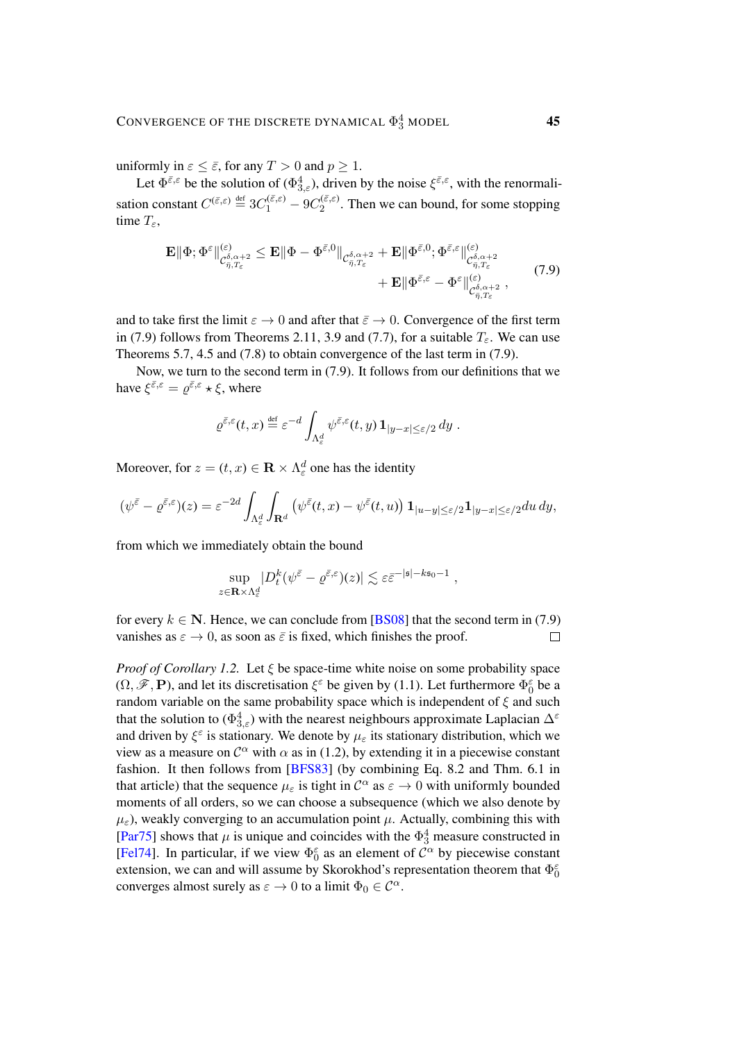uniformly in  $\varepsilon \leq \bar{\varepsilon}$ , for any  $T > 0$  and  $p \geq 1$ .

Let  $\Phi^{\bar{\varepsilon},\varepsilon}$  be the solution of  $(\Phi^4_{3,\varepsilon})$ , driven by the noise  $\xi^{\bar{\varepsilon},\varepsilon}$ , with the renormalisation constant  $C^{(\bar{\varepsilon},\varepsilon)} \stackrel{\text{def}}{=} 3C_1^{(\bar{\varepsilon},\varepsilon)} - 9C_2^{(\bar{\varepsilon},\varepsilon)}$  $2^{(\epsilon,\epsilon)}$ . Then we can bound, for some stopping time  $T_{\varepsilon}$ ,

$$
\mathbf{E} \|\Phi; \Phi^{\varepsilon}\|_{\mathcal{C}_{\bar{\eta},T_{\varepsilon}}^{\delta,\alpha+2}}^{(\varepsilon)} \leq \mathbf{E} \|\Phi - \Phi^{\bar{\varepsilon},0}\|_{\mathcal{C}_{\bar{\eta},T_{\varepsilon}}^{\delta,\alpha+2}} + \mathbf{E} \|\Phi^{\bar{\varepsilon},0}; \Phi^{\bar{\varepsilon},\varepsilon}\|_{\mathcal{C}_{\bar{\eta},T_{\varepsilon}}^{\delta,\alpha+2}}^{(\varepsilon)} + \mathbf{E} \|\Phi^{\bar{\varepsilon},\varepsilon} - \Phi^{\varepsilon}\|_{\mathcal{C}_{\bar{\eta},T_{\varepsilon}}^{\delta,\alpha+2}}^{(\varepsilon)}, \tag{7.9}
$$

and to take first the limit  $\varepsilon \to 0$  and after that  $\bar{\varepsilon} \to 0$ . Convergence of the first term in [\(7.9\)](#page-44-0) follows from Theorems [2.11,](#page-9-4) [3.9](#page-18-2) and [\(7.7\)](#page-43-0), for a suitable  $T_{\varepsilon}$ . We can use Theorems [5.7,](#page-35-3) [4.5](#page-20-2) and [\(7.8\)](#page-43-1) to obtain convergence of the last term in [\(7.9\)](#page-44-0).

Now, we turn to the second term in [\(7.9\)](#page-44-0). It follows from our definitions that we have  $\xi^{\bar{\varepsilon},\varepsilon} = \varrho^{\bar{\varepsilon},\varepsilon} \star \xi$ , where

<span id="page-44-0"></span>
$$
\varrho^{\bar{\varepsilon},\varepsilon}(t,x) \stackrel{\text{def}}{=} \varepsilon^{-d} \int_{\Lambda^d_\varepsilon} \psi^{\bar{\varepsilon},\varepsilon}(t,y) \, \mathbf{1}_{|y-x| \leq \varepsilon/2} \, dy \; .
$$

Moreover, for  $z = (t, x) \in \mathbf{R} \times \Lambda_{\varepsilon}^d$  one has the identity

$$
(\psi^{\bar{\varepsilon}} - \varrho^{\bar{\varepsilon},\varepsilon})(z) = \varepsilon^{-2d} \int_{\Lambda_{\varepsilon}^d} \int_{\mathbf{R}^d} \left( \psi^{\bar{\varepsilon}}(t,x) - \psi^{\bar{\varepsilon}}(t,u) \right) \mathbf{1}_{|u-y| \le \varepsilon/2} \mathbf{1}_{|y-x| \le \varepsilon/2} du \, dy,
$$

from which we immediately obtain the bound

$$
\sup_{z\in\mathbf{R}\times\Lambda_{\varepsilon}^d} |D_t^k(\psi^{\bar{\varepsilon}}-\varrho^{\bar{\varepsilon},\varepsilon})(z)|\lesssim \varepsilon\bar{\varepsilon}^{-|\mathfrak{s}|-k\mathfrak{s}_0-1}\;,
$$

for every  $k \in \mathbb{N}$ . Hence, we can conclude from [\[BS08\]](#page-47-15) that the second term in [\(7.9\)](#page-44-0) vanishes as  $\varepsilon \to 0$ , as soon as  $\bar{\varepsilon}$  is fixed, which finishes the proof.  $\Box$ 

*Proof of Corollary [1.2.](#page-2-3)* Let ξ be space-time white noise on some probability space  $(\Omega, \mathscr{F}, \mathbf{P})$ , and let its discretisation  $\xi^{\varepsilon}$  be given by [\(1.1\)](#page-2-0). Let furthermore  $\Phi_0^{\varepsilon}$  be a random variable on the same probability space which is independent of  $\xi$  and such that the solution to  $(\Phi_{3,\varepsilon}^4)$  with the nearest neighbours approximate Laplacian  $\Delta^{\varepsilon}$ and driven by  $\xi^{\varepsilon}$  is stationary. We denote by  $\mu_{\varepsilon}$  its stationary distribution, which we view as a measure on  $\mathcal{C}^{\alpha}$  with  $\alpha$  as in [\(1.2\)](#page-2-1), by extending it in a piecewise constant fashion. It then follows from [\[BFS83\]](#page-46-1) (by combining Eq. 8.2 and Thm. 6.1 in that article) that the sequence  $\mu_{\varepsilon}$  is tight in  $\mathcal{C}^{\alpha}$  as  $\varepsilon \to 0$  with uniformly bounded moments of all orders, so we can choose a subsequence (which we also denote by  $\mu_{\varepsilon}$ ), weakly converging to an accumulation point  $\mu$ . Actually, combining this with [\[Par75\]](#page-48-3) shows that  $\mu$  is unique and coincides with the  $\Phi_3^4$  measure constructed in [\[Fel74\]](#page-47-16). In particular, if we view  $\Phi_0^{\varepsilon}$  as an element of  $C^{\alpha}$  by piecewise constant extension, we can and will assume by Skorokhod's representation theorem that  $\Phi_0^{\varepsilon}$ converges almost surely as  $\varepsilon \to 0$  to a limit  $\Phi_0 \in \mathcal{C}^{\alpha}$ .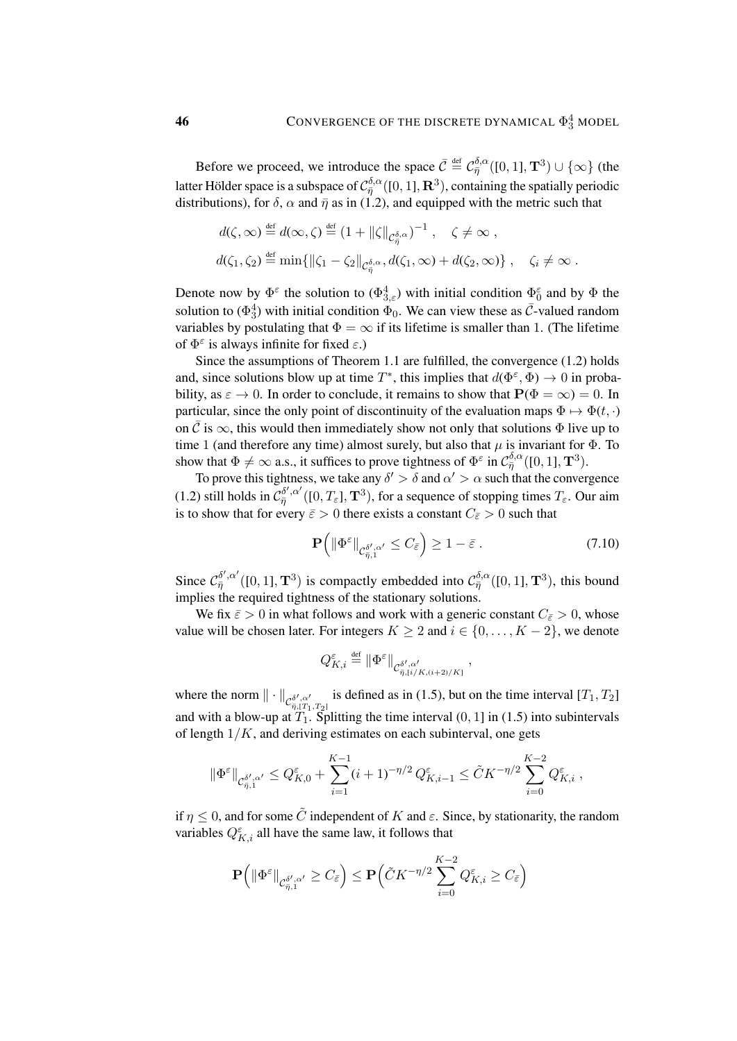Before we proceed, we introduce the space  $\bar{C} \stackrel{\text{def}}{=} C_{\bar{\eta}}^{\delta,\alpha}([0,1], \mathbf{T}^3) \cup \{\infty\}$  (the latter Hölder space is a subspace of  $\mathcal{C}_{\bar{\eta}}^{\delta,\alpha}([0,1],\mathbf{R}^{3}),$  containing the spatially periodic distributions), for  $\delta$ ,  $\alpha$  and  $\bar{\eta}$  as in [\(1.2\)](#page-2-1), and equipped with the metric such that

$$
d(\zeta, \infty) \stackrel{\text{def}}{=} d(\infty, \zeta) \stackrel{\text{def}}{=} (1 + ||\zeta||_{\mathcal{C}_{\bar{\eta}}^{\delta, \alpha}})^{-1}, \quad \zeta \neq \infty ,
$$
  

$$
d(\zeta_1, \zeta_2) \stackrel{\text{def}}{=} \min \{ ||\zeta_1 - \zeta_2||_{\mathcal{C}_{\bar{\eta}}^{\delta, \alpha}}, d(\zeta_1, \infty) + d(\zeta_2, \infty) \}, \quad \zeta_i \neq \infty .
$$

Denote now by  $\Phi^{\varepsilon}$  the solution to  $(\Phi_{3,\varepsilon}^4)$  with initial condition  $\Phi_0^{\varepsilon}$  and by  $\Phi$  the solution to  $(\Phi_3^4)$  with initial condition  $\Phi_0$ . We can view these as  $\bar{\mathcal{C}}$ -valued random variables by postulating that  $\Phi = \infty$  if its lifetime is smaller than 1. (The lifetime of  $\Phi^{\varepsilon}$  is always infinite for fixed  $\varepsilon$ .)

Since the assumptions of Theorem [1.1](#page-2-2) are fulfilled, the convergence [\(1.2\)](#page-2-1) holds and, since solutions blow up at time  $T^*$ , this implies that  $d(\Phi^{\varepsilon}, \Phi) \to 0$  in probability, as  $\varepsilon \to 0$ . In order to conclude, it remains to show that  $P(\Phi = \infty) = 0$ . In particular, since the only point of discontinuity of the evaluation maps  $\Phi \mapsto \Phi(t, \cdot)$ on  $\overline{C}$  is  $\infty$ , this would then immediately show not only that solutions  $\Phi$  live up to time 1 (and therefore any time) almost surely, but also that  $\mu$  is invariant for  $\Phi$ . To show that  $\Phi \neq \infty$  a.s., it suffices to prove tightness of  $\Phi^{\varepsilon}$  in  $\mathcal{C}_{\bar{\eta}}^{\delta,\alpha}([0,1], \mathbf{T}^3)$ .

To prove this tightness, we take any  $\delta' > \delta$  and  $\alpha' > \alpha$  such that the convergence [\(1.2\)](#page-2-1) still holds in  $\mathcal{C}_{\bar{\eta}}^{\delta',\alpha'}([0,T_{\varepsilon}],\mathbf{T}^3)$ , for a sequence of stopping times  $T_{\varepsilon}$ . Our aim is to show that for every  $\bar{\varepsilon} > 0$  there exists a constant  $C_{\bar{\varepsilon}} > 0$  such that

$$
\mathbf{P}\left(\|\Phi^{\varepsilon}\|_{\mathcal{C}^{\delta',\alpha'}_{\bar{\eta},1}} \le C_{\bar{\varepsilon}}\right) \ge 1 - \bar{\varepsilon} \,. \tag{7.10}
$$

,

Since  $C_{\bar{\eta}}^{\delta',\alpha'}([0,1],\mathbf{T}^3)$  is compactly embedded into  $C_{\bar{\eta}}^{\delta,\alpha}([0,1],\mathbf{T}^3)$ , this bound implies the required tightness of the stationary solutions.

We fix  $\bar{\varepsilon} > 0$  in what follows and work with a generic constant  $C_{\bar{\varepsilon}} > 0$ , whose value will be chosen later. For integers  $K \geq 2$  and  $i \in \{0, \ldots, K - 2\}$ , we denote

$$
Q_{K,i}^\varepsilon\stackrel{\text{\tiny def}}{=} \|\Phi^\varepsilon\|_{\mathcal{C}^{\delta',\alpha'}_{\bar{\eta},\lbrack i/K,(i+2)/K\rbrack}}
$$

where the norm  $\|\cdot\|_{\mathcal{C}^{\delta',\alpha'}_{\overline{\alpha}}$  $\frac{\delta'$ ,  $\alpha'}{\bar{\eta}, [T_1, T_2]}$  is defined as in [\(1.5\)](#page-4-2), but on the time interval  $[T_1, T_2]$ and with a blow-up at  $T_1$ . Splitting the time interval  $(0, 1]$  in [\(1.5\)](#page-4-2) into subintervals of length  $1/K$ , and deriving estimates on each subinterval, one gets

$$
\|\Phi^{\varepsilon}\|_{\mathcal{C}^{\delta',\alpha'}_{\bar{\eta},1}} \leq Q^{\varepsilon}_{K,0} + \sum_{i=1}^{K-1} (i+1)^{-\eta/2} Q^{\varepsilon}_{K,i-1} \leq \tilde{C} K^{-\eta/2} \sum_{i=0}^{K-2} Q^{\varepsilon}_{K,i} ,
$$

if  $\eta \leq 0$ , and for some  $\tilde{C}$  independent of K and  $\varepsilon$ . Since, by stationarity, the random variables  $Q_{K,i}^{\varepsilon}$  all have the same law, it follows that

$$
\mathbf{P}\Big(\|\Phi^{\varepsilon}\|_{\mathcal{C}^{\delta',\alpha'}_{\bar{\eta},1}} \geq C_{\bar{\varepsilon}}\Big) \leq \mathbf{P}\Big(\tilde{C}K^{-\eta/2}\sum_{i=0}^{K-2}Q^{\varepsilon}_{K,i} \geq C_{\bar{\varepsilon}}\Big)
$$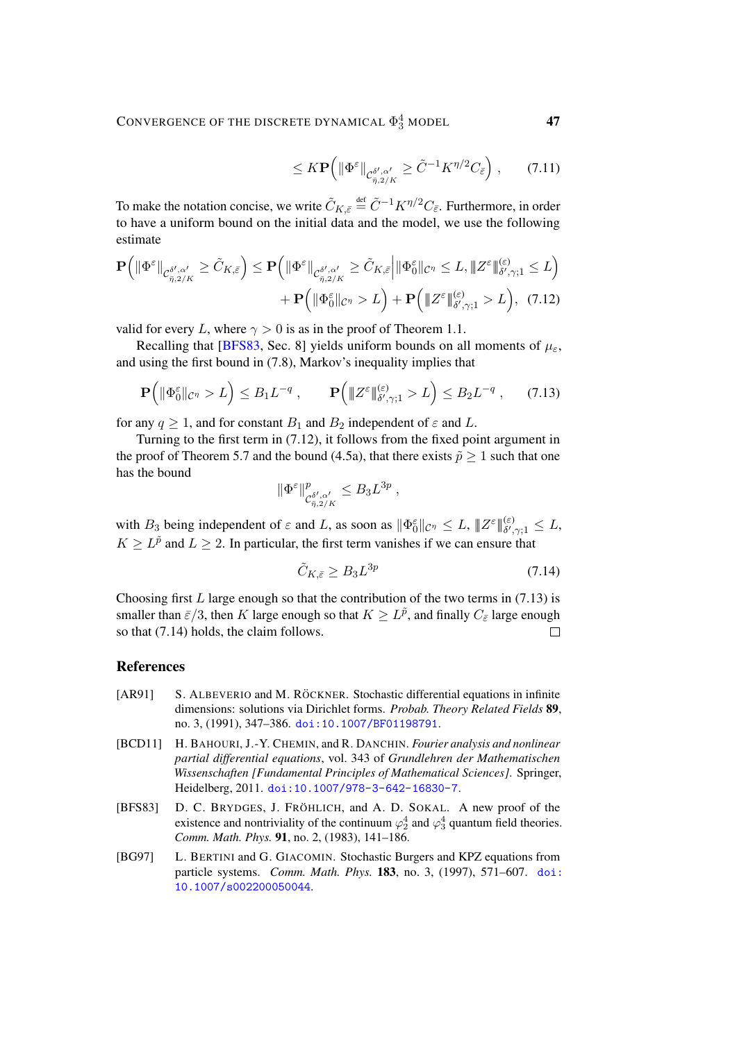<span id="page-46-4"></span>
$$
\leq K \mathbf{P} \left( \|\Phi^{\varepsilon}\|_{\mathcal{C}^{\delta',\alpha'}_{\bar{\eta},2/K}} \geq \tilde{C}^{-1} K^{\eta/2} C_{\bar{\varepsilon}} \right), \qquad (7.11)
$$

To make the notation concise, we write  $\tilde{C}_{K,\bar{\varepsilon}} \stackrel{\text{def}}{=} \tilde{C}^{-1}K^{\eta/2}C_{\bar{\varepsilon}}$ . Furthermore, in order to have a uniform bound on the initial data and the model, we use the following estimate

$$
\mathbf{P}\Big(\|\Phi^{\varepsilon}\|_{\mathcal{C}^{\delta',\alpha'}_{\bar{\eta},2/K}} \geq \tilde{C}_{K,\bar{\varepsilon}}\Big) \leq \mathbf{P}\Big(\|\Phi^{\varepsilon}\|_{\mathcal{C}^{\delta',\alpha'}_{\bar{\eta},2/K}} \geq \tilde{C}_{K,\bar{\varepsilon}}\Big|\|\Phi^{\varepsilon}_{0}\|_{\mathcal{C}^{\eta}} \leq L, \|Z^{\varepsilon}\|_{\delta',\gamma;1}^{(\varepsilon)} \leq L\Big) \n+ \mathbf{P}\Big(\|\Phi^{\varepsilon}_{0}\|_{\mathcal{C}^{\eta}} > L\Big) + \mathbf{P}\Big(\|Z^{\varepsilon}\|_{\delta',\gamma;1}^{(\varepsilon)} > L\Big), (7.12)
$$

valid for every L, where  $\gamma > 0$  is as in the proof of Theorem [1.1.](#page-2-2)

Recalling that [\[BFS83,](#page-46-1) Sec. 8] yields uniform bounds on all moments of  $\mu_{\epsilon}$ , and using the first bound in [\(7.8\)](#page-43-1), Markov's inequality implies that

$$
\mathbf{P}\Big(\|\Phi_0^\varepsilon\|_{\mathcal{C}^\eta} > L\Big) \le B_1 L^{-q} , \qquad \mathbf{P}\Big(\|Z^\varepsilon\|_{\delta',\gamma;1}^{(\varepsilon)} > L\Big) \le B_2 L^{-q} , \qquad (7.13)
$$

for any  $q \ge 1$ , and for constant  $B_1$  and  $B_2$  independent of  $\varepsilon$  and L.

Turning to the first term in [\(7.12\)](#page-46-4), it follows from the fixed point argument in the proof of Theorem [5.7](#page-35-3) and the bound [\(4.5a\)](#page-20-0), that there exists  $\tilde{p} \ge 1$  such that one has the bound

<span id="page-46-5"></span>
$$
\|\Phi^{\varepsilon}\|_{\mathcal{C}^{\delta',\alpha'}_{\bar{\eta},2/K}}^p \leq B_3 L^{3p} ,
$$

with  $B_3$  being independent of  $\varepsilon$  and L, as soon as  $\|\Phi_0^{\varepsilon}\|_{\mathcal{C}^{\eta}} \leq L$ ,  $\|Z^{\varepsilon}\|_{\delta',\gamma;1}^{(\varepsilon)} \leq L$ ,  $K \ge L^{\tilde{p}}$  and  $L \ge 2$ . In particular, the first term vanishes if we can ensure that

<span id="page-46-6"></span>
$$
\tilde{C}_{K,\bar{\varepsilon}} \ge B_3 L^{3p} \tag{7.14}
$$

Choosing first  $L$  large enough so that the contribution of the two terms in [\(7.13\)](#page-46-5) is smaller than  $\bar{\varepsilon}/3$ , then  $K$  large enough so that  $K \geq L^{\tilde{p}}$ , and finally  $C_{\bar{\varepsilon}}$  large enough so that [\(7.14\)](#page-46-6) holds, the claim follows.  $\Box$ 

#### References

- <span id="page-46-0"></span>[AR91] S. ALBEVERIO and M. RÖCKNER. Stochastic differential equations in infinite dimensions: solutions via Dirichlet forms. *Probab. Theory Related Fields* 89, no. 3, (1991), 347–386. [doi:10.1007/BF01198791](http://dx.doi.org/10.1007/BF01198791).
- <span id="page-46-3"></span>[BCD11] H. BAHOURI, J.-Y. CHEMIN, and R. DANCHIN. *Fourier analysis and nonlinear partial differential equations*, vol. 343 of *Grundlehren der Mathematischen Wissenschaften [Fundamental Principles of Mathematical Sciences]*. Springer, Heidelberg, 2011. [doi:10.1007/978-3-642-16830-7](http://dx.doi.org/10.1007/978-3-642-16830-7).
- <span id="page-46-1"></span>[BFS83] D. C. BRYDGES, J. FRÖHLICH, and A. D. SOKAL. A new proof of the existence and nontriviality of the continuum  $\varphi_2^4$  and  $\varphi_3^4$  quantum field theories. *Comm. Math. Phys.* 91, no. 2, (1983), 141–186.
- <span id="page-46-2"></span>[BG97] L. BERTINI and G. GIACOMIN. Stochastic Burgers and KPZ equations from particle systems. *Comm. Math. Phys.* 183, no. 3, (1997), 571–607. [doi:](http://dx.doi.org/10.1007/s002200050044) [10.1007/s002200050044](http://dx.doi.org/10.1007/s002200050044).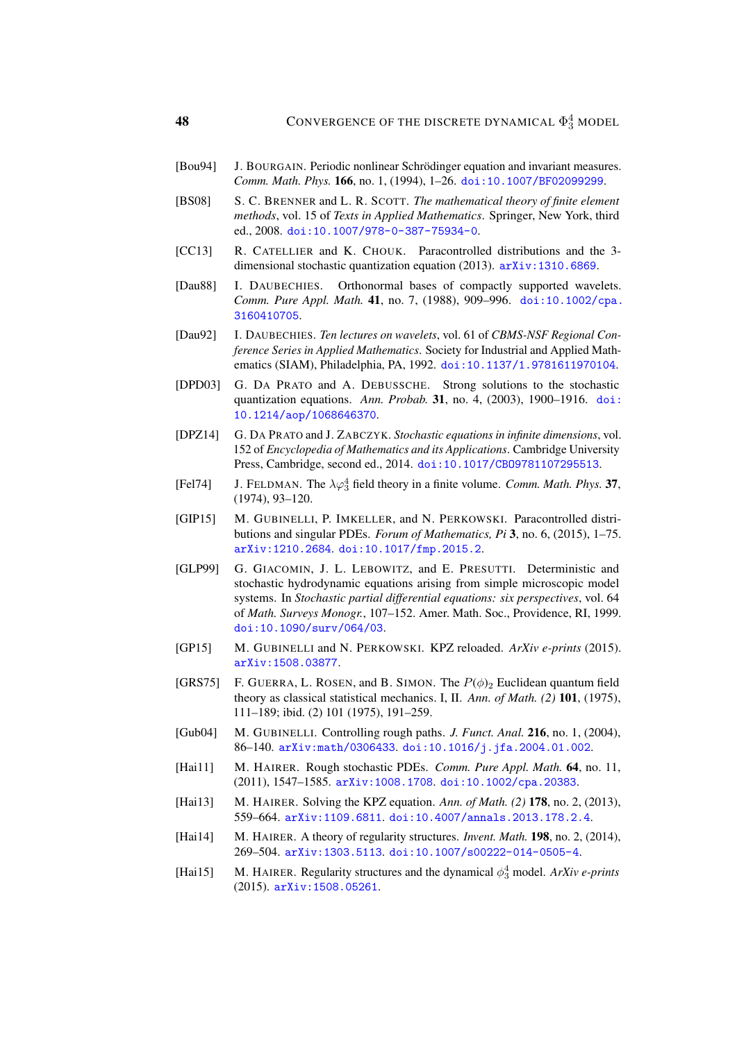- <span id="page-47-7"></span>[Bou94] J. BOURGAIN. Periodic nonlinear Schrödinger equation and invariant measures. *Comm. Math. Phys.* 166, no. 1, (1994), 1–26. [doi:10.1007/BF02099299](http://dx.doi.org/10.1007/BF02099299).
- <span id="page-47-15"></span>[BS08] S. C. BRENNER and L. R. SCOTT. *The mathematical theory of finite element methods*, vol. 15 of *Texts in Applied Mathematics*. Springer, New York, third ed., 2008. [doi:10.1007/978-0-387-75934-0](http://dx.doi.org/10.1007/978-0-387-75934-0).
- <span id="page-47-3"></span>[CC13] R. CATELLIER and K. CHOUK. Paracontrolled distributions and the 3dimensional stochastic quantization equation (2013). [arXiv:1310.6869](http://arxiv.org/abs/1310.6869).
- <span id="page-47-14"></span>[Dau88] I. DAUBECHIES. Orthonormal bases of compactly supported wavelets. *Comm. Pure Appl. Math.* 41, no. 7, (1988), 909–996. [doi:10.1002/cpa.](http://dx.doi.org/10.1002/cpa.3160410705) [3160410705](http://dx.doi.org/10.1002/cpa.3160410705).
- <span id="page-47-13"></span>[Dau92] I. DAUBECHIES. *Ten lectures on wavelets*, vol. 61 of *CBMS-NSF Regional Conference Series in Applied Mathematics*. Society for Industrial and Applied Mathematics (SIAM), Philadelphia, PA, 1992. [doi:10.1137/1.9781611970104](http://dx.doi.org/10.1137/1.9781611970104).
- <span id="page-47-2"></span>[DPD03] G. DA PRATO and A. DEBUSSCHE. Strong solutions to the stochastic quantization equations. *Ann. Probab.* 31, no. 4, (2003), 1900–1916. [doi:](http://dx.doi.org/10.1214/aop/1068646370) [10.1214/aop/1068646370](http://dx.doi.org/10.1214/aop/1068646370).
- <span id="page-47-1"></span>[DPZ14] G. DA PRATO and J. ZABCZYK. *Stochastic equations in infinite dimensions*, vol. 152 of *Encyclopedia of Mathematics and its Applications*. Cambridge University Press, Cambridge, second ed., 2014. [doi:10.1017/CBO9781107295513](http://dx.doi.org/10.1017/CBO9781107295513).
- <span id="page-47-16"></span>[Fel74] J. FELDMAN. The  $\lambda \varphi_3^4$  field theory in a finite volume. *Comm. Math. Phys.* 37, (1974), 93–120.
- <span id="page-47-4"></span>[GIP15] M. GUBINELLI, P. IMKELLER, and N. PERKOWSKI. Paracontrolled distributions and singular PDEs. *Forum of Mathematics, Pi* 3, no. 6, (2015), 1–75. [arXiv:1210.2684](http://arxiv.org/abs/1210.2684). [doi:10.1017/fmp.2015.2](http://dx.doi.org/10.1017/fmp.2015.2).
- <span id="page-47-6"></span>[GLP99] G. GIACOMIN, J. L. LEBOWITZ, and E. PRESUTTI. Deterministic and stochastic hydrodynamic equations arising from simple microscopic model systems. In *Stochastic partial differential equations: six perspectives*, vol. 64 of *Math. Surveys Monogr.*, 107–152. Amer. Math. Soc., Providence, RI, 1999. [doi:10.1090/surv/064/03](http://dx.doi.org/10.1090/surv/064/03).
- <span id="page-47-8"></span>[GP15] M. GUBINELLI and N. PERKOWSKI. KPZ reloaded. *ArXiv e-prints* (2015). [arXiv:1508.03877](http://arxiv.org/abs/1508.03877).
- <span id="page-47-5"></span>[GRS75] F. GUERRA, L. ROSEN, and B. SIMON. The  $P(\phi)_2$  Euclidean quantum field theory as classical statistical mechanics. I, II. *Ann. of Math. (2)* 101, (1975), 111–189; ibid. (2) 101 (1975), 191–259.
- <span id="page-47-11"></span>[Gub04] M. GUBINELLI. Controlling rough paths. *J. Funct. Anal.* 216, no. 1, (2004), 86–140. [arXiv:math/0306433](http://arxiv.org/abs/math/0306433). [doi:10.1016/j.jfa.2004.01.002](http://dx.doi.org/10.1016/j.jfa.2004.01.002).
- <span id="page-47-9"></span>[Hai11] M. HAIRER. Rough stochastic PDEs. *Comm. Pure Appl. Math.* 64, no. 11, (2011), 1547–1585. [arXiv:1008.1708](http://arxiv.org/abs/1008.1708). [doi:10.1002/cpa.20383](http://dx.doi.org/10.1002/cpa.20383).
- <span id="page-47-10"></span>[Hai13] M. HAIRER. Solving the KPZ equation. *Ann. of Math. (2)* 178, no. 2, (2013), 559–664. [arXiv:1109.6811](http://arxiv.org/abs/1109.6811). [doi:10.4007/annals.2013.178.2.4](http://dx.doi.org/10.4007/annals.2013.178.2.4).
- <span id="page-47-0"></span>[Hai14] M. HAIRER. A theory of regularity structures. *Invent. Math.* 198, no. 2, (2014), 269–504. [arXiv:1303.5113](http://arxiv.org/abs/1303.5113). [doi:10.1007/s00222-014-0505-4](http://dx.doi.org/10.1007/s00222-014-0505-4).
- <span id="page-47-12"></span>[Hai15] M. HAIRER. Regularity structures and the dynamical  $\phi_3^4$  model. *ArXiv e-prints* (2015). [arXiv:1508.05261](http://arxiv.org/abs/1508.05261).